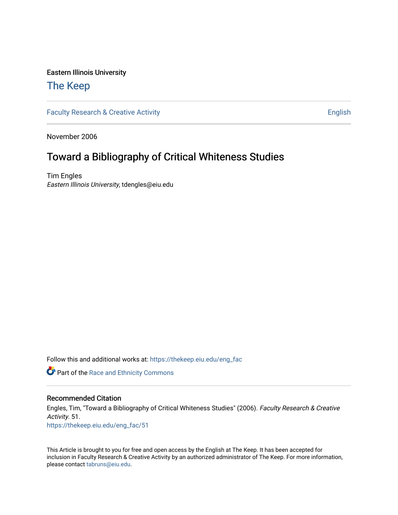### Eastern Illinois University

### [The Keep](https://thekeep.eiu.edu/)

[Faculty Research & Creative Activity](https://thekeep.eiu.edu/eng_fac) **English** English

November 2006

# Toward a Bibliography of Critical Whiteness Studies

Tim Engles Eastern Illinois University, tdengles@eiu.edu

Follow this and additional works at: [https://thekeep.eiu.edu/eng\\_fac](https://thekeep.eiu.edu/eng_fac?utm_source=thekeep.eiu.edu%2Feng_fac%2F51&utm_medium=PDF&utm_campaign=PDFCoverPages) 

Part of the [Race and Ethnicity Commons](http://network.bepress.com/hgg/discipline/426?utm_source=thekeep.eiu.edu%2Feng_fac%2F51&utm_medium=PDF&utm_campaign=PDFCoverPages) 

### Recommended Citation

Engles, Tim, "Toward a Bibliography of Critical Whiteness Studies" (2006). Faculty Research & Creative Activity. 51. [https://thekeep.eiu.edu/eng\\_fac/51](https://thekeep.eiu.edu/eng_fac/51?utm_source=thekeep.eiu.edu%2Feng_fac%2F51&utm_medium=PDF&utm_campaign=PDFCoverPages)

This Article is brought to you for free and open access by the English at The Keep. It has been accepted for inclusion in Faculty Research & Creative Activity by an authorized administrator of The Keep. For more information, please contact [tabruns@eiu.edu.](mailto:tabruns@eiu.edu)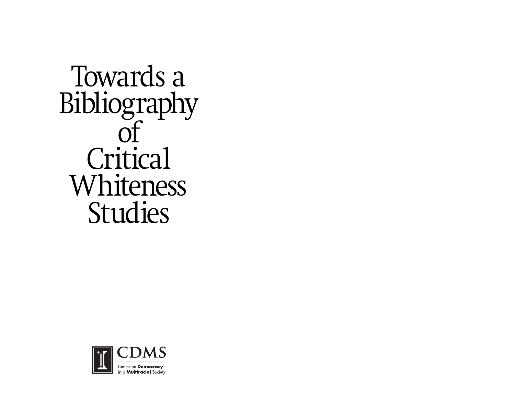Towards a Bibliography  $\overline{of}$ **Critical** Whiteness Studies

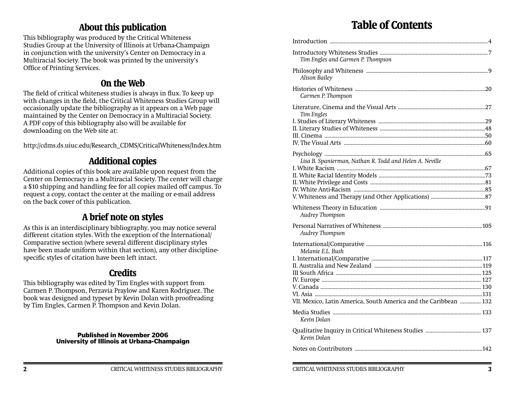## **About this publication**

This bibliography was produced by the Critical Whiteness Studies Group at the University of Illinois at Urbana-Champaign in conjunction with the university's Center on Democracy in a Multiracial Society. The book was printed by the university's Office of Printing Services.

### **On the Web**

The field of critical whiteness studies is always in flux. To keep up with changes in the field, the Critical Whiteness Studies Group will occasionally update the bibliography as it appears on a Web page maintained by the Center on Democracy in a Multiracial Society. A PDF copy of this bibliography also will be available for downloading on the Web site at:

http://cdms.ds.uiuc.edu/Research\_CDMS/CriticalWhiteness/Index.htm

## **Additional copies**

Additional copies of this book are available upon request from the Center on Democracy in a Multiracial Society. The center will charge a \$10 shipping and handling fee for all copies mailed off campus. To request a copy, contact the center at the mailing or e-mail address on the back cover of this publication.

# **A brief note on styles**

As this is an interdisciplinary bibliography, you may notice several different citation styles. With the exception of the International/ Comparative section (where several different disciplinary styles have been made uniform within that section), any other disciplinespecific styles of citation have been left intact.

# **Credits**

This bibliography was edited by Tim Engles with support from Carmen P. Thompson, Perzavia Praylow and Karen Rodríguez. The book was designed and typeset by Kevin Dolan with proofreading by Tim Engles, Carmen P. Thompson and Kevin Dolan.

#### **Published in November 2006University of Illinois at Urbana-Champaign**

# **Table of Contents**

| Tim Engles and Carmen P. Thompson                                |  |
|------------------------------------------------------------------|--|
| Alison Bailey                                                    |  |
| Carmen P. Thompson                                               |  |
| Tim Engles                                                       |  |
|                                                                  |  |
|                                                                  |  |
|                                                                  |  |
|                                                                  |  |
|                                                                  |  |
| Lisa B. Spanierman, Nathan R. Todd and Helen A. Neville          |  |
|                                                                  |  |
|                                                                  |  |
|                                                                  |  |
|                                                                  |  |
|                                                                  |  |
| Audrey Thompson                                                  |  |
| Audrey Thompson                                                  |  |
| Melanie E.L. Bush                                                |  |
|                                                                  |  |
|                                                                  |  |
|                                                                  |  |
|                                                                  |  |
|                                                                  |  |
|                                                                  |  |
| VII. Mexico, Latin America, South America and the Caribbean  132 |  |
| Kevin Dolan                                                      |  |
| Kevin Dolan                                                      |  |
|                                                                  |  |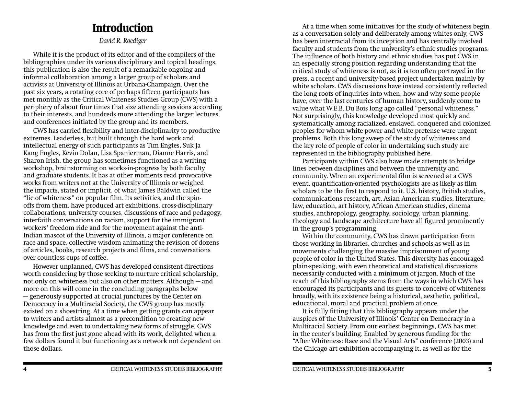# **Introduction**

*David R. Roediger*

While it is the product of its editor and of the compilers of the bibliographies under its various disciplinary and topical headings, this publication is also the result of a remarkable ongoing and informal collaboration among a larger group of scholars and activists at University of Illinois at Urbana-Champaign. Over the past six years, a rotating core of perhaps fifteen participants has met monthly as the Critical Whiteness Studies Group (CWS) with a periphery of about four times that size attending sessions according to their interests, and hundreds more attending the larger lectures and conferences initiated by the group and its members.

CWS has carried flexibility and inter-disciplinarity to productive extremes. Leaderless, but built through the hard work and intellectual energy of such participants as Tim Engles, Suk Ja Kang Engles, Kevin Dolan, Lisa Spanierman, Dianne Harris, and Sharon Irish, the group has sometimes functioned as a writing workshop, brainstorming on works-in-progress by both faculty and graduate students. It has at other moments read provocative works from writers not at the University of Illinois or weighed the impacts, stated or implicit, of what James Baldwin called the "lie of whiteness" on popular film. Its activities, and the spinoffs from them, have produced art exhibitions, cross-disciplinary collaborations, university courses, discussions of race and pedagogy, interfaith conversations on racism, support for the immigrant workers' freedom ride and for the movement against the anti-Indian mascot of the University of Illinois, a major conference on race and space, collective wisdom animating the revision of dozens of articles, books, research projects and films, and conversations over countless cups of coffee.

However unplanned, CWS has developed consistent directions worth considering by those seeking to nurture critical scholarship, not only on whiteness but also on other matters. Although — and more on this will come in the concluding paragraphs below — generously supported at crucial junctures by the Center on Democracy in a Multiracial Society, the CWS group has mostly existed on a shoestring. At a time when getting grants can appear to writers and artists almost as a precondition to creating new knowledge and even to undertaking new forms of struggle, CWS has from the first just gone ahead with its work, delighted when a few dollars found it but functioning as a network not dependent on those dollars.

At a time when some initiatives for the study of whiteness begin as a conversation solely and deliberately among whites only, CWS has been interracial from its inception and has centrally involved faculty and students from the university's ethnic studies programs. The influence of both history and ethnic studies has put CWS in an especially strong position regarding understanding that the critical study of whiteness is not, as it is too often portrayed in the press, a recent and university-based project undertaken mainly by white scholars. CWS discussions have instead consistently reflected the long roots of inquiries into when, how and why some people have, over the last centuries of human history, suddenly come to value what W.E.B. Du Bois long ago called "personal whiteness." Not surprisingly, this knowledge developed most quickly and systematically among racialized, enslaved, conquered and colonized peoples for whom white power and white pretense were urgent problems. Both this long sweep of the study of whiteness and the key role of people of color in undertaking such study are represented in the bibliography published here.

Participants within CWS also have made attempts to bridge lines between disciplines and between the university and community. When an experimental film is screened at a CWS event, quantification-oriented psychologists are as likely as film scholars to be the first to respond to it. U.S. history, British studies, communications research, art, Asian American studies, literature, law, education, art history, African American studies, cinema studies, anthropology, geography, sociology, urban planning, theology and landscape architecture have all figured prominently in the group's programming.

Within the community, CWS has drawn participation from those working in libraries, churches and schools as well as in movements challenging the massive imprisonment of young people of color in the United States. This diversity has encouraged plain-speaking, with even theoretical and statistical discussions necessarily conducted with a minimum of jargon. Much of the reach of this bibliography stems from the ways in which CWS has encouraged its participants and its guests to conceive of whiteness broadly, with its existence being a historical, aesthetic, political, educational, moral and practical problem at once.

It is fully fitting that this bibliography appears under the auspices of the University of Illinois' Center on Democracy in a Multiracial Society. From our earliest beginnings, CWS has met in the center's building. Enabled by generous funding for the "After Whiteness: Race and the Visual Arts" conference (2003) and the Chicago art exhibition accompanying it, as well as for the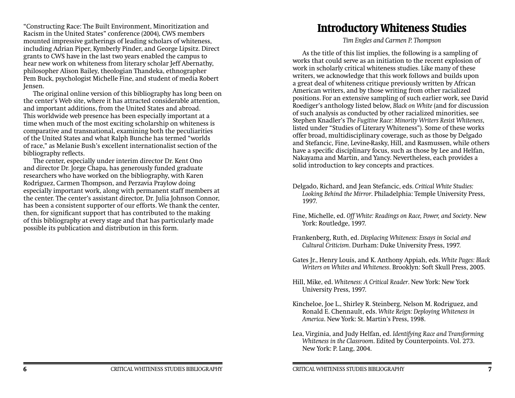"Constructing Race: The Built Environment, Minoritization and Racism in the United States" conference (2004), CWS members mounted impressive gatherings of leading scholars of whiteness, including Adrian Piper, Kymberly Pinder, and George Lipsitz. Direct grants to CWS have in the last two years enabled the campus to hear new work on whiteness from literary scholar Jeff Abernathy, philosopher Alison Bailey, theologian Thandeka, ethnographer Pem Buck, psychologist Michelle Fine, and student of media Robert Jensen.

The original online version of this bibliography has long been on the center's Web site, where it has attracted considerable attention, and important additions, from the United States and abroad. This worldwide web presence has been especially important at a time when much of the most exciting scholarship on whiteness is comparative and transnational, examining both the peculiarities of the United States and what Ralph Bunche has termed "worlds of race," as Melanie Bush's excellent internationalist section of the bibliography reflects.

The center, especially under interim director Dr. Kent Ono and director Dr. Jorge Chapa, has generously funded graduate researchers who have worked on the bibliography, with Karen Rodríguez, Carmen Thompson, and Perzavia Praylow doing especially important work, along with permanent staff members at the center. The center's assistant director, Dr. Julia Johnson Connor, has been a consistent supporter of our efforts. We thank the center, then, for significant support that has contributed to the making of this bibliography at every stage and that has particularly made possible its publication and distribution in this form.

# **Introductory Whiteness Studies**

*Tim Engles and Carmen P. Thompson*

As the title of this list implies, the following is a sampling of works that could serve as an initiation to the recent explosion of work in scholarly critical whiteness studies. Like many of these writers, we acknowledge that this work follows and builds upon a great deal of whiteness critique previously written by African American writers, and by those writing from other racialized positions. For an extensive sampling of such earlier work, see David Roediger's anthology listed below, *Black on White* (and for discussion of such analysis as conducted by other racialized minorities, see Stephen Knadler's *The Fugitive Race: Minority Writers Resist Whiteness*, listed under "Studies of Literary Whiteness"). Some of these works offer broad, multidisciplinary coverage, such as those by Delgado and Stefancic, Fine, Levine-Rasky, Hill, and Rasmussen, while others have a specific disciplinary focus, such as those by Lee and Helfan, Nakayama and Martin, and Yancy. Nevertheless, each provides a solid introduction to key concepts and practices.

- Delgado, Richard, and Jean Stefancic, eds. *Critical White Studies: Looking Behind the Mirror*. Philadelphia: Temple University Press, 1997.
- Fine, Michelle, ed. *Off White: Readings on Race, Power, and Society*. New York: Routledge, 1997.
- Frankenberg, Ruth, ed. *Displacing Whiteness: Essays in Social and Cultural Criticism*. Durham: Duke University Press, 1997.
- Gates Jr., Henry Louis, and K. Anthony Appiah, eds. *White Pages: Black Writers on Whites and Whiteness*. Brooklyn: Soft Skull Press, 2005.
- Hill, Mike, ed. *Whiteness: A Critical Reader*. New York: New York University Press, 1997.
- Kincheloe, Joe L., Shirley R. Steinberg, Nelson M. Rodriguez, and Ronald E. Chennault, eds. *White Reign: Deploying Whiteness in America*. New York: St. Martin's Press, 1998.
- Lea, Virginia, and Judy Helfan, ed. *Identifying Race and Transforming Whiteness in the Classroom*. Edited by Counterpoints. Vol. 273. New York: P. Lang, 2004.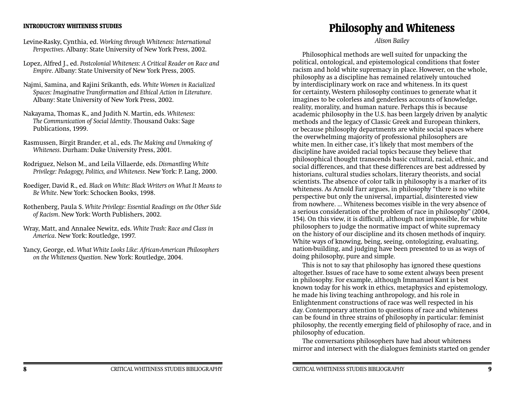#### **INTRODUCTORY WHITENESS STUDIES**

- Levine-Rasky, Cynthia, ed. *Working through Whiteness: International Perspectives*. Albany: State University of New York Press, 2002.
- Lopez, Alfred J., ed. *Postcolonial Whiteness: A Critical Reader on Race and Empire*. Albany: State University of New York Press, 2005.
- Najmi, Samina, and Rajini Srikanth, eds. *White Women in Racialized Spaces: Imaginative Transformation and Ethical Action in Literature*. Albany: State University of New York Press, 2002.
- Nakayama, Thomas K., and Judith N. Martin, eds. *Whiteness: The Communication of Social Identity*. Thousand Oaks: Sage Publications, 1999.
- Rasmussen, Birgit Brander, et al., eds. *The Making and Unmaking of Whiteness*. Durham: Duke University Press, 2001.
- Rodriguez, Nelson M., and Leila Villaerde, eds. *Dismantling White Privilege: Pedagogy, Politics, and Whiteness*. New York: P. Lang, 2000.
- Roediger, David R., ed. *Black on White: Black Writers on What It Means to Be White*. New York: Schocken Books, 1998.
- Rothenberg, Paula S. *White Privilege: Essential Readings on the Other Side of Racism*. New York: Worth Publishers, 2002.
- Wray, Matt, and Annalee Newitz, eds. *White Trash: Race and Class in America*. New York: Routledge, 1997.
- Yancy, George, ed. *What White Looks Like: African-American Philosophers on the Whiteness Question*. New York: Routledge, 2004.

# **Philosophy and Whiteness**

*Alison Bailey* 

Philosophical methods are well suited for unpacking the political, ontological, and epistemological conditions that foster racism and hold white supremacy in place. However, on the whole, philosophy as a discipline has remained relatively untouched by interdisciplinary work on race and whiteness. In its quest for certainty, Western philosophy continues to generate what it imagines to be colorless and genderless accounts of knowledge, reality, morality, and human nature. Perhaps this is because academic philosophy in the U.S. has been largely driven by analytic methods and the legacy of Classic Greek and European thinkers, or because philosophy departments are white social spaces where the overwhelming majority of professional philosophers are white men. In either case, it's likely that most members of the discipline have avoided racial topics because they believe that philosophical thought transcends basic cultural, racial, ethnic, and social differences, and that these differences are best addressed by historians, cultural studies scholars, literary theorists, and social scientists. The absence of color talk in philosophy is a marker of its whiteness. As Arnold Farr argues, in philosophy "there is no white perspective but only the universal, impartial, disinterested view from nowhere. … Whiteness becomes visible in the very absence of a serious consideration of the problem of race in philosophy" (2004, 154). On this view, it is difficult, although not impossible, for white philosophers to judge the normative impact of white supremacy on the history of our discipline and its chosen methods of inquiry. White ways of knowing, being, seeing, ontologizing, evaluating, nation-building, and judging have been presented to us as ways of doing philosophy, pure and simple.

This is not to say that philosophy has ignored these questions altogether. Issues of race have to some extent always been present in philosophy. For example, although Immanuel Kant is best known today for his work in ethics, metaphysics and epistemology, he made his living teaching anthropology, and his role in Enlightenment constructions of race was well respected in his day. Contemporary attention to questions of race and whiteness can be found in three strains of philosophy in particular: feminist philosophy, the recently emerging field of philosophy of race, and in philosophy of education.

The conversations philosophers have had about whiteness mirror and intersect with the dialogues feminists started on gender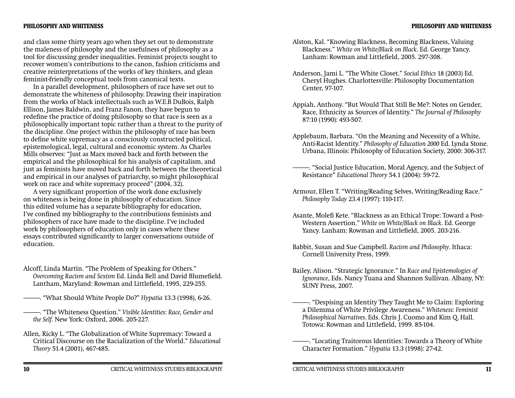and class some thirty years ago when they set out to demonstrate the maleness of philosophy and the usefulness of philosophy as a tool for discussing gender inequalities. Feminist projects sought to recover women's contributions to the canon, fashion criticisms and creative reinterpretations of the works of key thinkers, and glean feminist-friendly conceptual tools from canonical texts.

In a parallel development, philosophers of race have set out to demonstrate the whiteness of philosophy. Drawing their inspiration from the works of black intellectuals such as W.E.B DuBois, Ralph Ellison, James Baldwin, and Franz Fanon, they have begun to redefine the practice of doing philosophy so that race is seen as a philosophically important topic rather than a threat to the purity of the discipline. One project within the philosophy of race has been to define white supremacy as a consciously constructed political, epistemological, legal, cultural and economic system. As Charles Mills observes: "Just as Marx moved back and forth between the empirical and the philosophical for his analysis of capitalism, and just as feminists have moved back and forth between the theoretical and empirical in our analyses of patriarchy, so might philosophical work on race and white supremacy proceed" (2004, 32).

A very significant proportion of the work done exclusively on whiteness is being done in philosophy of education. Since this edited volume has a separate bibliography for education, I've confined my bibliography to the contributions feminists and philosophers of race have made to the discipline. I've included work by philosophers of education only in cases where these essays contributed significantly to larger conversations outside of education.

Alcoff, Linda Martín. "The Problem of Speaking for Others." *Overcoming Racism and Sexism Ed. Linda Bell and David Blumefield.* Lantham, Maryland: Rowman and Littlefield, 1995, 229-255.

- ————. "What Should White People Do?" *Hypatia* 13.3 (1998), 6-26.
- ————. "The Whiteness Question." *Visible Identities: Race, Gender and the Self.* New York: Oxford, 2006. 205-227.
- Allen, Ricky L. "The Globalization of White Supremacy: Toward a Critical Discourse on the Racialization of the World." *Educational Theory* 51.4 (2001), 467-485.
- Alston, Kal. "Knowing Blackness, Becoming Blackness, Valuing Blackness." *White on White/Black on Black*. Ed. George Yancy. Lanham: Rowman and Littlefield, 2005, 297-308.
- Anderson, Jami L. "The White Closet." *Social Ethics* 18 (2003) Ed. Cheryl Hughes. Charlottesville: Philosophy Documentation Center, 97-107.
- Appiah, Anthony. "But Would That Still Be Me?: Notes on Gender, Race, Ethnicity as Sources of Identity." *The Journal of Philosophy* 87:10 (1990): 493-507.
- Applebaum, Barbara. "On the Meaning and Necessity of a White, Anti-Racist Identity." *Philosophy of Education 2000* Ed. Lynda Stone. Urbana, Illinois: Philosophy of Education Society, 2000: 306-317.
- ————. "Social Justice Education, Moral Agency, and the Subject of Resistance" *Educational Theory* 54.1 (2004): 59-72.
- Armour, Ellen T. "Writing/Reading Selves, Writing/Reading Race." *Philosophy Today* 23.4 (1997): 110-117.
- Asante, Molefi Kete. "Blackness as an Ethical Trope: Toward a Post-Western Assertion." *White on White/Black on Black*. Ed. George Yancy. Lanham: Rowman and Littlefield, 2005. 203-216.
- Babbit, Susan and Sue Campbell. *Racism and Philosophy*. Ithaca: Cornell University Press, 1999.
- Bailey, Alison. "Strategic Ignorance." In *Race and Epistemologies of Ignorance*, Eds. Nancy Tuana and Shannon Sullivan. Albany, NY: SUNY Press, 2007.
- ————. "Despising an Identity They Taught Me to Claim: Exploring a Dilemma of White Privilege Awareness." *Whiteness: Feminist Philosophical Narratives*. Eds. Chris J. Cuomo and Kim Q. Hall. Totowa: Rowman and Littlefield, 1999. 85-104.
- ————. "Locating Traitorous Identities: Towards a Theory of White Character Formation." *Hypatia* 13.3 (1998): 27-42.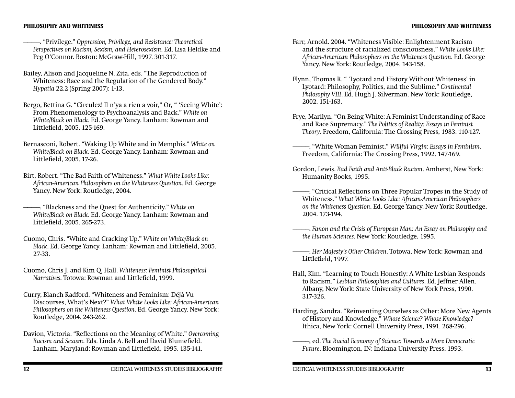- ————. "Privilege." *Oppression, Privilege, and Resistance: Theoretical Perspectives on Racism, Sexism, and Heterosexism*. Ed. Lisa Heldke and Peg O'Connor. Boston: McGraw-Hill, 1997. 301-317.
- Bailey, Alison and Jacqueline N. Zita, eds. "The Reproduction of Whiteness: Race and the Regulation of the Gendered Body." *Hypatia* 22.2 (Spring 2007): 1-13.
- Bergo, Bettina G. "Circulez! Il n'ya a rien a voir," Or, " 'Seeing White': From Phenomenology to Psychoanalysis and Back." *White on White/Black on Black*. Ed. George Yancy. Lanham: Rowman and Littlefield, 2005. 125-169.
- Bernasconi, Robert. "Waking Up White and in Memphis." *White on White/Black on Black*. Ed. George Yancy. Lanham: Rowman and Littlefield, 2005. 17-26.
- Birt, Robert. "The Bad Faith of Whiteness." *What White Looks Like: African-American Philosophers on the Whiteness Question*. Ed. George Yancy. New York: Routledge, 2004.
	- ————. "Blackness and the Quest for Authenticity." *White on White/Black on Black*. Ed. George Yancy. Lanham: Rowman and Littlefield, 2005. 265-273.
- Cuomo, Chris. "White and Cracking Up." *White on White/Black on Black*. Ed. George Yancy. Lanham: Rowman and Littlefield, 2005. 27-33.
- Cuomo, Chris J. and Kim Q. Hall. *Whiteness: Feminist Philosophical Narratives*. Totowa: Rowman and Littlefield, 1999.
- Curry, Blanch Radford. "Whiteness and Feminism: Déjà Vu Discourses, What's Next?" *What White Looks Like: African-American Philosophers on the Whiteness Question*. Ed. George Yancy. New York: Routledge, 2004. 243-262.
- Davion, Victoria. "Reflections on the Meaning of White." Overcoming *Racism and Sexism. Eds. Linda A. Bell and David Blumefield.* Lanham, Maryland: Rowman and Littlefield, 1995. 135-141.
- Farr, Arnold. 2004. "Whiteness Visible: Enlightenment Racism and the structure of racialized consciousness." *White Looks Like: African-American Philosophers on the Whiteness Question*. Ed. George Yancy. New York: Routledge, 2004. 143-158.
- Flynn, Thomas R. " 'Lyotard and History Without Whiteness' in Lyotard: Philosophy, Politics, and the Sublime." *Continental Philosophy VIII. Ed. Hugh J. Silverman. New York: Routledge,* 2002. 151-163.
- Frye, Marilyn. "On Being White: A Feminist Understanding of Race and Race Supremacy." *The Politics of Reality: Essays in Feminist Theory*. Freedom, California: The Crossing Press, 1983. 110-127.
- ————. "White Woman Feminist." *Willful Virgin: Essays in Feminism*. Freedom, California: The Crossing Press, 1992. 147-169.
- Gordon, Lewis. *Bad Faith and Anti-Black Racism*. Amherst, New York: Humanity Books, 1995.
- - "Critical Reflections on Three Popular Tropes in the Study of Whiteness." *What White Looks Like: African-American Philosophers on the Whiteness Question*. Ed. George Yancy. New York: Routledge, 2004. 173-194.
- ————. *Fanon and the Crisis of European Man: An Essay on Philosophy and the Human Sciences*. New York: Routledge, 1995.
- ————. *Her Majesty's Other Children*. Totowa, New York: Rowman and Littlefield, 1997.
- Hall, Kim. "Learning to Touch Honestly: A White Lesbian Responds to Racism." *Lesbian Philosophies and Cultures*. Ed. Jeffner Allen. Albany, New York: State University of New York Press, 1990. 317-326.
- Harding, Sandra. "Reinventing Ourselves as Other: More New Agents of History and Knowledge." *Whose Science? Whose Knowledge?* Ithica, New York: Cornell University Press, 1991. 268-296.
- ————, ed. *The Racial Economy of Science: Towards a More Democratic Future*. Bloomington, IN: Indiana University Press, 1993.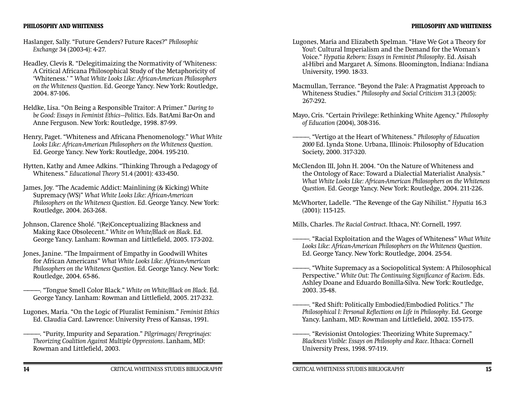- Haslanger, Sally. "Future Genders? Future Races?" *Philosophic Exchange* 34 (2003-4): 4-27.
- Headley, Clevis R. "Delegitimaizing the Normativity of 'Whiteness: A Critical Africana Philosophical Study of the Metaphoricity of 'Whiteness.' " *What White Looks Like: African-American Philosophers on the Whiteness Question*. Ed. George Yancy. New York: Routledge, 2004. 87-106.
- Heldke, Lisa. "On Being a Responsible Traitor: A Primer." *Daring to be Good: Essays in Feminist Ethics—Politics*. Eds. BatAmi Bar-On and Anne Ferguson. New York: Routledge, 1998. 87-99.
- Henry, Paget. "Whiteness and Africana Phenomenology." *What White Looks Like: African-American Philosophers on the Whiteness Question*. Ed. George Yancy. New York: Routledge, 2004. 195-210.
- Hytten, Kathy and Amee Adkins. "Thinking Through a Pedagogy of Whiteness." *Educational Theory* 51.4 (2001): 433-450.
- James, Joy. "The Academic Addict: Mainlining (& Kicking) White Supremacy (WS)" *What White Looks Like: African-American Philosophers on the Whiteness Question*. Ed. George Yancy. New York: Routledge, 2004. 263-268.
- Johnson, Clarence Sholé. "(Re)Conceptualizing Blackness and Making Race Obsolecent." *White on White/Black on Black*. Ed. George Yancy. Lanham: Rowman and Littlefield, 2005. 173-202.
- Jones, Janine. "The Impairment of Empathy in Goodwill Whites for African Americans" *What White Looks Like: African-American Philosophers on the Whiteness Question*. Ed. George Yancy. New York: Routledge, 2004. 65-86.
	- ————. "Tongue Smell Color Black." *White on White/Black on Black*. Ed. George Yancy. Lanham: Rowman and Littlefield, 2005. 217-232.
- Lugones, María. "On the Logic of Pluralist Feminism." *Feminist Ethics* Ed. Claudia Card. Lawrence: University Press of Kansas, 1991.
- ————. "Purity, Impurity and Separation." *Pilgrimages/ Peregrinajes: Theorizing Coalition Against Multiple Oppressions*. Lanham, MD: Rowman and Littlefield, 2003.
- Lugones, María and Elizabeth Spelman. "Have We Got a Theory for You!: Cultural Imperialism and the Demand for the Woman's Voice." *Hypatia Reborn: Essays in Feminist Philosophy*. Ed. Asisah al-Hibri and Margaret A. Simons. Bloomington, Indiana: Indiana University, 1990. 18-33.
- Macmullan, Terrance. "Beyond the Pale: A Pragmatist Approach to Whiteness Studies." *Philosophy and Social Criticism* 31.3 (2005): 267-292.
- Mayo, Cris. "Certain Privilege: Rethinking White Agency." *Philosophy of Education* (2004), 308-316.
- ————. "Vertigo at the Heart of Whiteness." *Philosophy of Education 2000* Ed. Lynda Stone. Urbana, Illinois: Philosophy of Education Society, 2000. 317-320.
- McClendon III, John H. 2004. "On the Nature of Whiteness and the Ontology of Race: Toward a Dialectial Materialist Analysis." *What White Looks Like: African-American Philosophers on the Whiteness Question*. Ed. George Yancy. New York: Routledge, 2004. 211-226.
- McWhorter, Ladelle. "The Revenge of the Gay Nihilist." *Hypatia* 16.3 (2001): 115-125.
- Mills, Charles. *The Racial Contract*. Ithaca, NY: Cornell, 1997.
- ————. "Racial Exploitation and the Wages of Whiteness" *What White Looks Like: African-American Philosophers on the Whiteness Question*. Ed. George Yancy. New York: Routledge, 2004. 25-54.
- ————. "White Supremacy as a Sociopolitical System: A Philosophical Perspective." White Out: The Continuing Significance of Racism. Eds. Ashley Doane and Eduardo Bonilla-Silva. New York: Routledge, 2003. 35-48.
- ————. "Red Shift: Politically Embodied/Embodied Politics." *The Philosophical I: Personal Reflections on Life in Philosophy. Ed. George* Yancy. Lanham, MD: Rowman and Littlefield, 2002. 155-175.
- ————. "Revisionist Ontologies: Theorizing White Supremacy." *Blackness Visible: Essays on Philosophy and Race*. Ithaca: Cornell University Press, 1998. 97-119.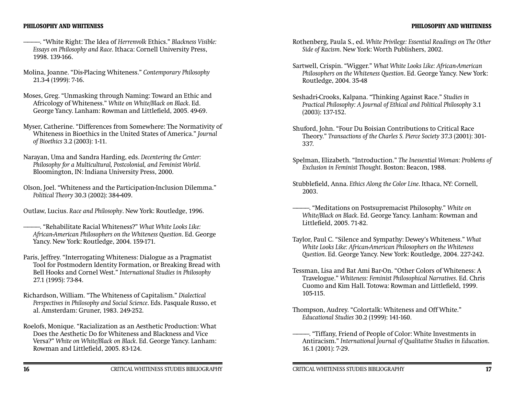- ————. "White Right: The Idea of *Herrenvolk* Ethics." *Blackness Visible: Essays on Philosophy and Race*. Ithaca: Cornell University Press, 1998. 139-166.
- Molina, Joanne. "Dis-Placing Whiteness." *Contemporary Philosophy* 21.3-4 (1999): 7-16.
- Moses, Greg. "Unmasking through Naming: Toward an Ethic and Africology of Whiteness." *White on White/Black on Black*. Ed. George Yancy. Lanham: Rowman and Littlefield, 2005. 49-69.
- Myser, Catherine. "Differences from Somewhere: The Normativity of Whiteness in Bioethics in the United States of America." *Journal of Bioethics* 3.2 (2003): 1-11.
- Narayan, Uma and Sandra Harding, eds. *Decentering the Center: Philosophy for a Multicultural, Postcolonial, and Feminist World*. Bloomington, IN: Indiana University Press, 2000.
- Olson, Joel. "Whiteness and the Participation-Inclusion Dilemma." *Political Theory* 30.3 (2002): 384-409.
- Outlaw, Lucius. *Race and Philosophy*. New York: Routledge, 1996.
- ————. "Rehabilitate Racial Whiteness?" *What White Looks Like: African-American Philosophers on the Whiteness Question*. Ed. George Yancy. New York: Routledge, 2004. 159-171.
- Paris, Jeffrey. "Interrogating Whiteness: Dialogue as a Pragmatist Tool for Postmodern Identity Formation, or Breaking Bread with Bell Hooks and Cornel West." *International Studies in Philosophy* 27.1 (1995): 73-84.
- Richardson, William. "The Whiteness of Capitalism." *Dialectical Perspectives in Philosophy and Social Science*. Eds. Pasquale Russo, et al. Amsterdam: Gruner, 1983. 249-252.
- Roelofs, Monique. "Racialization as an Aesthetic Production: What Does the Aesthetic Do for Whiteness and Blackness and Vice Versa?" *White on White/Black on Black*. Ed. George Yancy. Lanham: Rowman and Littlefield, 2005, 83-124.
- Rothenberg, Paula S., ed. *White Privilege: Essential Readings on The Other Side of Racism*. New York: Worth Publishers, 2002.
- Sartwell, Crispin. "Wigger." *What White Looks Like: African-American Philosophers on the Whiteness Question*. Ed. George Yancy. New York: Routledge, 2004. 35-48
- Seshadri-Crooks, Kalpana. "Thinking Against Race." *Studies in Practical Philosophy: A Journal of Ethical and Political Philosophy* 3.1 (2003): 137-152.
- Shuford, John. "Four Du Boisian Contributions to Critical Race Theory." *Transactions of the Charles S. Pierce Society* 37.3 (2001): 301- 337.
- Spelman, Elizabeth. "Introduction." *The Inessential Woman: Problems of Exclusion in Feminist Thought*. Boston: Beacon, 1988.
- Stubblefield, Anna. *Ethics Along the Color Line*. Ithaca, NY: Cornell, 2003.
- ————. "Meditations on Postsupremacist Philosophy." *White on White/Black on Black*. Ed. George Yancy. Lanham: Rowman and Littlefield, 2005. 71-82.
- Taylor, Paul C. "Silence and Sympathy: Dewey's Whiteness." *What White Looks Like: African-American Philosophers on the Whiteness Question*. Ed. George Yancy. New York: Routledge, 2004. 227-242.
- Tessman, Lisa and Bat Ami Bar-On. "Other Colors of Whiteness: A Travelogue." *Whiteness: Feminist Philosophical Narratives*. Ed. Chris Cuomo and Kim Hall. Totowa: Rowman and Littlefield, 1999. 105-115.
- Thompson, Audrey. "Colortalk: Whiteness and Off White." *Educational Studies* 30.2 (1999): 141-160.
- ————. "Tiffany, Friend of People of Color: White Investments in Antiracism." *International Journal of Qualitative Studies in Education*. 16.1 (2001): 7-29.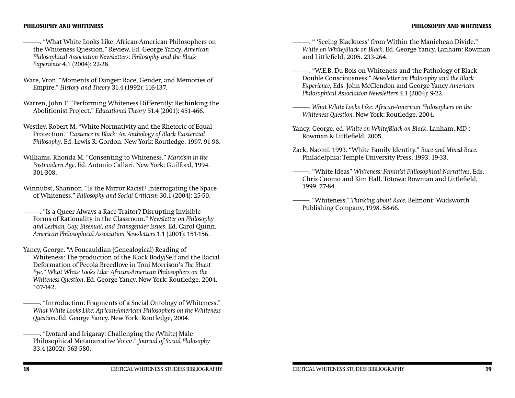- ————. "What White Looks Like: African-American Philosophers on the Whiteness Question." Review. Ed. George Yancy. *American Philosophical Association Newsletters: Philosophy and the Black Experience* 4.1 (2004): 22-28.
- Ware, Vron. "Moments of Danger: Race, Gender, and Memories of Empire." *History and Theory* 31.4 (1992): 116-137.
- Warren, John T. "Performing Whiteness Differently: Rethinking the Abolitionist Project." *Educational Theory* 51.4 (2001): 451-466.
- Westley, Robert M. "White Normativity and the Rhetoric of Equal Protection." *Existence in Black: An Anthology of Black Existential Philosophy*. Ed. Lewis R. Gordon. New York: Routledge, 1997. 91-98.
- Williams, Rhonda M. "Consenting to Whiteness." *Marxism in the Postmodern Age*. Ed. Antonio Callari. New York: Guilford, 1994. 301-308.
- Winnubst, Shannon. "Is the Mirror Racist? Interrogating the Space of Whiteness." *Philosophy and Social Criticism* 30.1 (2004): 25-50.
- ————. "Is a Queer Always a Race Traitor? Disrupting Invisible Forms of Rationality in the Classroom." *Newsletter on Philosophy and Lesbian, Gay, Bisexual, and Transgender Issues*, Ed. Carol Quinn. *American Philosophical Association Newsletters* 1.1 (2001): 151-156.
- Yancy, George. "A Foucauldian (Genealogical) Reading of Whiteness: The production of the Black Body/Self and the Racial Deformation of Pecola Breedlove in Toni Morrison's *The Bluest Eye*." *What White Looks Like: African-American Philosophers on the Whiteness Question*. Ed. George Yancy. New York: Routledge, 2004. 107-142.
	- ————. "Introduction: Fragments of a Social Ontology of Whiteness." *What White Looks Like: African-American Philosophers on the Whiteness Question*. Ed. George Yancy. New York: Routledge, 2004.
	- ————. "Lyotard and Irigaray: Challenging the (White) Male Philosophical Metanarrative Voice." *Journal of Social Philosophy* 33.4 (2002): 563-580.
- ————. " 'Seeing Blackness' from Within the Manichean Divide." *White on White/Black on Black*. Ed. George Yancy. Lanham: Rowman and Littlefield, 2005. 233-264.
- ————. "W.E.B. Du Bois on Whiteness and the Pathology of Black Double Consciousness." *Newsletter on Philosophy and the Black Experience*, Eds. John McClendon and George Yancy *American Philosophical Association Newsletters* 4.1 (2004): 9-22.
- ————. *What White Looks Like: African-American Philosophers on the Whiteness Question.* New York: Routledge, 2004.
- Yancy, George, ed. *White on White/Black on Black*, Lanham, MD : Rowman & Littlefield, 2005.
- Zack, Naomi. 1993. "White Family Identity." *Race and Mixed Race*. Philadelphia: Temple University Press, 1993. 19-33.
- ————. "White Ideas" *Whiteness: Feminist Philosophical Narratives*. Eds. Chris Cuomo and Kim Hall. Totowa: Rowman and Littlefield, 1999. 77-84.
- ————. "Whiteness." *Thinking about Race*. Belmont: Wadsworth Publishing Company, 1998. 58-66.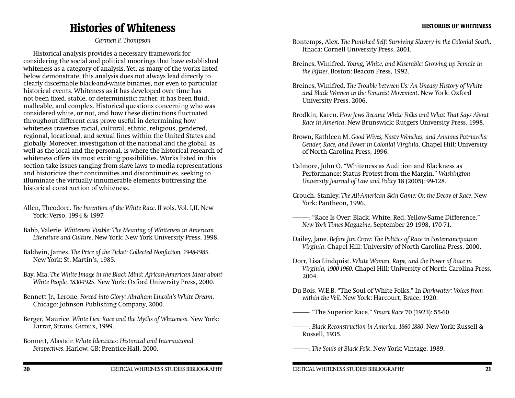# **Histories of Whiteness**

*Carmen P. Thompson*

Historical analysis provides a necessary framework for considering the social and political moorings that have established whiteness as a category of analysis. Yet, as many of the works listed below demonstrate, this analysis does not always lead directly to clearly discernable black-and-white binaries, nor even to particular historical events. Whiteness as it has developed over time has not been fixed, stable, or deterministic; rather, it has been fluid, malleable, and complex. Historical questions concerning who was considered white, or not, and how these distinctions fluctuated throughout different eras prove useful in determining how whiteness traverses racial, cultural, ethnic, religious, gendered, regional, locational, and sexual lines within the United States and globally. Moreover, investigation of the national and the global, as well as the local and the personal, is where the historical research of whiteness offers its most exciting possibilities. Works listed in this section take issues ranging from slave laws to media representations and historicize their continuities and discontinuities, seeking to illuminate the virtually innumerable elements buttressing the historical construction of whiteness.

- Allen, Theodore. *The Invention of the White Race*. II vols. Vol. I,II. New York: Verso, 1994 & 1997.
- Babb, Valerie. *Whiteness Visible: The Meaning of Whiteness in American Literature and Culture*. New York: New York University Press, 1998.
- Baldwin, James. *The Price of the Ticket: Collected Nonfiction*, 1948-1985. New York: St. Martin's, 1985.
- Bay, Mia. *The White Image in the Black Mind: African-American Ideas about White People, 1830-1925*. New York: Oxford University Press, 2000.
- Bennett Jr., Lerone. *Forced into Glory: Abraham Lincoln's White Dream*. Chicago: Johnson Publishing Company, 2000.
- Berger, Maurice. *White Lies: Race and the Myths of Whiteness*. New York: Farrar, Straus, Giroux, 1999.
- Bonnett, Alastair. *White Identities: Historical and International Perspectives*. Harlow, GB: Prentice-Hall, 2000.
- Bontemps, Alex. *The Punished Self: Surviving Slavery in the Colonial South*. Ithaca: Cornell University Press, 2001.
- Breines, Winifred. *Young, White, and Miserable: Growing up Female in the Fifties*. Boston: Beacon Press, 1992.
- Breines, Winifred. *The Trouble between Us: An Uneasy History of White and Black Women in the Feminist Movement*. New York: Oxford University Press, 2006.
- Brodkin, Karen. *How Jews Became White Folks and What That Says About Race in America*. New Brunswick: Rutgers University Press, 1998.
- Brown, Kathleen M. *Good Wives, Nasty Wenches, and Anxious Patriarchs: Gender, Race, and Power in Colonial Virginia*. Chapel Hill: University of North Carolina Press, 1996.
- Calmore, John O. "Whiteness as Audition and Blackness as Performance: Status Protest from the Margin." *Washington University Journal of Law and Policy* 18 (2005): 99-128.
- Crouch, Stanley. *The All-American Skin Game: Or, the Decoy of Race*. New York: Pantheon, 1996.
- ————. "Race Is Over: Black, White, Red, Yellow-Same Difference." *New York Times Magazine*, September 29 1998, 170-71.
- Dailey, Jane. *Before Jim Crow: The Politics of Race in Postemancipation Virginia*. Chapel Hill: University of North Carolina Press, 2000.
- Dorr, Lisa Lindquist. *White Women, Rape, and the Power of Race in Virginia, 1900-1960*. Chapel Hill: University of North Carolina Press, 2004.
- Du Bois, W.E.B. "The Soul of White Folks." In *Darkwater: Voices from within the Veil*. New York: Harcourt, Brace, 1920.
- ————. "The Superior Race." *Smart Race* 70 (1923): 55-60.
- ————. *Black Reconstruction in America, 1860-1880*. New York: Russell & Russell, 1935.
- ————. *The Souls of Black Folk*. New York: Vintage, 1989.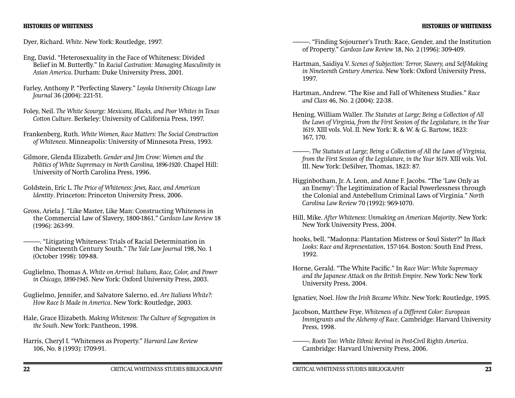#### **HISTORIES OF WHITENESS**

#### **HISTORIES OF WHITENESS**

Dyer, Richard. *White*. New York: Routledge, 1997.

- Eng, David. "Heterosexuality in the Face of Whiteness: Divided Belief in M. Butterfly." In *Racial Castration: Managing Masculinity in Asian America*. Durham: Duke University Press, 2001.
- Farley, Anthony P. "Perfecting Slavery." *Loyola University Chicago Law Journal* 36 (2004): 221-51.
- Foley, Neil. *The White Scourge: Mexicans, Blacks, and Poor Whites in Texas Cotton Culture*. Berkeley: University of California Press, 1997.
- Frankenberg, Ruth. *White Women, Race Matters: The Social Construction of Whiteness*. Minneapolis: University of Minnesota Press, 1993.
- Gilmore, Glenda Elizabeth. *Gender and Jim Crow: Women and the Politics of White Supremacy in North Carolina, 1896-1920*. Chapel Hill: University of North Carolina Press, 1996.
- Goldstein, Eric L. *The Price of Whiteness: Jews, Race, and American Identity*. Princeton: Princeton University Press, 2006.
- Gross, Ariela J. "Like Master, Like Man: Constructing Whiteness in the Commercial Law of Slavery, 1800-1861." *Cardozo Law Review* 18 (1996): 263-99.
- ————. "Litigating Whiteness: Trials of Racial Determination in the Nineteenth Century South." *The Yale Law Journal* 198, No. 1 (October 1998): 109-88.
- Guglielmo, Thomas A. *White on Arrival: Italians, Race, Color, and Power in Chicago, 1890-1945*. New York: Oxford University Press, 2003.
- Guglielmo, Jennifer, and Salvatore Salerno, ed. *Are Italians White?: How Race Is Made in America*. New York: Routledge, 2003.
- Hale, Grace Elizabeth. *Making Whiteness: The Culture of Segregation in the South*. New York: Pantheon, 1998.
- Harris, Cheryl I. "Whiteness as Property." *Harvard Law Review* 106, No. 8 (1993): 1709-91.
- ————. "Finding Sojourner's Truth: Race, Gender, and the Institution of Property." *Cardozo Law Review* 18, No. 2 (1996): 309-409.
- Hartman, Saidiya V. *Scenes of Subjection: Terror, Slavery, and Self-Making in Nineteenth Century America*. New York: Oxford University Press, 1997.
- Hartman, Andrew. "The Rise and Fall of Whiteness Studies." *Race and Class* 46, No. 2 (2004): 22-38.
- Hening, William Waller. *The Statutes at Large; Being a Collection of All the Laws of Virginia, from the First Session of the Legislature, in the Year 1619*. XIII vols. Vol. II. New York: R. & W. & G. Bartow, 1823: 167, 170.
- ————. *The Statutes at Large; Being a Collection of All the Laws of Virginia, from the First Session of the Legislature, in the Year 1619*. XIII vols. Vol. III. New York: DeSilver, Thomas, 1823: 87.
- Higginbotham, Jr. A. Leon, and Anne F. Jacobs. "The 'Law Only as an Enemy': The Legitimization of Racial Powerlessness through the Colonial and Antebellum Criminal Laws of Virginia." *North Carolina Law Review* 70 (1992): 969-1070.
- Hill, Mike. *After Whiteness: Unmaking an American Majority*. New York: New York University Press, 2004.
- hooks, bell. "Madonna: Plantation Mistress or Soul Sister?" In *Black Looks: Race and Representation*, 157-164. Boston: South End Press, 1992.
- Horne, Gerald. "The White Pacific." In *Race War: White Supremacy and the Japanese Attack on the British Empire*. New York: New York University Press, 2004.
- Ignatiev, Noel. *How the Irish Became White*. New York: Routledge, 1995.
- Jacobson, Matthew Frye. *Whiteness of a Different Color: European Immigrants and the Alchemy of Race*. Cambridge: Harvard University Press, 1998.
- ————. *Roots Too: White Ethnic Revival in Post-Civil Rights America*. Cambridge: Harvard University Press, 2006.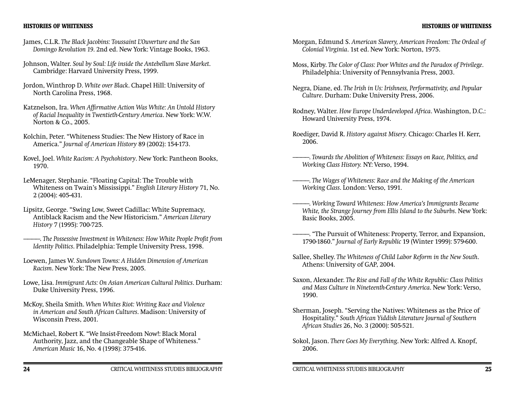#### **HISTORIES OF WHITENESS**

- James, C.L.R. *The Black Jacobins: Toussaint L'Ouverture and the San Domingo Revolution 19*. 2nd ed. New York: Vintage Books, 1963.
- Johnson, Walter. *Soul by Soul: Life inside the Antebellum Slave Market*. Cambridge: Harvard University Press, 1999.
- Jordon, Winthrop D. *White over Black*. Chapel Hill: University of North Carolina Press, 1968.
- Katznelson, Ira. When Affirmative Action Was White: An Untold History *of Racial Inequality in Twentieth-Century America*. New York: W.W. Norton & Co., 2005.
- Kolchin, Peter. "Whiteness Studies: The New History of Race in America." *Journal of American History* 89 (2002): 154-173.
- Kovel, Joel. *White Racism: A Psychohistory*. New York: Pantheon Books, 1970.
- LeMenager, Stephanie. "Floating Capital: The Trouble with Whiteness on Twain's Mississippi." *English Literary History* 71, No. 2 (2004): 405-431.
- Lipsitz, George. "Swing Low, Sweet Cadillac: White Supremacy, Antiblack Racism and the New Historicism." *American Literary History* 7 (1995): 700-725.
- **The Possessive Investment in Whiteness: How White People Profit from** *Identity Politics*. Philadelphia: Temple University Press, 1998.
- Loewen, James W. *Sundown Towns: A Hidden Dimension of American Racism*. New York: The New Press, 2005.
- Lowe, Lisa. *Immigrant Acts: On Asian American Cultural Politics*. Durham: Duke University Press, 1996.
- McKoy, Sheila Smith. *When Whites Riot: Writing Race and Violence in American and South African Cultures*. Madison: University of Wisconsin Press, 2001.
- McMichael, Robert K. "We Insist-Freedom Now!: Black Moral Authority, Jazz, and the Changeable Shape of Whiteness." *American Music* 16, No. 4 (1998): 375-416.
- Morgan, Edmund S. *American Slavery, American Freedom: The Ordeal of Colonial Virginia*. 1st ed. New York: Norton, 1975.
- Moss, Kirby. *The Color of Class: Poor Whites and the Paradox of Privilege*. Philadelphia: University of Pennsylvania Press, 2003.
- Negra, Diane, ed. *The Irish in Us: Irishness, Performativity, and Popular Culture*. Durham: Duke University Press, 2006.
- Rodney, Walter. *How Europe Underdeveloped Africa*. Washington, D.C.: Howard University Press, 1974.
- Roediger, David R. *History against Misery.* Chicago: Charles H. Kerr, 2006.
- ————. *Towards the Abolition of Whiteness: Essays on Race, Politics, and Working Class History.* NY: Verso, 1994.
- ————. *The Wages of Whiteness: Race and the Making of the American Working Class*. London: Verso, 1991.
- ————. *Working Toward Whiteness: How America's Immigrants Became White, the Strange Journey from Ellis Island to the Suburbs*. New York: Basic Books, 2005.
- ————. "The Pursuit of Whiteness: Property, Terror, and Expansion, 1790-1860." *Journal of Early Republic* 19 (Winter 1999): 579-600.
- Sallee, Shelley. *The Whiteness of Child Labor Reform in the New South*. Athens: University of GAP, 2004.
- Saxon, Alexander. *The Rise and Fall of the White Republic: Class Politics and Mass Culture in Nineteenth-Century America*. New York: Verso, 1990.
- Sherman, Joseph. "Serving the Natives: Whiteness as the Price of Hospitality." *South African Yiddish Literature Journal of Southern African Studies* 26, No. 3 (2000): 505-521.
- Sokol, Jason. *There Goes My Everything*. New York: Alfred A. Knopf, 2006.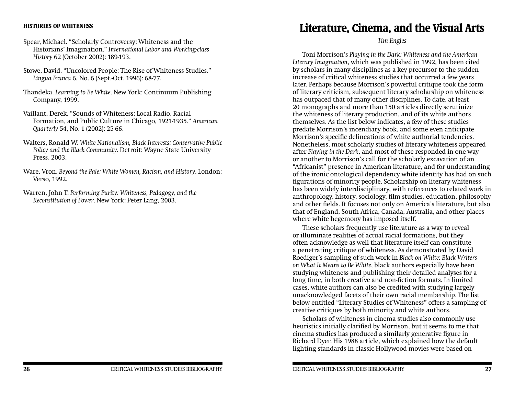#### **HISTORIES OF WHITENESS**

- Spear, Michael. "Scholarly Controversy: Whiteness and the Historians' Imagination." *International Labor and Working-class History* 62 (October 2002): 189-193.
- Stowe, David. "Uncolored People: The Rise of Whiteness Studies." *Lingua Franca* 6, No. 6 (Sept.-Oct. 1996): 68-77.
- Thandeka. *Learning to Be White*. New York: Continuum Publishing Company, 1999.
- Vaillant, Derek. "Sounds of Whiteness: Local Radio, Racial Formation, and Public Culture in Chicago, 1921-1935." *American Quarterly* 54, No. 1 (2002): 25-66.
- Walters, Ronald W. *White Nationalism, Black Interests: Conservative Public Policy and the Black Community*. Detroit: Wayne State University Press, 2003.
- Ware, Vron. *Beyond the Pale: White Women, Racism, and History*. London: Verso, 1992.
- Warren, John T. *Performing Purity: Whiteness, Pedagogy, and the Reconstitution of Power*. New York: Peter Lang, 2003.

# **Literature, Cinema, and the Visual Arts**

#### *Tim Engles*

Toni Morrison's *Playing in the Dark: Whiteness and the American Literary Imagination*, which was published in 1992, has been cited by scholars in many disciplines as a key precursor to the sudden increase of critical whiteness studies that occurred a few years later. Perhaps because Morrison's powerful critique took the form of literary criticism, subsequent literary scholarship on whiteness has outpaced that of many other disciplines. To date, at least 20 monographs and more than 150 articles directly scrutinize the whiteness of literary production, and of its white authors themselves. As the list below indicates, a few of these studies predate Morrison's incendiary book, and some even anticipate Morrison's specific delineations of white authorial tendencies. Nonetheless, most scholarly studies of literary whiteness appeared after *Playing in the Dark*, and most of these responded in one way or another to Morrison's call for the scholarly excavation of an "Africanist" presence in American literature, and for understanding of the ironic ontological dependency white identity has had on such figurations of minority people. Scholarship on literary whiteness has been widely interdisciplinary, with references to related work in anthropology, history, sociology, film studies, education, philosophy and other fields. It focuses not only on America's literature, but also that of England, South Africa, Canada, Australia, and other places where white hegemony has imposed itself.

These scholars frequently use literature as a way to reveal or illuminate realities of actual racial formations, but they often acknowledge as well that literature itself can constitute a penetrating critique of whiteness. As demonstrated by David Roediger's sampling of such work in *Black on White: Black Writers on What It Means to Be White*, black authors especially have been studying whiteness and publishing their detailed analyses for a long time, in both creative and non-fiction formats. In limited cases, white authors can also be credited with studying largely unacknowledged facets of their own racial membership. The list below entitled "Literary Studies of Whiteness" offers a sampling of creative critiques by both minority and white authors.

Scholars of whiteness in cinema studies also commonly use heuristics initially clarified by Morrison, but it seems to me that cinema studies has produced a similarly generative figure in Richard Dyer. His 1988 article, which explained how the default lighting standards in classic Hollywood movies were based on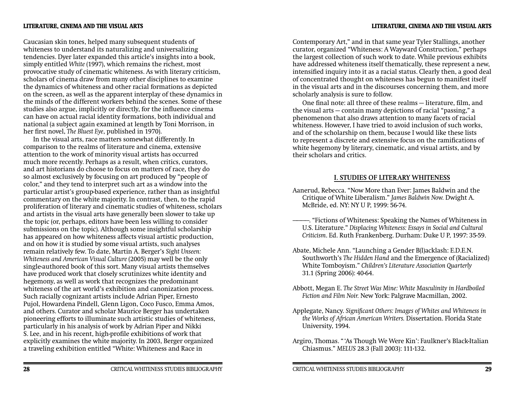#### **LITERATURE, CINEMA AND THE VISUAL ARTS**

Caucasian skin tones, helped many subsequent students of whiteness to understand its naturalizing and universalizing tendencies. Dyer later expanded this article's insights into a book, simply entitled *White* (1997), which remains the richest, most provocative study of cinematic whiteness. As with literary criticism, scholars of cinema draw from many other disciplines to examine the dynamics of whiteness and other racial formations as depicted on the screen, as well as the apparent interplay of these dynamics in the minds of the different workers behind the scenes. Some of these studies also argue, implicitly or directly, for the influence cinema can have on actual racial identity formations, both individual and national (a subject again examined at length by Toni Morrison, in her first novel, *The Bluest Eye*, published in 1970).

In the visual arts, race matters somewhat differently. In comparison to the realms of literature and cinema, extensive attention to the work of minority visual artists has occurred much more recently. Perhaps as a result, when critics, curators, and art historians do choose to focus on matters of race, they do so almost exclusively by focusing on art produced by "people of color," and they tend to interpret such art as a window into the particular artist's group-based experience, rather than as insightful commentary on the white majority. In contrast, then, to the rapid proliferation of literary and cinematic studies of whiteness, scholars and artists in the visual arts have generally been slower to take up the topic (or, perhaps, editors have been less willing to consider submissions on the topic). Although some insightful scholarship has appeared on how whiteness affects visual artistic production, and on how it is studied by some visual artists, such analyses remain relatively few. To date, Martin A. Berger's *Sight Unseen: Whiteness and American Visual Culture* (2005) may well be the only single-authored book of this sort. Many visual artists themselves have produced work that closely scrutinizes white identity and hegemony, as well as work that recognizes the predominant whiteness of the art world's exhibition and canonization process. Such racially cognizant artists include Adrian Piper, Ernesto Pujol, Howardena Pindell, Glenn Ligon, Coco Fusco, Emma Amos, and others. Curator and scholar Maurice Berger has undertaken pioneering efforts to illuminate such artistic studies of whiteness, particularly in his analysis of work by Adrian Piper and Nikki S. Lee, and in his recent, high-profile exhibitions of work that explicitly examines the white majority. In 2003, Berger organized a traveling exhibition entitled "White: Whiteness and Race in

Contemporary Art," and in that same year Tyler Stallings, another curator, organized "Whiteness: A Wayward Construction," perhaps the largest collection of such work to date. While previous exhibits have addressed whiteness itself thematically, these represent a new, intensified inquiry into it as a racial status. Clearly then, a good deal of concentrated thought on whiteness has begun to manifest itself in the visual arts and in the discourses concerning them, and more scholarly analysis is sure to follow.

One final note: all three of these realms – literature, film, and the visual arts — contain many depictions of racial "passing," a phenomenon that also draws attention to many facets of racial whiteness. However, I have tried to avoid inclusion of such works, and of the scholarship on them, because I would like these lists to represent a discrete and extensive focus on the ramifications of white hegemony by literary, cinematic, and visual artists, and by their scholars and critics.

#### **I. STUDIES OF LITERARY WHITENESS**

- Aanerud, Rebecca. "Now More than Ever: James Baldwin and the Critique of White Liberalism." *James Baldwin Now.* Dwight A. McBride, ed. NY: NY U P, 1999: 56-74.
- ————. "Fictions of Whiteness: Speaking the Names of Whiteness in U.S. Literature." *Displacing Whiteness: Essays in Social and Cultural Criticism*. Ed. Ruth Frankenberg. Durham: Duke U P, 1997: 35-59.
- Abate, Michele Ann. "Launching a Gender B(l)acklash: E.D.E.N. Southworth's *The Hidden Hand* and the Emergence of (Racialized) White Tomboyism." *Children's Literature Association Quarterly* 31.1 (Spring 2006): 40-64.
- Abbott, Megan E. *The Street Was Mine: White Masculinity in Hardboiled Fiction and Film Noir.* New York: Palgrave Macmillan, 2002.
- Applegate, Nancy. *Significant Others: Images of Whites and Whiteness in the Works of African American Writers.* Dissertation. Florida State University, 1994.
- Argiro, Thomas. " 'As Though We Were Kin': Faulkner's Black-Italian Chiasmus." *MELUS* 28.3 (Fall 2003): 111-132.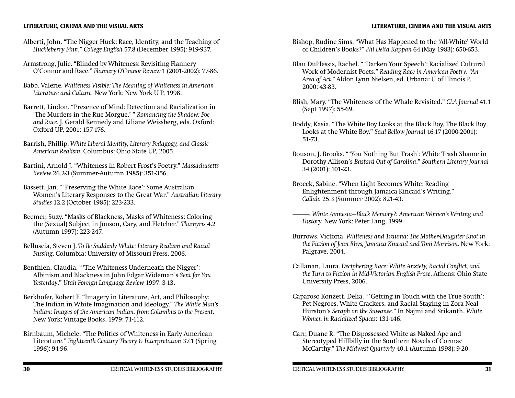- Alberti, John. "The Nigger Huck: Race, Identity, and the Teaching of *Huckleberry Finn*." *College English* 57.8 (December 1995): 919-937.
- Armstrong, Julie. "Blinded by Whiteness: Revisiting Flannery O'Connor and Race." *Flannery O'Connor Review* 1 (2001-2002): 77-86.
- Babb, Valerie. *Whiteness Visible: The Meaning of Whiteness in American Literature and Culture.* New York: New York U P, 1998.
- Barrett, Lindon. "Presence of Mind: Detection and Racialization in 'The Murders in the Rue Morgue.' " *Romancing the Shadow: Poe and Race.* J. Gerald Kennedy and Liliane Weissberg, eds. Oxford: Oxford UP, 2001: 157-176.
- Barrish, Phillip. *White Liberal Identity, Literary Pedagogy, and Classic American Realism.* Columbus: Ohio State UP, 2005.
- Bartini, Arnold J. "Whiteness in Robert Frost's Poetry." *Massachusetts Review* 26.2-3 (Summer-Autumn 1985): 351-356.
- Bassett, Jan. " 'Preserving the White Race': Some Australian Women's Literary Responses to the Great War." *Australian Literary Studies* 12.2 (October 1985): 223-233.
- Beemer, Suzy. "Masks of Blackness, Masks of Whiteness: Coloring the (Sexual) Subject in Jonson, Cary, and Fletcher." *Thamyris* 4.2 (Autumn 1997): 223-247.
- Belluscia, Steven J. *To Be Suddenly White: Literary Realism and Racial*  Passing. Columbia: University of Missouri Press, 2006.
- Benthien, Claudia. " 'The Whiteness Underneath the Nigger': Albinism and Blackness in John Edgar Wideman's *Sent for You Yesterday*." *Utah Foreign Language Review* 1997: 3-13.
- Berkhofer, Robert F. "Imagery in Literature, Art, and Philosophy: The Indian in White Imagination and Ideology." *The White Man's Indian: Images of the American Indian, from Columbus to the Present*. New York: Vintage Books, 1979: 71-112.
- Birnbaum, Michele. "The Politics of Whiteness in Early American Literature." *Eighteenth Century Theory & Interpretation* 37.1 (Spring 1996): 94-96.
- Bishop, Rudine Sims. "What Has Happened to the 'All-White' World of Children's Books?" *Phi Delta Kappan* 64 (May 1983): 650-653.
- Blau DuPlessis, Rachel. " 'Darken Your Speech': Racialized Cultural Work of Modernist Poets." *Reading Race in American Poetry: "An Area of Act."* Aldon Lynn Nielsen, ed. Urbana: U of Illinois P, 2000: 43-83.
- Blish, Mary. "The Whiteness of the Whale Revisited." *CLA Journal* 41.1 (Sept 1997): 55-69.
- Boddy, Kasia. "The White Boy Looks at the Black Boy, The Black Boy Looks at the White Boy." *Saul Bellow Journal* 16-17 (2000-2001): 51-73.
- Bouson, J. Brooks. " 'You Nothing But Trash': White Trash Shame in Dorothy Allison's *Bastard Out of Carolina*." *Southern Literary Journal*  34 (2001): 101-23.
- Broeck, Sabine. "When Light Becomes White: Reading Enlightenment through Jamaica Kincaid's Writing." *Callalo* 25.3 (Summer 2002): 821-43.
- ————. *White Amnesia—Black Memory?: American Women's Writing and History.* New York: Peter Lang, 1999.
- Burrows, Victoria. *Whiteness and Trauma: The Mother-Daughter Knot in the Fiction of Jean Rhys, Jamaica Kincaid and Toni Morrison.* New York: Palgrave, 2004.
- Callanan, Laura. *Deciphering Race: White Anxiety, Racial Conflict, and the Turn to Fiction in Mid-Victorian English Prose*. Athens: Ohio State University Press, 2006.
- Caparoso Konzett, Delia. " 'Getting in Touch with the True South': Pet Negroes, White Crackers, and Racial Staging in Zora Neal Hurston's *Seraph on the Suwanee*." In Najmi and Srikanth, *White Women in Racialized Spaces*: 131-146.
- Carr, Duane R. "The Dispossessed White as Naked Ape and Stereotyped Hillbilly in the Southern Novels of Cormac McCarthy." *The Midwest Quarterly* 40.1 (Autumn 1998): 9-20.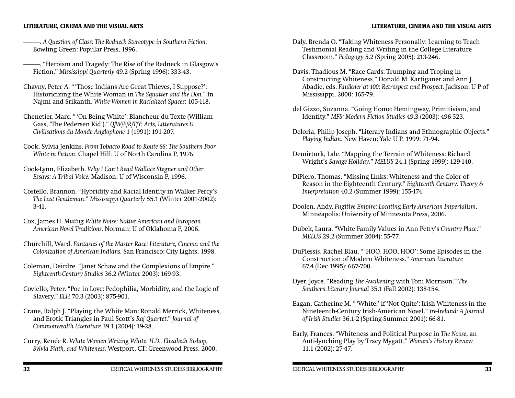#### **LITERATURE, CINEMA AND THE VISUAL ARTS**

————. *A Question of Class: The Redneck Stereotype in Southern Fiction.* Bowling Green: Popular Press, 1996.

————. "Heroism and Tragedy: The Rise of the Redneck in Glasgow's Fiction." *Mississippi Quarterly* 49.2 (Spring 1996): 333-43.

- Chavny, Peter A. " 'Those Indians Are Great Thieves, I Suppose?': Historicizing the White Woman in *The Squatter and the Don*." In Najmi and Srikanth, *White Women in Racialized Spaces*: 105-118.
- Chenetier, Marc. " 'On Being White': Blancheur du Texte (William Gass, 'The Pedersen Kid')." *Q/W/E/R/T/Y: Arts, Litteratures & Civilisations du Monde Anglophone* 1 (1991): 191-207.
- Cook, Sylvia Jenkins. *From Tobacco Road to Route 66: The Southern Poor White in Fiction*. Chapel Hill: U of North Carolina P, 1976.
- Cook-Lynn, Elizabeth. *Why I Can't Read Wallace Stegner and Other Essays: A Tribal Voice.* Madison: U of Wisconsin P, 1996.
- Costello, Brannon. "Hybridity and Racial Identity in Walker Percy's *The Last Gentleman*." *Mississippi Quarterly* 55.1 (Winter 2001-2002): 3-41.
- Cox, James H. *Muting White Noise: Native American and European American Novel Traditions.* Norman: U of Oklahoma P, 2006.
- Churchill, Ward. *Fantasies of the Master Race: Literature, Cinema and the Colonization of American Indians.* San Francisco: City Lights, 1998.
- Coleman, Deirdre. "Janet Schaw and the Complexions of Empire." *Eighteenth-Century Studies* 36.2 (Winter 2003): 169-93.
- Coviello, Peter. "Poe in Love: Pedophilia, Morbidity, and the Logic of Slavery." *ELH* 70.3 (2003): 875-901.
- Crane, Ralph J. "Playing the White Man: Ronald Merrick, Whiteness, and Erotic Triangles in Paul Scott's *Raj Quartet*." *Journal of Commonwealth Literature* 39.1 (2004): 19-28.
- Curry, Renée R. *White Women Writing White: H.D., Elizabeth Bishop, Sylvia Plath, and Whiteness.* Westport, CT: Greenwood Press, 2000.
- Daly, Brenda O. "Taking Whiteness Personally: Learning to Teach Testimonial Reading and Writing in the College Literature Classroom." *Pedagogy* 5.2 (Spring 2005): 213-246.
- Davis, Thadious M. "Race Cards: Trumping and Troping in Constructing Whiteness." Donald M. Kartiganer and Ann J. Abadie, eds. *Faulkner at 100: Retrospect and Prospect.* Jackson: U P of Mississippi, 2000: 165-79.
- del Gizzo, Suzanna. "Going Home: Hemingway, Primitivism, and Identity." *MFS: Modern Fiction Studies* 49.3 (2003): 496-523.
- Deloria, Philip Joseph. "Literary Indians and Ethnographic Objects." *Playing Indian*. New Haven: Yale U P, 1999: 71-94.
- Demirturk, Lale. "Mapping the Terrain of Whiteness: Richard Wright's *Savage Holiday*." *MELUS* 24.1 (Spring 1999): 129-140.
- DiPiero, Thomas. "Missing Links: Whiteness and the Color of Reason in the Eighteenth Century." *Eighteenth Century: Theory & Interpretation* 40.2 (Summer 1999): 155-174.
- Doolen, Andy. *Fugitive Empire: Locating Early American Imperialism*. Minneapolis: University of Minnesota Press, 2006.
- Dubek, Laura. "White Family Values in Ann Petry's *Country Place*." *MELUS* 29.2 (Summer 2004): 55-77.
- DuPlessis, Rachel Blau. " 'HOO, HOO, HOO': Some Episodes in the Construction of Modern Whiteness." *American Literature*67.4 (Dec 1995): 667-700.
- Dyer. Joyce. "Reading *The Awakening* with Toni Morrison." *The Southern Literary Journal* 35.1 (Fall 2002): 138-154.
- Eagan, Catherine M. " 'White,' if 'Not Quite': Irish Whiteness in the Nineteenth-Century Irish-American Novel." *ire-Ireland: A Journal of Irish Studies* 36.1-2 (Spring-Summer 2001): 66-81.
- Early, Frances. "Whiteness and Political Purpose in *The Noose*, an Anti-lynching Play by Tracy Mygatt." *Women's History Review* 11.1 (2002): 27-47.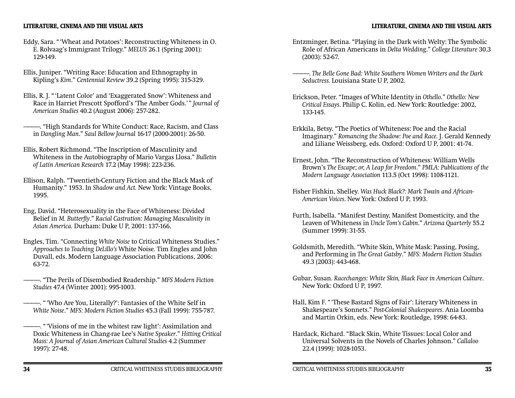#### **LITERATURE, CINEMA AND THE VISUAL ARTS**

- Eddy, Sara. " 'Wheat and Potatoes': Reconstructing Whiteness in O. E. Rolvaag's Immigrant Trilogy." *MELUS* 26.1 (Spring 2001): 129-149.
- Ellis, Juniper. "Writing Race: Education and Ethnography in Kipling's *Kim*." *Centennial Review* 39.2 (Spring 1995): 315-329.
- Ellis, R. J. " 'Latent Color' and 'Exaggerated Snow': Whiteness and Race in Harriet Prescott Spofford's 'The Amber Gods.' " *Journal of American Studies* 40.2 (August 2006): 257-282.

————. "High Standards for White Conduct: Race, Racism, and Class in *Dangling Man*." *Saul Bellow Journal* 16-17 (2000-2001): 26-50.

- Ellis, Robert Richmond. "The Inscription of Masculinity and Whiteness in the Autobiography of Mario Vargas Llosa." *Bulletin of Latin American Research* 17.2 (May 1998): 223-236.
- Ellison, Ralph. "Twentieth-Century Fiction and the Black Mask of Humanity." 1953. In *Shadow and Act.* New York: Vintage Books, 1995.
- Eng, David. "Heterosexuality in the Face of Whiteness: Divided Belief in *M. Butterfly.*" Racial Castration: Managing Masculinity in *Asian America.* Durham: Duke U P, 2001: 137-166.
- Engles, Tim. "Connecting *White Noise* to Critical Whiteness Studies." *Approaches to Teaching DeLillo's* White Noise*.* Tim Engles and John Duvall, eds. Modern Language Association Publications, 2006: 63-72.
- ————. "The Perils of Disembodied Readership." *MFS Modern Fiction Studies* 47.4 (Winter 2001): 995-1003.
- ————. " 'Who Are You, Literally?': Fantasies of the White Self in *White Noise*." *MFS: Modern Fiction Studies* 45.3 (Fall 1999): 755-787.
- ————. " 'Visions of me in the whitest raw light': Assimilation and Doxic Whiteness in Chang-rae Lee's *Native Speaker*." *Hitting Critical Mass: A Journal of Asian American Cultural Studies* 4.2 (Summer 1997): 27-48.
- Entzminger, Betina. "Playing in the Dark with Welty: The Symbolic Role of African Americans in *Delta Wedding*." *College Literature* 30.3 (2003): 52-67.
- ————. *The Belle Gone Bad: White Southern Women Writers and the Dark Seductress.* Louisiana State U P, 2002.
- Erickson, Peter. "Images of White Identity in *Othello*." *Othello: New Critical Essays*. Philip C. Kolin, ed. New York: Routledge: 2002, 133-145.
- Erkkila, Betsy. "The Poetics of Whiteness: Poe and the Racial Imaginary." *Romancing the Shadow: Poe and Race.* J. Gerald Kennedy and Liliane Weissberg, eds. Oxford: Oxford U P, 2001: 41-74.
- Ernest, John. "The Reconstruction of Whiteness: William Wells Brown's *The Escape*; *or, A Leap for Freedom*." *PMLA: Publications of the Modern Language Association* 113.5 (Oct 1998): 1108-1121.
- Fisher Fishkin, Shelley. *Was Huck Black?: Mark Twain and African-American Voices*. New York: Oxford U P, 1993.
- Furth, Isabella. "Manifest Destiny, Manifest Domesticity, and the Leaven of Whiteness in *Uncle Tom's Cabin*." *Arizona Quarterly* 55.2 (Summer 1999): 31-55.
- Goldsmith, Meredith. "White Skin, White Mask: Passing, Posing, and Performing in *The Great Gatsby*." *MFS: Modern Fiction Studies* 49.3 (2003): 443-468.
- Gubar, Susan. *Racechanges: White Skin, Black Face in American Culture*. New York: Oxford U P, 1997.
- Hall, Kim F. " 'These Bastard Signs of Fair': Literary Whiteness in Shakespeare's Sonnets." *Post-Colonial Shakespeares*. Ania Loomba and Martin Orkin, eds. New York: Routledge, 1998: 64-83.
- Hardack, Richard. "Black Skin, White Tissues: Local Color and Universal Solvents in the Novels of Charles Johnson." *Callaloo* 22.4 (1999): 1028-1053.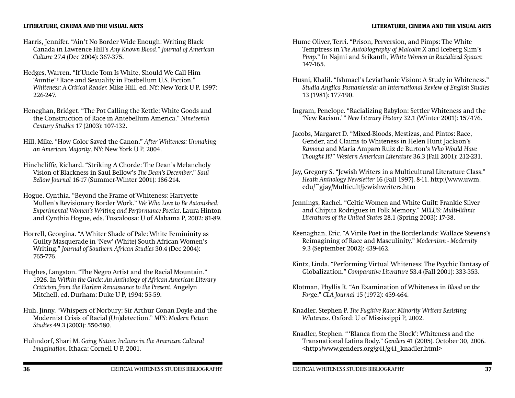- Harris, Jennifer. "Ain't No Border Wide Enough: Writing Black Canada in Lawrence Hill's *Any Known Blood*." *Journal of American Culture* 27.4 (Dec 2004): 367-375.
- Hedges, Warren. "If Uncle Tom Is White, Should We Call Him 'Auntie'? Race and Sexuality in Postbellum U.S. Fiction." *Whiteness: A Critical Reader.* Mike Hill, ed. NY: New York U P, 1997: 226-247.
- Heneghan, Bridget. "The Pot Calling the Kettle: White Goods and the Construction of Race in Antebellum America." *Nineteenth Century Studies* 17 (2003): 107-132.
- Hill, Mike. "How Color Saved the Canon." *After Whiteness: Unmaking an American Majority*. NY: New York U P, 2004.
- Hinchcliffe, Richard. "Striking A Chorde: The Dean's Melancholy Vision of Blackness in Saul Bellow's *The Dean's December*." *Saul Bellow Journal* 16-17 (Summer-Winter 2001): 186-214.
- Hogue, Cynthia. "Beyond the Frame of Whiteness: Harryette Mullen's Revisionary Border Work." *We Who Love to Be Astonished: Experimental Women's Writing and Performance Poetics*. Laura Hinton and Cynthia Hogue, eds. Tuscaloosa: U of Alabama P, 2002: 81-89.
- Horrell, Georgina. "A Whiter Shade of Pale: White Femininity as Guilty Masquerade in 'New' (White) South African Women's Writing." *Journal of Southern African Studies* 30.4 (Dec 2004): 765-776.
- Hughes, Langston. "The Negro Artist and the Racial Mountain." 1926. In *Within the Circle: An Anthology of African American Literary Criticism from the Harlem Renaissance to the Present.* Angelyn Mitchell, ed. Durham: Duke U P, 1994: 55-59.
- Huh, Jinny. "Whispers of Norbury: Sir Arthur Conan Doyle and the Modernist Crisis of Racial (Un)detection." *MFS: Modern Fiction Studies* 49.3 (2003): 550-580.
- Huhndorf, Shari M. *Going Native: Indians in the American Cultural Imagination.* Ithaca: Cornell U P, 2001.
- Hume Oliver, Terri. "Prison, Perversion, and Pimps: The White Temptress in *The Autobiography of Malcolm X* and Iceberg Slim's *Pimp*." In Najmi and Srikanth, *White Women in Racialized Spaces*: 147-165.
- Husni, Khalil. "Ishmael's Leviathanic Vision: A Study in Whiteness." *Studia Anglica Posnaniensia: an International Review of English Studies* 13 (1981): 177-190.
- Ingram, Penelope. "Racializing Babylon: Settler Whiteness and the 'New Racism.' " *New Literary History* 32.1 (Winter 2001): 157-176.
- Jacobs, Margaret D. "Mixed-Bloods, Mestizas, and Pintos: Race, Gender, and Claims to Whiteness in Helen Hunt Jackson's *Ramona* and Maria Amparo Ruiz de Burton's *Who Would Have Thought It*?" *Western American Literature* 36.3 (Fall 2001): 212-231.
- Jay, Gregory S. "Jewish Writers in a Multicultural Literature Class." *Heath Anthology Newsletter* 16 (Fall 1997). 8-11. http://www.uwm. edu/~gjay/Multicult/jewishwriters.htm
- Jennings, Rachel. "Celtic Women and White Guilt: Frankie Silver and Chipita Rodriguez in Folk Memory." *MELUS: Multi-Ethnic Literatures of the United States* 28.1 (Spring 2003): 17-38.
- Keenaghan, Eric. "A Virile Poet in the Borderlands: Wallace Stevens's Reimagining of Race and Masculinity." *Modernism - Modernity* 9.3 (September 2002): 439-462.
- Kintz, Linda. "Performing Virtual Whiteness: The Psychic Fantasy of Globalization." *Comparative Literature* 53.4 (Fall 2001): 333-353.
- Klotman, Phyllis R. "An Examination of Whiteness in *Blood on the Forg*e." *CLA Journal* 15 (1972): 459-464.
- Knadler, Stephen P. *The Fugitive Race: Minority Writers Resisting Whiteness*. Oxford: U of Mississippi P, 2002.
- Knadler, Stephen. " 'Blanca from the Block': Whiteness and the Transnational Latina Body." *Genders* 41 (2005). October 30, 2006. <http://www.genders.org/g41/g41\_knadler.html>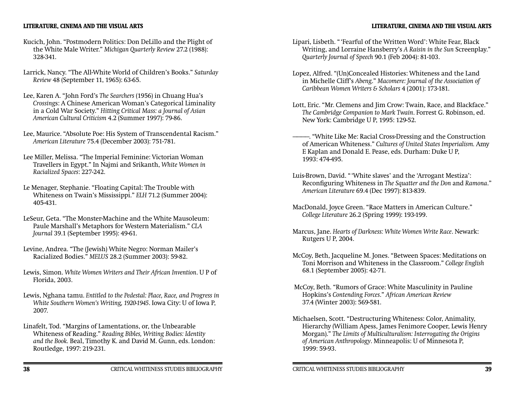- Kucich, John. "Postmodern Politics: Don DeLillo and the Plight of the White Male Writer." *Michigan Quarterly Review* 27.2 (1988): 328-341.
- Larrick, Nancy. "The All-White World of Children's Books." *Saturday Review* 48 (September 11, 1965): 63-65.
- Lee, Karen A. "John Ford's *The Searchers* (1956) in Chuang Hua's *Crossing*s: A Chinese American Woman's Categorical Liminality in a Cold War Society." *Hitting Critical Mass: a Journal of Asian American Cultural Criticism* 4.2 (Summer 1997): 79-86.
- Lee, Maurice. "Absolute Poe: His System of Transcendental Racism." *American Literature* 75.4 (December 2003): 751-781.
- Lee Miller, Melissa. "The Imperial Feminine: Victorian Woman Travellers in Egypt." In Najmi and Srikanth, *White Women in Racialized Spaces*: 227-242.
- Le Menager, Stephanie. "Floating Capital: The Trouble with Whiteness on Twain's Mississippi." *ELH* 71.2 (Summer 2004): 405-431.
- LeSeur, Geta. "The Monster-Machine and the White Mausoleum: Paule Marshall's Metaphors for Western Materialism." *CLA Journal* 39.1 (September 1995): 49-61.
- Levine, Andrea. "The (Jewish) White Negro: Norman Mailer's Racialized Bodies." *MELUS* 28.2 (Summer 2003): 59-82.
- Lewis, Simon. *White Women Writers and Their African Invention*. U P of Florida, 2003.
- Lewis, Nghana tamu. *Entitled to the Pedestal: Place, Race, and Progress in White Southern Women's Writing, 1920-1945*. Iowa City: U of Iowa P, 2007.
- Linafelt, Tod. "Margins of Lamentations, or, the Unbearable Whiteness of Reading." *Reading Bibles, Writing Bodies: Identity and the Book.* Beal, Timothy K. and David M. Gunn, eds. London: Routledge, 1997: 219-231.
- Lipari, Lisbeth. " 'Fearful of the Written Word': White Fear, Black Writing, and Lorraine Hansberry's *A Raisin in the Sun* Screenplay." *Quarterly Journal of Speech* 90.1 (Feb 2004): 81-103.
- Lopez, Alfred. "(Un)Concealed Histories: Whiteness and the Land in Michelle Cliff's *Abeng*." *Macomere: Journal of the Association of Caribbean Women Writers & Scholars* 4 (2001): 173-181.
- Lott, Eric. "Mr. Clemens and Jim Crow: Twain, Race, and Blackface." *The Cambridge Companion to Mark Twain*. Forrest G. Robinson, ed. New York: Cambridge U P, 1995: 129-52.
- ————. "White Like Me: Racial Cross-Dressing and the Construction of American Whiteness." *Cultures of United States Imperialism.* Amy E Kaplan and Donald E. Pease, eds. Durham: Duke U P, 1993: 474-495.
- Luis-Brown, David. " 'White slaves' and the 'Arrogant Mestiza': Reconfiguring Whiteness in *The Squatter and the Don* and *Ramona*." *American Literature* 69.4 (Dec 1997): 813-839.
- MacDonald, Joyce Green. "Race Matters in American Culture." *College Literature* 26.2 (Spring 1999): 193-199.
- Marcus, Jane. *Hearts of Darkness: White Women Write Race*. Newark: Rutgers U P, 2004.
- McCoy, Beth, Jacqueline M. Jones. "Between Spaces: Meditations on Toni Morrison and Whiteness in the Classroom." *College English*  68.1 (September 2005): 42-71.
- McCoy, Beth. "Rumors of Grace: White Masculinity in Pauline Hopkins's *Contending Forces*." *African American Review* 37.4 (Winter 2003): 569-581.
- Michaelsen, Scott. "Destructuring Whiteness: Color, Animality, Hierarchy (William Apess, James Fenimore Cooper, Lewis Henry Morgan)." *The Limits of Multiculturalism: Interrogating the Origins of American Anthropology*. Minneapolis: U of Minnesota P, 1999: 59-93.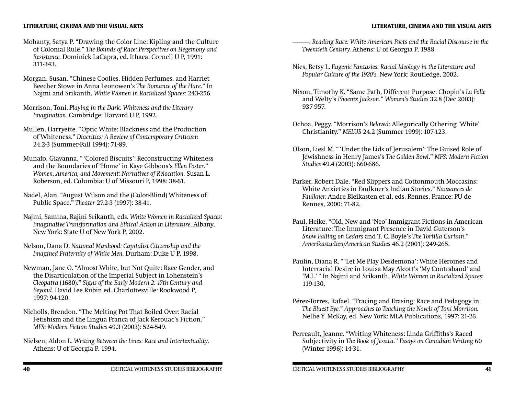- Mohanty, Satya P. "Drawing the Color Line: Kipling and the Culture of Colonial Rule." *The Bounds of Race: Perspectives on Hegemony and Resistance.* Dominick LaCapra, ed. Ithaca: Cornell U P, 1991: 311-343.
- Morgan, Susan. "Chinese Coolies, Hidden Perfumes, and Harriet Beecher Stowe in Anna Leonowen's *The Romance of the Hare*." In Najmi and Srikanth, *White Women in Racialized Spaces:* 243-256.
- Morrison, Toni. *Playing in the Dark: Whiteness and the Literary Imagination*. Cambridge: Harvard U P, 1992.
- Mullen, Harryette. "Optic White: Blackness and the Production of Whiteness." *Diacritics: A Review of Contemporary Criticism*  24.2-3 (Summer-Fall 1994): 71-89.
- Munafo, Giavanna. " 'Colored Biscuits': Reconstructing Whiteness and the Boundaries of 'Home' in Kaye Gibbons's *Ellen Foster*." *Women, America, and Movement: Narratives of Relocation.* Susan L. Roberson, ed. Columbia: U of Missouri P, 1998: 38-61.
- Nadel, Alan. "August Wilson and the (Color-Blind) Whiteness of Public Space." *Theater* 27.2-3 (1997): 38-41.
- Najmi, Samina, Rajini Srikanth, eds. *White Women in Racialized Spaces: Imaginative Transformation and Ethical Action in Literature*. Albany, New York: State U of New York P, 2002.
- Nelson, Dana D. *National Manhood: Capitalist Citizenship and the Imagined Fraternity of White Men.* Durham: Duke U P, 1998.
- Newman, Jane O. "Almost White, but Not Quite: Race Gender, and the Disarticulation of the Imperial Subject in Lohenstein's *Cleopatra* (1680)." *Signs of the Early Modern 2: 17th Century and Beyond.* David Lee Rubin ed. Charlottesville: Rookwood P, 1997: 94-120.
- Nicholls, Brendon. "The Melting Pot That Boiled Over: Racial Fetishism and the Lingua Franca of Jack Kerouac's Fiction." *MFS: Modern Fiction Studies* 49.3 (2003): 524-549.
- Nielsen, Aldon L. *Writing Between the Lines: Race and Intertextuality*. Athens: U of Georgia P, 1994.
- ————. *Reading Race: White American Poets and the Racial Discourse in the Twentieth Century.* Athens: U of Georgia P, 1988.
- Nies, Betsy L. *Eugenic Fantasies: Racial Ideology in the Literature and Popular Culture of the 1920's.* New York: Routledge, 2002.
- Nixon, Timothy K. "Same Path, Different Purpose: Chopin's *La Folle* and Welty's *Phoenix Jackson*." *Women's Studies* 32.8 (Dec 2003): 937-957.
- Ochoa, Peggy. "Morrison's *Beloved*: Allegorically Othering 'White' Christianity." *MELUS* 24.2 (Summer 1999): 107-123.
- Olson, Liesl M. " 'Under the Lids of Jerusalem': The Guised Role of Jewishness in Henry James's *The Golden Bowl*." *MFS: Modern Fiction Studies* 49.4 (2003): 660-686.
- Parker, Robert Dale. "Red Slippers and Cottonmouth Moccasins: White Anxieties in Faulkner's Indian Stories." *Naissances de Faulkner.* Andre Bleikasten et al, eds. Rennes, France: PU de Rennes, 2000: 71-82.
- Paul, Heike. "Old, New and 'Neo' Immigrant Fictions in American Literature: The Immigrant Presence in David Guterson's *Snow Falling on Cedars* and T. C. Boyle's *The Tortilla Curtain*." *Amerikastudien/American Studies* 46.2 (2001): 249-265.
- Paulin, Diana R. " 'Let Me Play Desdemona': White Heroines and Interracial Desire in Louisa May Alcott's 'My Contraband' and 'M.L.' " In Najmi and Srikanth, *White Women in Racialized Spaces*: 119-130.
- Pérez-Torres, Rafael. "Tracing and Erasing: Race and Pedagogy in *The Bluest Eye.*" *Approaches to Teaching the Novels of Toni Morrison.* Nellie Y. McKay, ed. New York: MLA Publications, 1997: 21-26.
- Perreault, Jeanne. "Writing Whiteness: Linda Griffiths's Raced Subjectivity in *The Book of Jessica*." *Essays on Canadian Writing* 60 (Winter 1996): 14-31.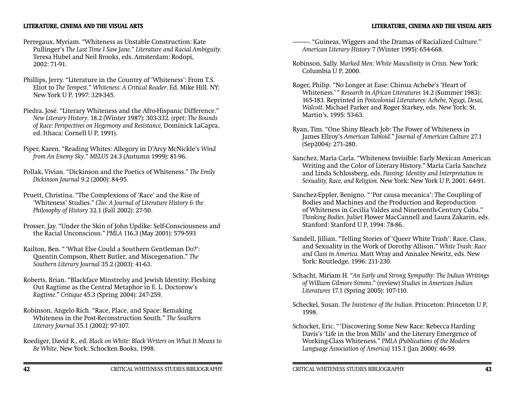- Perregaux, Myriam. "Whiteness as Unstable Construction: Kate Pullinger's *The Last Time I Saw Jane*." *Literature and Racial Ambiguity.*  Teresa Hubel and Neil Brooks, eds. Amsterdam: Rodopi,  $2002:71-91$
- Phillips, Jerry. "Literature in the Country of 'Whiteness': From T.S. Eliot to *The Tempest.*" *Whiteness: A Critical Reader*. Ed. Mike Hill. NY: New York U P, 1997: 329-345.
- Piedra, José. "Literary Whiteness and the Afro-Hispanic Difference." *New Literary History*. 18.2 (Winter 1987): 303-332. (rprt: *The Bounds of Race: Perspectives on Hegemony and Resistance,* Dominick LaCapra, ed. Ithaca: Cornell U P, 1991).
- Piper, Karen. "Reading Whites: Allegory in D'Arcy McNickle's *Wind from An Enemy Sky*." *MELUS* 24.3 (Autumn 1999): 81-96.
- Pollak, Vivian. "Dickinson and the Poetics of Whiteness." *The Emily Dickinson Journal* 9.2 (2000): 84-95.
- Pruett, Christina. "The Complexions of 'Race' and the Rise of 'Whiteness' Studies." *Clio: A Journal of Literature History & the Philosophy of History* 32.1 (Fall 2002): 27-50.
- Prosser, Jay. "Under the Skin of John Updike: Self-Consciousness and the Racial Unconscious." *PMLA* 116.3 (May 2001): 579-593
- Railton, Ben. " 'What Else Could a Southern Gentleman Do?': Quentin Compson, Rhett Butler, and Miscegenation." *The Southern Literary Journal* 35.2 (2003): 41-63.
- Roberts, Brian. "Blackface Minstrelsy and Jewish Identity: Fleshing Out Ragtime as the Central Metaphor in E. L. Doctorow's *Ragtime*." *Critique* 45.3 (Spring 2004): 247-259.
- Robinson, Angelo Rich. "Race, Place, and Space: Remaking Whiteness in the Post-Reconstruction South." *The Southern Literary Journal* 35.1 (2002): 97-107.
- Roediger, David R., ed. *Black on White: Black Writers on What It Means to Be White*. New York: Schocken Books, 1998.
- ————. "Guineas, Wiggers and the Dramas of Racialized Culture." *American Literary History* 7 (Winter 1995): 654-668.
- Robinson, Sally. *Marked Men: White Masculinity in Crisis.* New York: Columbia U P, 2000.
- Roger, Philip. "No Longer at Ease: Chinua Achebe's 'Heart of Whiteness.' " *Research in African Literatures* 14.2 (Summer 1983): 165-183. Reprinted in *Postcolonial Literatures: Achebe, Ngugi, Desai, Walcott*. Michael Parker and Roger Starkey, eds. New York: St. Martin's, 1995: 53-63.
- Ryan, Tim. "One Shiny Bleach Job: The Power of Whiteness in James Ellroy's *American Tabloid*." *Journal of American Culture* 27.1 (Sep2004): 271-280.
- Sanchez, María Carla. "Whiteness Invisible: Early Mexican American Writing and the Color of Literary History." María Carla Sanchez and Linda Schlossberg, eds. *Passing: Identity and Interpretation in Sexuality, Race, and Religion.* New York: New York U P, 2001: 64-91.
- Sanchez-Eppler, Benigno. " 'Por causa mecanica': The Coupling of Bodies and Machines and the Production and Reproduction of Whiteness in Cecilia Valdes and Nineteenth-Century Cuba." *Thinking Bodies.* Juliet Flower MacCannell and Laura Zakarin, eds. Stanford: Stanford U P, 1994: 78-86.
- Sandell, Jillian. "Telling Stories of 'Queer White Trash': Race, Class, and Sexuality in the Work of Dorothy Allison." *White Trash: Race and Class in America.* Matt Wray and Annalee Newitz, eds. New York: Routledge, 1996: 211-230.
- Schacht, Miriam H. "*An Early and Strong Sympathy: The Indian Writings of William Gilmore Simms*." (review) *Studies in American Indian Literatures* 17.1 (Spring 2005): 107-110.
- Scheckel, Susan. *The Insistence of the Indian*. Princeton: Princeton U P, 1998.
- Schocket, Eric. " 'Discovering Some New Race: Rebecca Harding Davis's 'Life in the Iron Mills' and the Literary Emergence of Working-Class Whiteness." *PMLA (Publications of the Modern Language Association of America)* 115.1 (Jan 2000): 46-59.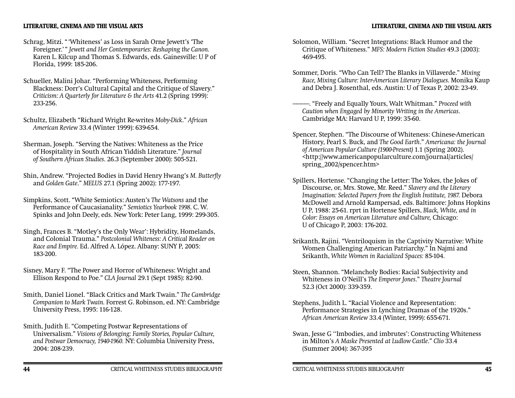- Schrag, Mitzi. " 'Whiteness' as Loss in Sarah Orne Jewett's 'The Foreigner.' " *Jewett and Her Contemporaries: Reshaping the Canon.* Karen L. Kilcup and Thomas S. Edwards, eds. Gainesville: U P of Florida, 1999: 185-206.
- Schueller, Malini Johar. "Performing Whiteness, Performing Blackness: Dorr's Cultural Capital and the Critique of Slavery." *Criticism: A Quarterly for Literature & the Arts* 41.2 (Spring 1999): 233-256.
- Schultz, Elizabeth "Richard Wright Re-writes *Moby-Dick*." *African American Review* 33.4 (Winter 1999): 639-654.
- Sherman, Joseph. "Serving the Natives: Whiteness as the Price of Hospitality in South African Yiddish Literature." *Journal of Southern African Studies*. 26.3 (September 2000): 505-521.
- Shin, Andrew. "Projected Bodies in David Henry Hwang's *M. Butterfly* and *Golden Gate*." *MELUS* 27.1 (Spring 2002): 177-197.
- Simpkins, Scott. "White Semiotics: Austen's *The Watsons* and the Performance of Caucasianality." *Semiotics Yearbook 1998*. C. W. Spinks and John Deely, eds. New York: Peter Lang, 1999: 299-305.
- Singh, Frances B. "Motley's the Only Wear': Hybridity, Homelands, and Colonial Trauma." *Postcolonial Whiteness: A Critical Reader on Race and Empire.* Ed. Alfred A. López. Albany: SUNY P, 2005: 183-200.
- Sisney, Mary F. "The Power and Horror of Whiteness: Wright and Ellison Respond to Poe." *CLA Journal* 29.1 (Sept 1985): 82-90.
- Smith, Daniel Lionel. "Black Critics and Mark Twain." *The Cambridge Companion to Mark Twain.* Forrest G. Robinson, ed. NY: Cambridge University Press, 1995: 116-128.
- Smith, Judith E. "Competing Postwar Representations of Universalism." *Visions of Belonging: Family Stories, Popular Culture, and Postwar Democracy, 1940-1960.* NY: Columbia University Press, 2004: 208-239.
- Solomon, William. "Secret Integrations: Black Humor and the Critique of Whiteness." *MFS: Modern Fiction Studies* 49.3 (2003): 469-495.
- Sommer, Doris. "Who Can Tell? The Blanks in Villaverde." *Mixing Race, Mixing Culture: Inter-American Literary Dialogues*. Monika Kaup and Debra J. Rosenthal, eds. Austin: U of Texas P, 2002: 23-49.
- ————. "Freely and Equally Yours, Walt Whitman." *Proceed with Caution when Engaged by Minority Writing in the Americas*. Cambridge MA: Harvard U P, 1999: 35-60.
- Spencer, Stephen. "The Discourse of Whiteness: Chinese-American History, Pearl S. Buck, and *The Good Earth*." *Americana: the Journal of American Popular Culture (1900-Present)* 1.1 (Spring 2002). <http://www.americanpopularculture.com/journal/articles/ spring\_2002/spencer.htm>
- Spillers, Hortense. "Changing the Letter: The Yokes, the Jokes of Discourse, or, Mrs. Stowe, Mr. Reed." *Slavery and the Literary Imagination: Selected Papers from the English Institute, 1987.* Debora McDowell and Arnold Rampersad, eds. Baltimore: Johns Hopkins U P, 1988: 25-61. rprt in Hortense Spillers, *Black, White, and in Color: Essays on American Literature and Culture,* Chicago: U of Chicago P, 2003: 176-202.
- Srikanth, Rajini. "Ventriloquism in the Captivity Narrative: White Women Challenging American Patriarchy." In Najmi and Srikanth, *White Women in Racialized Spaces:* 85-104.
- Steen, Shannon. "Melancholy Bodies: Racial Subjectivity and Whiteness in O'Neill's *The Emperor Jones*." *Theatre Journal* 52.3 (Oct 2000): 339-359.
- Stephens, Judith L. "Racial Violence and Representation: Performance Strategies in Lynching Dramas of the 1920s." *African American Review* 33.4 (Winter, 1999): 655-671.
- Swan, Jesse G ''Imbodies, and imbrutes': Constructing Whiteness in Milton's *A Maske Presented at Ludlow Castle*." *Clio* 33.4 (Summer 2004): 367-395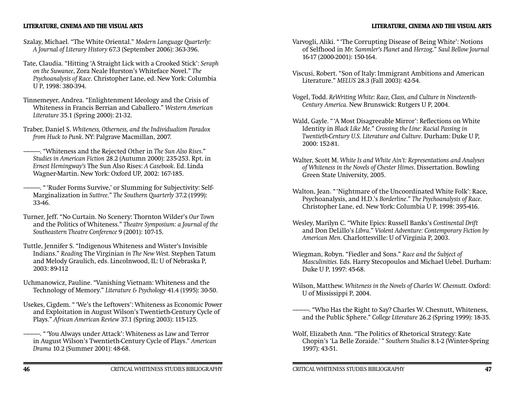- Szalay, Michael. "The White Oriental." *Modern Language Quarterly: A Journal of Literary History* 67.3 (September 2006): 363-396.
- Tate, Claudia. "Hitting 'A Straight Lick with a Crooked Stick': *Seraph on the Suwanee*, Zora Neale Hurston's Whiteface Novel." *The Psychoanalysis of Race*. Christopher Lane, ed. New York: Columbia U P, 1998: 380-394.
- Tinnemeyer, Andrea. "Enlightenment Ideology and the Crisis of Whiteness in Francis Berrian and Caballero." *Western American Literature* 35.1 (Spring 2000): 21-32.
- Traber, Daniel S. *Whiteness, Otherness, and the Individualism Paradox from Huck to Punk*. NY: Palgrave Macmillan, 2007.
- ————. "Whiteness and the Rejected Other in *The Sun Also Rises*." *Studies in American Fiction* 28.2 (Autumn 2000): 235-253. Rpt. in *Ernest Hemingway's* The Sun Also Rises: *A Casebook*. Ed. Linda Wagner-Martin. New York: Oxford UP, 2002: 167-185.
- ————. " 'Ruder Forms Survive,' or Slumming for Subjectivity: Self-Marginalization in *Suttree*." *The Southern Quarterly* 37.2 (1999): 33-46.
- Turner, Jeff. "No Curtain. No Scenery: Thornton Wilder's *Our Town* and the Politics of Whiteness." *Theatre Symposium: a Journal of the Southeastern Theatre Conference* 9 (2001): 107-15.
- Tuttle, Jennifer S. "Indigenous Whiteness and Wister's Invisible Indians." *Reading* The Virginian *in The New West.* Stephen Tatum and Melody Graulich, eds. Lincolnwood, IL: U of Nebraska P, 2003: 89-112
- Uchmanowicz, Pauline. "Vanishing Vietnam: Whiteness and the Technology of Memory." *Literature & Psychology* 41.4 (1995): 30-50.
- Usekes, Cigdem. " 'We's the Leftovers': Whiteness as Economic Power and Exploitation in August Wilson's Twentieth-Century Cycle of Plays." *African American Review* 37.1 (Spring 2003): 115-125.
- ————. " 'You Always under Attack': Whiteness as Law and Terror in August Wilson's Twentieth-Century Cycle of Plays." *American Drama* 10.2 (Summer 2001): 48-68.
- Varvogli, Aliki. " 'The Corrupting Disease of Being White': Notions of Selfhood in *Mr. Sammler's Planet* and *Herzog*." *Saul Bellow Journal*  16-17 (2000-2001): 150-164.
- Viscusi, Robert. "Son of Italy: Immigrant Ambitions and American Literature." *MELUS* 28.3 (Fall 2003): 42-54.
- Vogel, Todd. *ReWriting White: Race, Class, and Culture in Nineteenth-Century America.* New Brunswick: Rutgers U P, 2004.
- Wald, Gayle. "'A Most Disagreeable Mirror': Reflections on White Identity in *Black Like Me*." *Crossing the Line: Racial Passing in Twentieth-Century U.S. Literature and Culture*. Durham: Duke U P,  $2000 \cdot 152 - 81$
- Walter, Scott M. *White Is and White Ain't: Representations and Analyses of Whiteness in the Novels of Chester Himes*. Dissertation. Bowling Green State University, 2005.
- Walton, Jean. " 'Nightmare of the Uncoordinated White Folk': Race, Psychoanalysis, and H.D.'s *Borderline*." *The Psychoanalysis of Race*. Christopher Lane, ed. New York: Columbia U P, 1998: 395-416.
- Wesley, Marilyn C. "White Epics: Russell Banks's *Continental Drift* and Don DeLillo's *Libra*." *Violent Adventure: Contemporary Fiction by American Men*. Charlottesville: U of Virginia P, 2003.
- Wiegman, Robyn. "Fiedler and Sons." *Race and the Subject of Masculinities.* Eds. Harry Stecopoulos and Michael Uebel. Durham: Duke U P, 1997: 45-68.
- Wilson, Matthew. *Whiteness in the Novels of Charles W. Chesnutt.* Oxford: U of Mississippi P, 2004.
- ————. "Who Has the Right to Say? Charles W. Chesnutt, Whiteness, and the Public Sphere." *College Literature* 26.2 (Spring 1999): 18-35.
- Wolf, Elizabeth Ann. "The Politics of Rhetorical Strategy: Kate Chopin's 'La Belle Zoraide.' " *Southern Studies* 8.1-2 (Winter-Spring 1997): 43-51.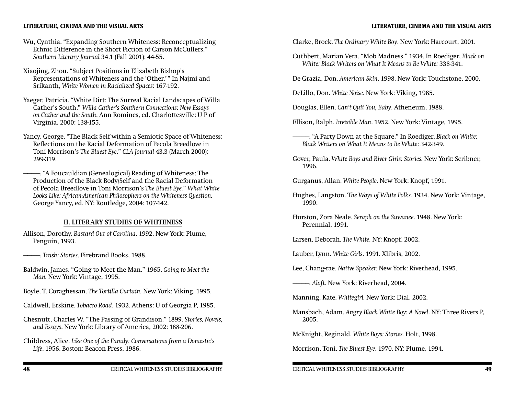#### **LITERATURE, CINEMA AND THE VISUAL ARTS**

- Wu, Cynthia. "Expanding Southern Whiteness: Reconceptualizing Ethnic Difference in the Short Fiction of Carson McCullers." *Southern Literary Journal* 34.1 (Fall 2001): 44-55.
- Xiaojing, Zhou. "Subject Positions in Elizabeth Bishop's Representations of Whiteness and the 'Other.' " In Najmi and Srikanth, *White Women in Racialized Spaces*: 167-192.
- Yaeger, Patricia. "White Dirt: The Surreal Racial Landscapes of Willa Cather's South." *Willa Cather's Southern Connections: New Essays on Cather and the South*. Ann Romines, ed. Charlottesville: U P of Virginia, 2000: 138-155.
- Yancy, George. "The Black Self within a Semiotic Space of Whiteness: Reflections on the Racial Deformation of Pecola Breedlove in Toni Morrison's *The Bluest Eye*." *CLA Journal* 43.3 (March 2000): 299-319.
	- ————. "A Foucauldian (Genealogical) Reading of Whiteness: The Production of the Black Body/Self and the Racial Deformation of Pecola Breedlove in Toni Morrison's *The Bluest Eye.*" *What White Looks Like: African-American Philosophers on the Whiteness Question.*  George Yancy, ed. NY: Routledge, 2004: 107-142.

#### **II. LITERARY STUDIES OF WHITENESS**

- Allison, Dorothy. *Bastard Out of Carolina*. 1992. New York: Plume, Penguin, 1993.
- ————. *Trash: Stories*. Firebrand Books, 1988.
- Baldwin, James. "Going to Meet the Man." 1965. *Going to Meet the Man.* New York: Vintage, 1995.
- Boyle, T. Coraghessan. *The Tortilla Curtain.* New York: Viking, 1995.
- Caldwell, Erskine. *Tobacco Road*. 1932. Athens: U of Georgia P, 1985.
- Chesnutt, Charles W. "The Passing of Grandison." 1899. *Stories, Novels, and Essays*. New York: Library of America, 2002: 188-206.
- Childress, Alice. *Like One of the Family: Conversations from a Domestic's Life*. 1956. Boston: Beacon Press, 1986.

Clarke, Brock. *The Ordinary White Boy*. New York: Harcourt, 2001.

Cuthbert, Marian Vera. "Mob Madness." 1934. In Roediger, *Black on White: Black Writers on What It Means to Be White:* 338-341.

De Grazia, Don. *American Skin*. 1998. New York: Touchstone, 2000.

DeLillo, Don. *White Noise.* New York: Viking, 1985.

Douglas, Ellen. *Can't Quit You, Baby*. Atheneum, 1988.

Ellison, Ralph. *Invisible Man*. 1952. New York: Vintage, 1995.

- ————. "A Party Down at the Square." In Roediger, *Black on White: Black Writers on What It Means to Be White*: 342-349.
- Gover, Paula. *White Boys and River Girls: Stories.* New York: Scribner, 1996.

Gurganus, Allan. *White People*. New York: Knopf, 1991.

- Hughes, Langston. T*he Ways of White Folks.* 1934. New York: Vintage, 1990.
- Hurston, Zora Neale. *Seraph on the Suwanee*. 1948. New York: Perennial, 1991.

Larsen, Deborah. *The White.* NY: Knopf, 2002.

Lauber, Lynn. *White Girls*. 1991. Xlibris, 2002.

Lee, Chang-rae. *Native Speaker.* New York: Riverhead, 1995.

————. *Aloft*. New York: Riverhead, 2004.

Manning, Kate. *Whitegirl.* New York: Dial, 2002.

Mansbach, Adam. *Angry Black White Boy: A Novel*. NY: Three Rivers P, 2005.

McKnight, Reginald. *White Boys: Stories.* Holt, 1998.

Morrison, Toni. *The Bluest Eye*. 1970. NY: Plume, 1994.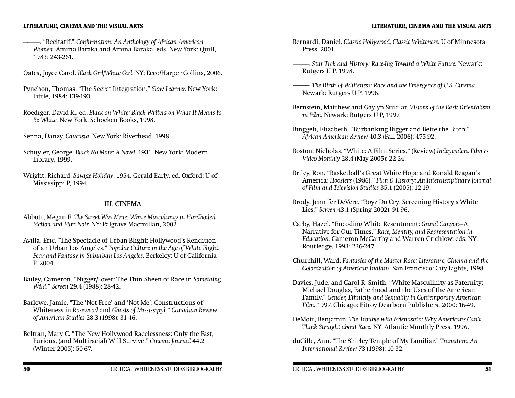- ————. "Recitatif." *Confi rmation: An Anthology of African American Women*. Amiria Baraka and Amina Baraka, eds. New York: Quill, 1983: 243-261.
- Oates, Joyce Carol. *Black Girl/White Girl.* NY: Ecco/Harper Collins, 2006.
- Pynchon, Thomas. "The Secret Integration." *Slow Learner.* New York: Little, 1984: 139-193.
- Roediger, David R., ed. *Black on White: Black Writers on What It Means to Be White.* New York: Schocken Books, 1998.
- Senna, Danzy. *Caucasia*. New York: Riverhead, 1998.
- Schuyler, George. *Black No More: A Novel.* 1931. New York: Modern Library, 1999.
- Wright, Richard. *Savage Holiday*. 1954. Gerald Early, ed. Oxford: U of Mississippi P, 1994.

### **III. CINEMA**

- Abbott, Megan E. *The Street Was Mine: White Masculinity in Hardboiled Fiction and Film Noir.* NY: Palgrave Macmillan, 2002.
- Avilla, Eric. "The Spectacle of Urban Blight: Hollywood's Rendition of an Urban Los Angeles." *Popular Culture in the Age of White Flight: Fear and Fantasy in Suburban Los Angeles.* Berkeley: U of California P, 2004.
- Bailey, Cameron. "Nigger/Lover: The Thin Sheen of Race in *Something Wild*." *Screen* 29.4 (1988): 28-42.
- Barlowe, Jamie. "The 'Not-Free' and 'Not-Me': Constructions of Whiteness in *Rosewood* and *Ghosts of Mississipp*i." *Canadian Review of American Studies* 28.3 (1998): 31-46.
- Beltran, Mary C. "The New Hollywood Racelessness: Only the Fast, Furious, (and Multiracial) Will Survive." *Cinema Journal* 44.2 (Winter 2005): 50-67.
- Bernardi, Daniel. *Classic Hollywood, Classic Whiteness.* U of Minnesota Press, 2001.
- ————. *Star Trek and History: Race-Ing Toward a White Future.* Newark: Rutgers U P, 1998.
- ————. *The Birth of Whiteness: Race and the Emergence of U.S. Cinema*. Newark: Rutgers U P, 1996.
- Bernstein, Matthew and Gaylyn Studlar. *Visions of the East: Orientalism in Film.* Newark: Rutgers U P, 1997.
- Binggeli, Elizabeth. "Burbanking Bigger and Bette the Bitch." *African American Review* 40.3 (Fall 2006): 475-92.
- Boston, Nicholas. "White: A Film Series." (Review) *Independent Film & Video Monthly* 28.4 (May 2005): 22-24.
- Briley, Ron. "Basketball's Great White Hope and Ronald Reagan's America: *Hoosiers* (1986)." *Film & History: An Interdisciplinary Journal of Film and Television Studies* 35.1 (2005): 12-19.
- Brody, Jennifer DeVere. "Boyz Do Cry: Screening History's White Lies." *Screen* 43.1 (Spring 2002): 91-96.
- Carby, Hazel. "Encoding White Resentment: *Grand Canyon*—A Narrative for Our Times." *Race, Identity, and Representation in Education.* Cameron McCarthy and Warren Crichlow, eds. NY: Routledge, 1993: 236-247.
- Churchill, Ward. *Fantasies of the Master Race: Literature, Cinema and the Colonization of American Indians.* San Francisco: City Lights, 1998.
- Davies, Jude, and Carol R. Smith. "White Masculinity as Paternity: Michael Douglas, Fatherhood and the Uses of the American Family." *Gender, Ethnicity and Sexuality in Contemporary American Film.* 1997. Chicago: Fitroy Dearborn Publishers, 2000: 16-49.
- DeMott, Benjamin. *The Trouble with Friendship: Why Americans Can't Think Straight about Race.* NY: Atlantic Monthly Press, 1996.
- duCille, Ann. "The Shirley Temple of My Familiar." *Transition: An International Review* 73 (1998): 10-32.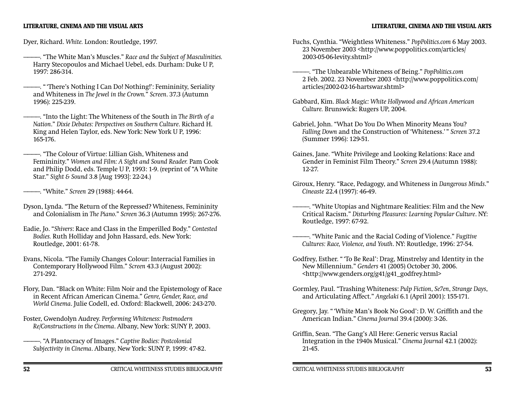Dyer, Richard. *White.* London: Routledge, 1997.

- ————. "The White Man's Muscles." *Race and the Subject of Masculinities.*  Harry Stecopoulos and Michael Uebel, eds. Durham: Duke U P, 1997: 286-314.
- ————. " 'There's Nothing I Can Do! Nothing!': Femininity, Seriality and Whiteness in *The Jewel in the Crown.*" *Screen*. 37.3 (Autumn 1996): 225-239.
- ————. "Into the Light: The Whiteness of the South in *The Birth of a Nation*." *Dixie Debates: Perspectives on Southern Culture*. Richard H. King and Helen Taylor, eds. New York: New York U P, 1996: 165-176.
- ————. "The Colour of Virtue: Lillian Gish, Whiteness and Femininity." *Women and Film: A Sight and Sound Reader.* Pam Cook and Philip Dodd, eds. Temple U P, 1993: 1-9. (reprint of "A White Star." *Sight & Sound* 3.8 [Aug 1993]: 22-24.)
- ————. "White." *Screen* 29 (1988): 44-64.
- Dyson, Lynda. "The Return of the Repressed? Whiteness, Femininity and Colonialism in *The Piano*." *Screen* 36.3 (Autumn 1995): 267-276.
- Eadie, Jo. "*Shivers*: Race and Class in the Emperilled Body." *Contested Bodies.* Ruth Holliday and John Hassard, eds. New York: Routledge, 2001: 61-78.
- Evans, Nicola. "The Family Changes Colour: Interracial Families in Contemporary Hollywood Film." *Screen* 43.3 (August 2002): 271-292.
- Flory, Dan. "Black on White: Film Noir and the Epistemology of Race in Recent African American Cinema." *Genre, Gender, Race, and World Cinema*. Julie Codell, ed. Oxford: Blackwell, 2006: 243-270.
- Foster, Gwendolyn Audrey. *Performing Whiteness: Postmodern Re/Constructions in the Cinema*. Albany, New York: SUNY P, 2003.
	- ————. "A Plantocracy of Images." *Captive Bodies: Postcolonial Subjectivity in Cinema*. Albany, New York: SUNY P, 1999: 47-82.
- Fuchs, Cynthia. "Weightless Whiteness." *PopPolitics.com* 6 May 2003. 23 November 2003 <http://www.poppolitics.com/articles/ 2003-05-06-levity.shtml>
- ————. "The Unbearable Whiteness of Being." *PopPolitics.com* 2 Feb. 2002. 23 November 2003 <http://www.poppolitics.com/ articles/2002-02-16-hartswar.shtml>
- Gabbard, Kim. *Black Magic: White Hollywood and African American Culture.* Brunswick: Rugers UP, 2004.
- Gabriel, John. "What Do You Do When Minority Means You? *Falling Down* and the Construction of 'Whiteness.' " *Screen* 37.2 (Summer 1996): 129-51.
- Gaines, Jane. "White Privilege and Looking Relations: Race and Gender in Feminist Film Theory." *Screen* 29.4 (Autumn 1988): 12-27.
- Giroux, Henry. "Race, Pedagogy, and Whiteness in *Dangerous Minds*." *Cineaste* 22.4 (1997): 46-49.
- ————. "White Utopias and Nightmare Realities: Film and the New Critical Racism." *Disturbing Pleasures: Learning Popular Culture*. NY: Routledge, 1997: 67-92.
- ————. "White Panic and the Racial Coding of Violence." *Fugitive Cultures: Race, Violence, and Youth*. NY: Routledge, 1996: 27-54.
- Godfrey, Esther. " 'To Be Real': Drag, Minstrelsy and Identity in the New Millennium." *Genders* 41 (2005) October 30, 2006. <http://www.genders.org/g41/g41\_godfrey.html>
- Gormley, Paul. "Trashing Whiteness: *Pulp Fiction*, *Se7en*, *Strange Days*, and Articulating Affect." *Angelaki* 6.1 (April 2001): 155-171.
- Gregory, Jay. " 'White Man's Book No Good': D. W. Griffith and the American Indian." *Cinema Journal* 39.4 (2000): 3-26.
- Griffin, Sean. "The Gang's All Here: Generic versus Racial Integration in the 1940s Musical." *Cinema Journal* 42.1 (2002): 21-45.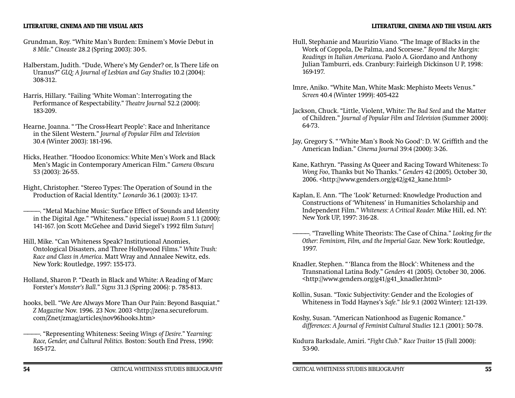- Grundman, Roy. "White Man's Burden: Eminem's Movie Debut in *8 Mile*." *Cineaste* 28.2 (Spring 2003): 30-5.
- Halberstam, Judith. "Dude, Where's My Gender? or, Is There Life on Uranus?" *GLQ: A Journal of Lesbian and Gay Studies* 10.2 (2004): 308-312.
- Harris, Hillary. "Failing 'White Woman': Interrogating the Performance of Respectability." *Theatre Journal* 52.2 (2000): 183-209.
- Hearne, Joanna. " 'The Cross-Heart People': Race and Inheritance in the Silent Western." *Journal of Popular Film and Television* 30.4 (Winter 2003): 181-196.
- Hicks, Heather. "Hoodoo Economics: White Men's Work and Black Men's Magic in Contemporary American Film." *Camera Obscura* 53 (2003): 26-55.
- Hight, Christopher. "Stereo Types: The Operation of Sound in the Production of Racial Identity." *Leonardo* 36.1 (2003): 13-17.
- ————. "Metal Machine Music: Surface Effect of Sounds and Identity in the Digital Age." "Whiteness." (special issue) *Room 5* 1.1 (2000): 141-167. [on Scott McGehee and David Siegel's 1992 film *Suture*]
- Hill, Mike. "Can Whiteness Speak? Institutional Anomies, Ontological Disasters, and Three Hollywood Films." *White Trash: Race and Class in America*. Matt Wray and Annalee Newitz, eds. New York: Routledge, 1997: 155-173.
- Holland, Sharon P. "Death in Black and White: A Reading of Marc Forster's *Monster's Ball*." *Signs* 31.3 (Spring 2006): p. 785-813.
- hooks, bell. "We Are Always More Than Our Pain: Beyond Basquiat." *Z Magazine* Nov. 1996. 23 Nov. 2003 <http://zena.secureforum. com/Znet/zmag/articles/nov96hooks.htm>
	- ————. "Representing Whiteness: Seeing *Wings of Desire*." Y*earning: Race, Gender, and Cultural Politics.* Boston: South End Press, 1990: 165-172.
- Hull, Stephanie and Maurizio Viano. "The Image of Blacks in the Work of Coppola, De Palma, and Scorsese." *Beyond the Margin: Readings in Italian Americana.* Paolo A. Giordano and Anthony Julian Tamburri, eds. Cranbury: Fairleigh Dickinson U P, 1998: 169-197.
- Imre, Aniko. "White Man, White Mask: Mephisto Meets Venus." *Screen* 40.4 (Winter 1999): 405-422
- Jackson, Chuck. "Little, Violent, White: *The Bad Seed* and the Matter of Children." *Journal of Popular Film and Television* (Summer 2000): 64-73.
- Jay, Gregory S. "White Man's Book No Good': D. W. Griffith and the American Indian." *Cinema Journal* 39:4 (2000): 3-26.
- Kane, Kathryn. "Passing As Queer and Racing Toward Whiteness: *To Wong Foo*, Thanks but No Thanks." *Genders* 42 (2005). October 30, 2006. <http://www.genders.org/g42/g42\_kane.html>
- Kaplan, E. Ann. "The 'Look' Returned: Knowledge Production and Constructions of 'Whiteness' in Humanities Scholarship and Independent Film." *Whiteness: A Critical Reader.* Mike Hill, ed. NY: New York UP, 1997: 316-28.
- ————. "Travelling White Theorists: The Case of China." *Looking for the Other: Feminism, Film, and the Imperial Gaze.* New York: Routledge, 1997.
- Knadler, Stephen. " 'Blanca from the Block': Whiteness and the Transnational Latina Body." *Genders* 41 (2005). October 30, 2006. <http://www.genders.org/g41/g41\_knadler.html>
- Kollin, Susan. "Toxic Subjectivity: Gender and the Ecologies of Whiteness in Todd Haynes's *Safe*." *Isle* 9.1 (2002 Winter): 121-139.
- Koshy, Susan. "American Nationhood as Eugenic Romance." *differences: A Journal of Feminist Cultural Studies* 12.1 (2001): 50-78.
- Kudura Barksdale, Amiri. "*Fight Club*." *Race Traitor* 15 (Fall 2000): 53-90.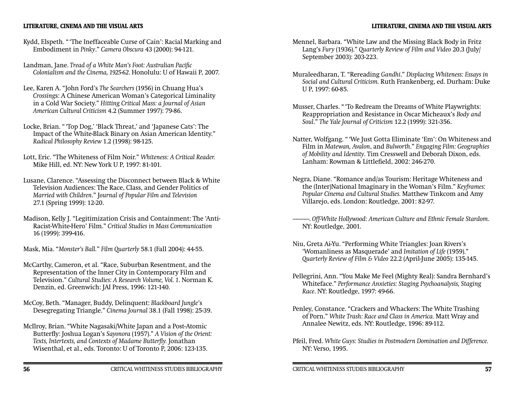- Kydd, Elspeth. " 'The Ineffaceable Curse of Cain': Racial Marking and Embodiment in *Pinky*." *Camera Obscura* 43 (2000): 94-121.
- Landman, Jane. *Tread of a White Man's Foot: Australian Pacific Colonialism and the Cinema, 1925-62*. Honolulu: U of Hawaii P, 2007.
- Lee, Karen A. "John Ford's *The Searchers* (1956) in Chuang Hua's *Crossing*s: A Chinese American Woman's Categorical Liminality in a Cold War Society." *Hitting Critical Mass: a Journal of Asian American Cultural Criticism* 4.2 (Summer 1997): 79-86.
- Locke, Brian. " 'Top Dog,' 'Black Threat,' and 'Japanese Cats': The Impact of the White-Black Binary on Asian American Identity." *Radical Philosophy Review* 1.2 (1998): 98-125.
- Lott, Eric. "The Whiteness of Film Noir." *Whiteness: A Critical Reader.*  Mike Hill, ed. NY: New York U P, 1997: 81-101.
- Lusane, Clarence. "Assessing the Disconnect between Black & White Television Audiences: The Race, Class, and Gender Politics of *Married with Children*." J*ournal of Popular Film and Television*  27.1 (Spring 1999): 12-20.
- Madison, Kelly J. "Legitimization Crisis and Containment: The 'Anti-Racist-White-Hero' Film." *Critical Studies in Mass Communication* 16 (1999): 399-416.
- Mask, Mia. "*Monster's Ball.*" *Film Quarterly* 58.1 (Fall 2004): 44-55.
- McCarthy, Cameron, et al. "Race, Suburban Resentment, and the Representation of the Inner City in Contemporary Film and Television." *Cultural Studies: A Research Volume, Vol. 1*. Norman K. Denzin, ed. Greenwich: JAI Press, 1996: 121-140.
- McCoy, Beth. "Manager, Buddy, Delinquent: *Blackboard Jungle*'s Desegregating Triangle." *Cinema Journal* 38.1 (Fall 1998): 25-39.
- McIlroy, Brian. "White Nagasaki/White Japan and a Post-Atomic Butterfly: Joshua Logan's *Sayonora* (1957)." *A Vision of the Orient:* Texts, Intertexts, and Contexts of Madame Butterfly. Jonathan Wisenthal, et al., eds. Toronto: U of Toronto P, 2006: 123-135.
- Mennel, Barbara. "White Law and the Missing Black Body in Fritz Lang's *Fury* (1936)." *Quarterly Review of Film and Video* 20.3 (July/ September 2003): 203-223.
- Muraleedharan, T. "Rereading *Gandhi*." *Displacing Whiteness: Essays in Social and Cultural Criticism.* Ruth Frankenberg, ed. Durham: Duke U P, 1997: 60-85.
- Musser, Charles. " 'To Redream the Dreams of White Playwrights: Reappropriation and Resistance in Oscar Micheaux's *Body and Soul*." *The Yale Journal of Criticism* 12.2 (1999): 321-356.
- Natter, Wolfgang. " 'We Just Gotta Eliminate 'Em': On Whiteness and Film in *Matewan, Avalon*, and *Bulworth*." *Engaging Film: Geographies of Mobility and Identity*. Tim Cresswell and Deborah Dixon, eds. Lanham: Rowman & Littlefield, 2002: 246-270.
- Negra, Diane. "Romance and/as Tourism: Heritage Whiteness and the (Inter)National Imaginary in the Woman's Film." *Keyframes: Popular Cinema and Cultural Studies.* Matthew Tinkcom and Amy Villarejo, eds. London: Routledge, 2001: 82-97.
- ————. *Off-White Hollywood: American Culture and Ethnic Female Stardom*. NY: Routledge, 2001.
- Niu, Greta Ai-Yu. "Performing White Triangles: Joan Rivers's 'Womanliness as Masquerade' and *Imitation of Life* (1959)." *Quarterly Review of Film & Video* 22.2 (April-June 2005): 135-145.
- Pellegrini, Ann. "You Make Me Feel (Mighty Real): Sandra Bernhard's Whiteface." *Performance Anxieties: Staging Psychoanalysis, Staging Race*. NY: Routledge, 1997: 49-66.
- Penley, Constance. "Crackers and Whackers: The White Trashing of Porn." *White Trash: Race and Class in America.* Matt Wray and Annalee Newitz, eds. NY: Routledge, 1996: 89-112.
- Pfeil, Fred. *White Guys: Studies in Postmodern Domination and Difference.*  NY: Verso, 1995.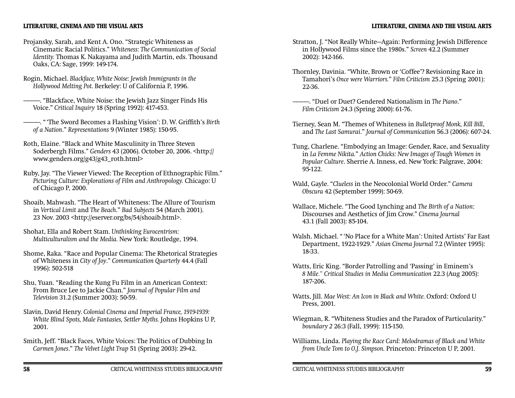- Projansky, Sarah, and Kent A. Ono. "Strategic Whiteness as Cinematic Racial Politics." *Whiteness: The Communication of Social Identity.* Thomas K. Nakayama and Judith Martin, eds. Thousand Oaks, CA: Sage, 1999: 149-174.
- Rogin, Michael. *Blackface, White Noise: Jewish Immigrants in the Hollywood Melting Pot*. Berkeley: U of California P, 1996.
- ————. "Blackface, White Noise: the Jewish Jazz Singer Finds His Voice." *Critical Inquiry* 18 (Spring 1992): 417-453.
- ————. " 'The Sword Becomes a Flashing Vision': D. W. Griffi th's *Birth of a Nation*." *Representations* 9 (Winter 1985): 150-95.
- Roth, Elaine. "Black and White Masculinity in Three Steven Soderbergh Films." *Genders* 43 (2006). October 20, 2006. <http:// www.genders.org/g43/g43\_roth.html>
- Ruby, Jay. "The Viewer Viewed: The Reception of Ethnographic Film." *Picturing Culture: Explorations of Film and Anthropology.* Chicago: U of Chicago P, 2000.
- Shoaib, Mahwash. "The Heart of Whiteness: The Allure of Tourism in *Vertical Limit* and *The Beach*." *Bad Subjects* 54 (March 2001). 23 Nov. 2003 <http://eserver.org/bs/54/shoaib.html>.
- Shohat, Ella and Robert Stam. *Unthinking Eurocentrism: Multiculturalism and the Media.* New York: Routledge, 1994.
- Shome, Raka. "Race and Popular Cinema: The Rhetorical Strategies of Whiteness in *City of Joy*." *Communication Quarterly* 44.4 (Fall 1996): 502-518
- Shu, Yuan. "Reading the Kung Fu Film in an American Context: From Bruce Lee to Jackie Chan." *Journal of Popular Film and Television* 31.2 (Summer 2003): 50-59.
- Slavin, David Henry. *Colonial Cinema and Imperial France, 1919-1939: White Blind Spots, Male Fantasies, Settler Myths.* Johns Hopkins U P, 2001.
- Smith, Jeff. "Black Faces, White Voices: The Politics of Dubbing In *Carmen Jones*." *The Velvet Light Trap* 51 (Spring 2003): 29-42.
- Stratton, J. "Not Really White—Again: Performing Jewish Difference in Hollywood Films since the 1980s." *Screen* 42.2 (Summer 2002): 142-166.
- Thornley, Davinia. "White, Brown or 'Coffee'? Revisioning Race in Tamahori's *Once were Warriors.*" *Film Criticism* 25.3 (Spring 2001): 22-36.
- ————. "Duel or Duet? Gendered Nationalism in *The Piano*." *Film Criticism* 24.3 (Spring 2000): 61-76.
- Tierney, Sean M. "Themes of Whiteness in *Bulletproof Monk, Kill Bill*, and *The Last Samurai*." *Journal of Communication* 56.3 (2006): 607-24.
- Tung, Charlene. "Embodying an Image: Gender, Race, and Sexuality in *La Femme Nikita.*" *Action Chicks: New Images of Tough Women in Popular Culture*. Sherrie A. Inness, ed. New York: Palgrave, 2004: 95-122.
- Wald, Gayle. "*Clueless* in the Neocolonial World Order." *Camera Obscura* 42 (September 1999): 50-69.
- Wallace, Michele. "The Good Lynching and *The Birth of a Nation*: Discourses and Aesthetics of Jim Crow." *Cinema Journal* 43.1 (Fall 2003): 85-104.
- Walsh. Michael. " 'No Place for a White Man': United Artists' Far East Department, 1922-1929." *Asian Cinema Journal* 7.2 (Winter 1995): 18-33.
- Watts, Eric King. "Border Patrolling and 'Passing' in Eminem's *8 Mile*." *Critical Studies in Media Communication* 22.3 (Aug 2005): 187-206.
- Watts, Jill. *Mae West: An Icon in Black and White.* Oxford: Oxford U Press, 2001.
- Wiegman, R. "Whiteness Studies and the Paradox of Particularity." *boundary 2* 26:3 (Fall, 1999): 115-150.
- Williams, Linda. *Playing the Race Card: Melodramas of Black and White from Uncle Tom to O.J. Simpson.* Princeton: Princeton U P, 2001.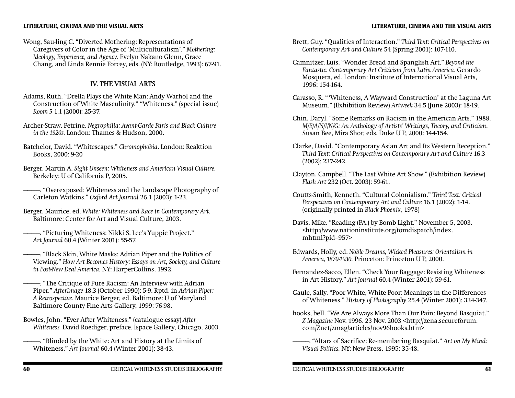#### **LITERATURE, CINEMA AND THE VISUAL ARTS**

Wong, Sau-ling C. "Diverted Mothering: Representations of Caregivers of Color in the Age of 'Multiculturalism'." *Mothering: Ideology, Experience, and Agency*. Evelyn Nakano Glenn, Grace Chang, and Linda Rennie Forcey, eds. (NY: Routledge, 1993): 67-91.

### **IV. THE VISUAL ARTS**

- Adams, Ruth. "Drella Plays the White Man: Andy Warhol and the Construction of White Masculinity." "Whiteness." (special issue) *Room 5* 1.1 (2000): 25-37.
- Archer-Straw, Petrine. *Negrophilia: Avant-Garde Paris and Black Culture in the 1920s.* London: Thames & Hudson, 2000.
- Batchelor, David. "Whitescapes." *Chromophobia*. London: Reaktion Books, 2000: 9-20
- Berger, Martin A. *Sight Unseen: Whiteness and American Visual Culture.*  Berkeley: U of California P, 2005.
	- ————. "Overexposed: Whiteness and the Landscape Photography of Carleton Watkins." *Oxford Art Journal* 26.1 (2003): 1-23.
- Berger, Maurice, ed. *White: Whiteness and Race in Contemporary Art*. Baltimore: Center for Art and Visual Culture, 2003.
- ————. "Picturing Whiteness: Nikki S. Lee's Yuppie Project." *Art Journal* 60.4 (Winter 2001): 55-57.
- ————. "Black Skin, White Masks: Adrian Piper and the Politics of Viewing." *How Art Becomes History: Essays on Art, Society, and Culture in Post-New Deal America.* NY: HarperCollins, 1992.
	- ————. "The Critique of Pure Racism: An Interview with Adrian Piper." *AfterImage* 18.3 (October 1990): 5-9. Rptd. in *Adrian Piper: A Retrospective.* Maurice Berger, ed. Baltimore: U of Maryland Baltimore County Fine Arts Gallery, 1999: 76-98.
- Bowles, John. "Ever After Whiteness." (catalogue essay) *After Whiteness.* David Roediger, preface. Ispace Gallery, Chicago, 2003.
	- ————. "Blinded by the White: Art and History at the Limits of Whiteness." *Art Journal* 60.4 (Winter 2001): 38-43.
- Brett, Guy. "Qualities of Interaction." *Third Text: Critical Perspectives on Contemporary Art and Culture* 54 (Spring 2001): 107-110.
- Camnitzer, Luis. "Wonder Bread and Spanglish Art." *Beyond the Fantastic: Contemporary Art Criticism from Latin America*. Gerardo Mosquera, ed. London: Institute of International Visual Arts, 1996: 154-164.
- Carasso, R. " 'Whiteness, A Wayward Construction' at the Laguna Art Museum." (Exhibition Review) *Artweek* 34.5 (June 2003): 18-19.
- Chin, Daryl. "Some Remarks on Racism in the American Arts." 1988. *M/E/A/N/I/N/G: An Anthology of Artists' Writings, Theory, and Criticism*. Susan Bee, Mira Shor, eds. Duke U P, 2000: 144-154.
- Clarke, David. "Contemporary Asian Art and Its Western Reception." *Third Text: Critical Perspectives on Contemporary Art and Culture* 16.3 (2002): 237-242.
- Clayton, Campbell. "The Last White Art Show." (Exhibition Review) *Flash Art* 232 (Oct. 2003): 59-61.
- Coutts-Smith, Kenneth. "Cultural Colonialism." T*hird Text: Critical Perspectives on Contemporary Art and Culture* 16.1 (2002): 1-14. (originally printed in *Black Phoenix*, 1978)
- Davis, Mike. "Reading (PA.) by Bomb Light." November 5, 2003. <http://www.nationinstitute.org/tomdispatch/index. mhtml?pid=957>
- Edwards, Holly, ed. *Noble Dreams, Wicked Pleasures: Orientalism in America, 1870-1930.* Princeton: Princeton U P, 2000.
- Fernandez-Sacco, Ellen. "Check Your Baggage: Resisting Whiteness in Art History." *Art Journal* 60.4 (Winter 2001): 59-61.
- Gaule, Sally. "Poor White, White Poor: Meanings in the Differences of Whiteness." *History of Photography* 25.4 (Winter 2001): 334-347.
- hooks, bell. "We Are Always More Than Our Pain: Beyond Basquiat." *Z Magazine* Nov. 1996. 23 Nov. 2003 <http://zena.secureforum. com/Znet/zmag/articles/nov96hooks.htm>
- ————. "Altars of Sacrifi ce: Re-membering Basquiat." *Art on My Mind: Visual Politics.* NY: New Press, 1995: 35-48.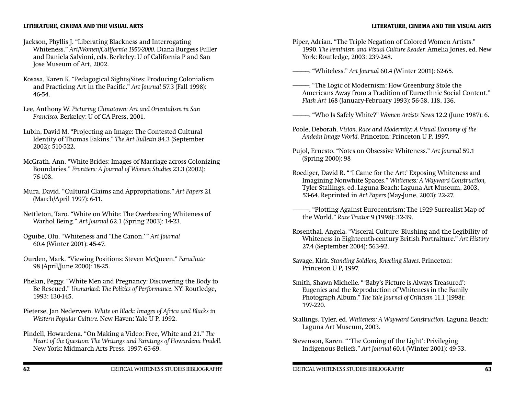- Jackson, Phyllis J. "Liberating Blackness and Interrogating Whiteness." *Art/Women/California 1950-2000*. Diana Burgess Fuller and Daniela Salvioni, eds. Berkeley: U of California P and San Jose Museum of Art, 2002.
- Kosasa, Karen K. "Pedagogical Sights/Sites: Producing Colonialism and Practicing Art in the Pacific." Art Journal 57.3 (Fall 1998): 46-54.
- Lee, Anthony W. *Picturing Chinatown: Art and Orientalism in San Francisco.* Berkeley: U of CA Press, 2001.
- Lubin, David M. "Projecting an Image: The Contested Cultural Identity of Thomas Eakins." *The Art Bulletin* 84.3 (September 2002): 510-522.
- McGrath, Ann. "White Brides: Images of Marriage across Colonizing Boundaries." *Frontiers: A Journal of Women Studies* 23.3 (2002): 76-108.
- Mura, David. "Cultural Claims and Appropriations." *Art Papers*<sup>21</sup> (March/April 1997): 6-11.
- Nettleton, Taro. "White on White: The Overbearing Whiteness of Warhol Being." *Art Journal* 62.1 (Spring 2003): 14-23.
- Oguibe, Olu. "Whiteness and 'The Canon.' " *Art Journal*  60.4 (Winter 2001): 45-47.
- Ourden, Mark. "Viewing Positions: Steven McQueen." *Parachute* 98 (April/June 2000): 18-25.
- Phelan, Peggy. "White Men and Pregnancy: Discovering the Body to Be Rescued." *Unmarked: The Politics of Performance*. NY: Routledge, 1993: 130-145.
- Pieterse, Jan Nederveen. *White on Black: Images of Africa and Blacks in Western Popular Culture.* New Haven: Yale U P, 1992.
- Pindell, Howardena. "On Making a Video: Free, White and 21." *The Heart of the Question: The Writings and Paintings of Howardena Pindell.* New York: Midmarch Arts Press, 1997: 65-69.
- Piper, Adrian. "The Triple Negation of Colored Women Artists." 1990. *The Feminism and Visual Culture Reader.* Amelia Jones, ed. New York: Routledge, 2003: 239-248.
- ————. "Whiteless." *Art Journal* 60.4 (Winter 2001): 62-65.
- ————. "The Logic of Modernism: How Greenburg Stole the Americans Away from a Tradition of Euroethnic Social Content." *Flash Art* 168 (January-February 1993): 56-58, 118, 136.
- ————. "Who Is Safely White?" *Women Artists New*s 12.2 (June 1987): 6.
- Poole, Deborah. *Vision, Race and Modernity: A Visual Economy of the Andeán Image World.* Princeton: Princeton U P, 1997.
- Pujol, Ernesto. "Notes on Obsessive Whiteness." *Art Journal* 59.1 (Spring 2000): 98
- Roediger, David R. " 'I Came for the Art:' Exposing Whiteness and Imagining Nonwhite Spaces." *Whiteness: A Wayward Construction,*  Tyler Stallings, ed. Laguna Beach: Laguna Art Museum, 2003, 53-64. Reprinted in *Art Papers* (May-June, 2003): 22-27.
- ————. "Plotting Against Eurocentrism: The 1929 Surrealist Map of the World." *Race Traitor* 9 (1998): 32-39.
- Rosenthal, Angela. "Visceral Culture: Blushing and the Legibility of Whiteness in Eighteenth-century British Portraiture." *Art History* 27.4 (September 2004): 563-92.
- Savage, Kirk. *Standing Soldiers, Kneeling Slaves*. Princeton: Princeton U P, 1997.
- Smith, Shawn Michelle. " 'Baby's Picture is Always Treasured': Eugenics and the Reproduction of Whiteness in the Family Photograph Album." *The Yale Journal of Criticism* 11.1 (1998): 197-220.
- Stallings, Tyler, ed. *Whiteness: A Wayward Construction.* Laguna Beach: Laguna Art Museum, 2003.
- Stevenson, Karen. " 'The Coming of the Light': Privileging Indigenous Beliefs." *Art Journal* 60.4 (Winter 2001): 49-53.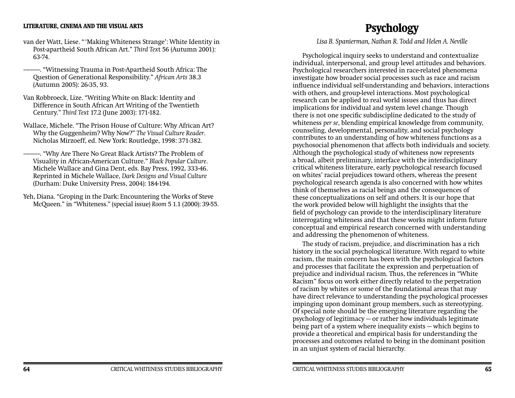- van der Watt, Liese. " 'Making Whiteness Strange': White Identity in Post-apartheid South African Art." *Third Tex*t 56 (Autumn 2001): 63-74.
- ————. "Witnessing Trauma in Post-Apartheid South Africa: The Question of Generational Responsibility." *African Arts* 38.3 (Autumn 2005): 26-35, 93.
- Van Robbroeck, Lize. "Writing White on Black: Identity and Difference in South African Art Writing of the Twentieth Century." *Third Text* 17.2 (June 2003): 171-182.
- Wallace, Michele. "The Prison House of Culture: Why African Art? Why the Guggenheim? Why Now?" *The Visual Culture Reader*. Nicholas Mirzoeff, ed. New York: Routledge, 1998: 371-382.
- ————. "Why Are There No Great Black Artists? The Problem of Visuality in African-American Culture." *Black Popular Culture*. Michele Wallace and Gina Dent, eds. Bay Press, 1992, 333-46. Reprinted in Michele Wallace, *Dark Designs and Visual Culture* (Durham: Duke University Press, 2004): 184-194.
- Yeh, Diana. "Groping in the Dark: Encountering the Works of Steve McQueen." in "Whiteness." (special issue) *Room* 5 1.1 (2000): 39-55.

# **Psychology**

*Lisa B. Spanierman, Nathan R. Todd and Helen A. Neville*

Psychological inquiry seeks to understand and contextualize individual, interpersonal, and group level attitudes and behaviors. Psychological researchers interested in race-related phenomena investigate how broader social processes such as race and racism influence individual self-understanding and behaviors, interactions with others, and group-level interactions. Most psychological research can be applied to real world issues and thus has direct implications for individual and system level change. Though there is not one specific subdiscipline dedicated to the study of whiteness *per se*, blending empirical knowledge from community, counseling, developmental, personality, and social psychology contributes to an understanding of how whiteness functions as a psychosocial phenomenon that affects both individuals and society. Although the psychological study of whiteness now represents a broad, albeit preliminary, interface with the interdisciplinary critical whiteness literature, early psychological research focused on whites' racial prejudices toward others, whereas the present psychological research agenda is also concerned with how whites think of themselves as racial beings and the consequences of these conceptualizations on self and others. It is our hope that the work provided below will highlight the insights that the field of psychology can provide to the interdisciplinary literature interrogating whiteness and that these works might inform future conceptual and empirical research concerned with understanding and addressing the phenomenon of whiteness.

The study of racism, prejudice, and discrimination has a rich history in the social psychological literature. With regard to white racism, the main concern has been with the psychological factors and processes that facilitate the expression and perpetuation of prejudice and individual racism. Thus, the references in "White Racism" focus on work either directly related to the perpetration of racism by whites or some of the foundational areas that may have direct relevance to understanding the psychological processes impinging upon dominant group members, such as stereotyping. Of special note should be the emerging literature regarding the psychology of legitimacy — or rather how individuals legitimate being part of a system where inequality exists — which begins to provide a theoretical and empirical basis for understanding the processes and outcomes related to being in the dominant position in an unjust system of racial hierarchy.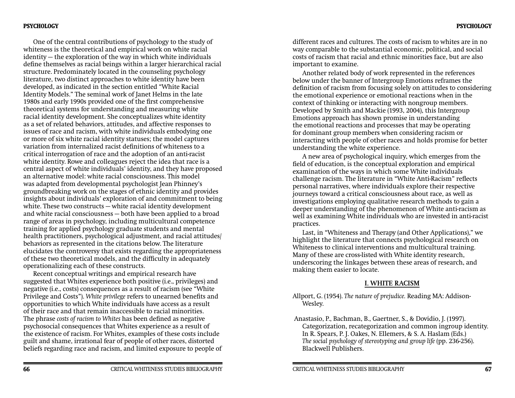#### **PSYCHOLOGY**

One of the central contributions of psychology to the study of whiteness is the theoretical and empirical work on white racial identity — the exploration of the way in which white individuals define themselves as racial beings within a larger hierarchical racial structure. Predominately located in the counseling psychology literature, two distinct approaches to white identity have been developed, as indicated in the section entitled "White Racial Identity Models." The seminal work of Janet Helms in the late 1980s and early 1990s provided one of the first comprehensive theoretical systems for understanding and measuring white racial identity development. She conceptualizes white identity as a set of related behaviors, attitudes, and affective responses to issues of race and racism, with white individuals embodying one or more of six white racial identity statuses; the model captures variation from internalized racist definitions of whiteness to a critical interrogation of race and the adoption of an anti-racist white identity. Rowe and colleagues reject the idea that race is a central aspect of white individuals' identity, and they have proposed an alternative model: white racial consciousness. This model was adapted from developmental psychologist Jean Phinney's groundbreaking work on the stages of ethnic identity and provides insights about individuals' exploration of and commitment to being white. These two constructs — white racial identity development and white racial consciousness — both have been applied to a broad range of areas in psychology, including multicultural competence training for applied psychology graduate students and mental health practitioners, psychological adjustment, and racial attitudes/ behaviors as represented in the citations below. The literature elucidates the controversy that exists regarding the appropriateness of these two theoretical models, and the difficulty in adequately operationalizing each of these constructs.

Recent conceptual writings and empirical research have suggested that Whites experience both positive (i.e., privileges) and negative (i.e., costs) consequences as a result of racism (see "White Privilege and Costs"). White privilege refers to unearned benefits and opportunities to which White individuals have access as a result of their race and that remain inaccessible to racial minorities. The phrase *costs of racism to Whites* has been defined as negative psychosocial consequences that Whites experience as a result of the existence of racism. For Whites, examples of these costs include guilt and shame, irrational fear of people of other races, distorted beliefs regarding race and racism, and limited exposure to people of

different races and cultures. The costs of racism to whites are in no way comparable to the substantial economic, political, and social costs of racism that racial and ethnic minorities face, but are also important to examine.

Another related body of work represented in the references below under the banner of Intergroup Emotions reframes the definition of racism from focusing solely on attitudes to considering the emotional experience or emotional reactions when in the context of thinking or interacting with nongroup members. Developed by Smith and Mackie (1993, 2004), this Intergroup Emotions approach has shown promise in understanding the emotional reactions and processes that may be operating for dominant group members when considering racism or interacting with people of other races and holds promise for better understanding the white experience.

A new area of psychological inquiry, which emerges from the field of education, is the conceptual exploration and empirical examination of the ways in which some White individuals challenge racism. The literature in "White Anti-Racism" reflects personal narratives, where individuals explore their respective journeys toward a critical consciousness about race, as well as investigations employing qualitative research methods to gain a deeper understanding of the phenomenon of White anti-racism as well as examining White individuals who are invested in anti-racist practices.

Last, in "Whiteness and Therapy (and Other Applications)," we highlight the literature that connects psychological research on Whiteness to clinical interventions and multicultural training. Many of these are cross-listed with White identity research, underscoring the linkages between these areas of research, and making them easier to locate.

### **I. WHITE RACISM**

- Allport, G. (1954). *The nature of prejudice.* Reading MA: Addison-Wesley.
- Anastasio, P., Bachman, B., Gaertner, S., & Dovidio, J. (1997). Categorization, recategorization and common ingroup identity. In R. Spears, P. J. Oakes, N. Ellemers, & S. A. Haslam (Eds.) *The social psychology of stereotyping and group life* (pp. 236-256). Blackwell Publishers.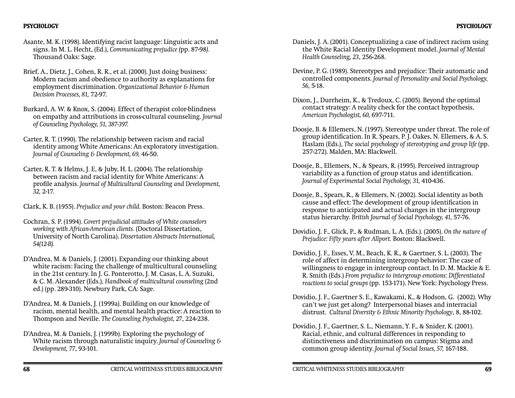### **PSYCHOLOGY**

- Asante, M. K. (1998). Identifying racist language: Linguistic acts and signs. In M. L. Hecht, (Ed.), *Communicating prejudice (*pp. 87-98*).*  Thousand Oaks: Sage.
- Brief, A., Dietz, J., Cohen, R. R., et al. (2000). Just doing business: Modern racism and obedience to authority as explanations for employment discrimination. *Organizational Behavior & Human Decision Processes, 81,* 72-97.
- Burkard, A. W. & Knox, S. (2004). Effect of therapist color-blindness on empathy and attributions in cross-cultural counseling. *Journal of Counseling Psychology, 51, 387-397.*
- Carter, R. T. (1990). The relationship between racism and racial identity among White Americans: An exploratory investigation. *Journal of Counseling & Development, 69,* 46-50.
- Carter, R. T. & Helms, J. E, & Juby, H. L. (2004). The relationship between racism and racial identity for White Americans: A profile analysis. *Journal of Multicultural Counseling and Development*, *32,* 2-17.
- Clark, K. B. (1955). *Prejudice and your child.* Boston: Beacon Press.
- Cochran, S. P. (1994). *Covert prejudicial attitudes of White counselors working with African-American clients.* (Doctoral Dissertation, University of North Carolina). *Dissertation Abstracts International, 54(12-B).*
- D'Andrea, M. & Daniels, J. (2001). Expanding our thinking about white racism: Facing the challenge of multicultural counseling in the 21st century. In J. G. Ponterotto, J. M. Casas, L. A. Suzuki, & C. M. Alexander (Eds.), *Handbook of multicultural counseling* (2nd ed.) (pp. 289-310). Newbury Park, CA: Sage.
- D'Andrea, M. & Daniels, J. (1999a). Building on our knowledge of racism, mental health, and mental health practice: A reaction to Thompson and Neville. *The Counseling Psychologist, 27*, 224-238.
- D'Andrea, M. & Daniels, J. (1999b). Exploring the psychology of White racism through naturalistic inquiry. *Journal of Counseling & Development, 77*, 93-101.
- Daniels, J. A. (2001). Conceptualizing a case of indirect racism using the White Racial Identity Development model. *Journal of Mental Health Counseling, 23*, 256-268.
- Devine, P. G. (1989). Stereotypes and prejudice: Their automatic and controlled components. *Journal of Personality and Social Psychology, 56,* 5-18.
- Dixon, J., Durrheim, K., & Tredoux, C. (2005). Beyond the optimal contact strategy: A reality check for the contact hypothesis, *American Psychologist, 60,* 697-711.
- Doosje, B. & Ellemers, N. (1997). Stereotype under threat. The role of group identification. In R. Spears, P. J. Oakes, N. Ellemers, & A. S. Haslam (Eds.), *The social psychology of stereotyping and group life* (pp. 257-272). Malden, MA: Blackwell.
- Doosje, B., Ellemers, N., & Spears, R. (1995). Perceived intragroup variability as a function of group status and identification. *Journal of Experimental Social Psychology, 31,* 410-436.
- Doosje, B., Spears, R., & Ellemers, N. (2002). Social identity as both cause and effect: The development of group identification in response to anticipated and actual changes in the intergroup status hierarchy. *British Journal of Social Psychology, 41,* 57-76.
- Dovidio, J. F., Glick, P., & Rudman, L. A. (Eds.). (2005). *On the nature of Prejudice: Fifty years after Allport.* Boston: Blackwell.
- Dovidio, J. F., Esses, V. M., Beach, K. R., & Gaertner, S. L. (2003). The role of affect in determining intergroup behavior: The case of willingness to engage in intergroup contact. In D. M. Mackie & E. R. Smith (Eds.) *From prejudice to intergroup emotions: Differentiated reactions to social groups* (pp. 153-171). New York: Psychology Press.
- Dovidio, J. F., Gaertner S. E., Kawakami, K., & Hodson, G. (2002). Why can't we just get along? Interpersonal biases and interracial distrust. *Cultural Diversity & Ethnic Minority Psychology*, 8, 88-102.
- Dovidio, J. F., Gaertner, S. L., Niemann, Y. F., & Snider, K. (2001). Racial, ethnic, and cultural differences in responding to distinctiveness and discrimination on campus: Stigma and common group identity. *Journal of Social Issues, 57,* 167-188.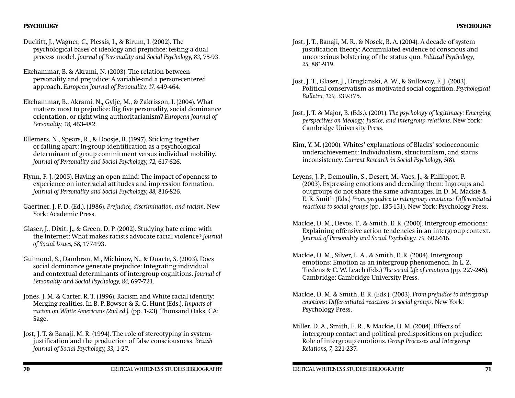- Duckitt, J., Wagner, C., Plessis, I., & Birum, I. (2002). The psychological bases of ideology and prejudice: testing a dual process model. *Journal of Personality and Social Psychology, 83,* 75-93.
- Ekehammar, B. & Akrami, N. (2003). The relation between personality and prejudice: A variable-and a person-centered approach. *European Journal of Personality, 17,* 449-464.
- Ekehammar, B., Akrami, N., Gylje, M., & Zakrisson, I. (2004). What matters most to prejudice: Big five personality, social dominance orientation, or right-wing authoritarianism? *European Journal of Personality, 18,* 463-482.
- Ellemers, N., Spears, R., & Doosje, B. (1997). Sticking together or falling apart: In-group identification as a psychological determinant of group commitment versus individual mobility. *Journal of Personality and Social Psychology, 72,* 617-626.
- Flynn, F. J. (2005). Having an open mind: The impact of openness to experience on interracial attitudes and impression formation. *Journal of Personality and Social Psychology, 88,* 816-826.
- Gaertner, J. F. D. (Ed.). (1986). *Prejudice, discrimination, and racism.* New York: Academic Press.
- Glaser, J., Dixit, J., & Green, D. P. (2002). Studying hate crime with the Internet: What makes racists advocate racial violence? *Journal of Social Issues, 58,* 177-193.
- Guimond, S., Dambran, M., Michinov, N., & Duarte, S. (2003). Does social dominance generate prejudice: Integrating individual and contextual determinants of intergroup cognitions. *Journal of Personality and Social Psychology, 84,* 697-721.
- Jones, J. M. & Carter, R. T. (1996). Racism and White racial identity: Merging realities. In B. P. Bowser & R. G. Hunt (Eds.), *Impacts of racism on White Americans (2nd ed.),* (pp. 1-23). Thousand Oaks, CA: Sage.
- Jost, J. T. & Banaji, M. R. (1994). The role of stereotyping in systemjustifi cation and the production of false consciousness. *British Journal of Social Psychology, 33,* 1-27.
- Jost, J. T., Banaji, M. R., & Nosek, B. A. (2004). A decade of system justification theory: Accumulated evidence of conscious and unconscious bolstering of the status quo. *Political Psychology, 25,* 881-919.
- Jost, J. T., Glaser, J., Druglanski, A. W., & Sulloway, F. J. (2003). Political conservatism as motivated social cognition. *Psychological Bulletin, 129,* 339-375.
- Jost, J. T. & Major, B. (Eds.). (2001). *The psychology of legitimacy: Emerging perspectives on ideology, justice, and intergroup relations.* New York: Cambridge University Press.
- Kim, Y. M. (2000). Whites' explanations of Blacks' socioeconomic underachievement: Individualism, structuralism, and status inconsistency. *Current Research in Social Psychology, 5*(8).
- Leyens, J. P., Demoulin, S., Desert, M., Vaes, J., & Philippot, P. (2003). Expressing emotions and decoding them: Ingroups and outgroups do not share the same advantages. In D. M. Mackie & E. R. Smith (Eds.) *From prejudice to intergroup emotions: Differentiated reactions to social groups* (pp. 135-151). New York: Psychology Press.
- Mackie, D. M., Devos, T., & Smith, E. R. (2000). Intergroup emotions: Explaining offensive action tendencies in an intergroup context. *Journal of Personality and Social Psychology, 79,* 602-616.
- Mackie, D. M., Silver, L. A., & Smith, E. R. (2004). Intergroup emotions: Emotion as an intergroup phenomenon. In L. Z. Tiedens & C. W. Leach (Eds.) *The social life of emotions* (pp. 227-245). Cambridge: Cambridge University Press.
- Mackie, D. M. & Smith, E. R. (Eds.). (2003). *From prejudice to intergroup emotions: Differentiated reactions to social groups.* New York: Psychology Press.
- Miller, D. A., Smith, E. R., & Mackie, D. M. (2004). Effects of intergroup contact and political predispositions on prejudice: Role of intergroup emotions. *Group Processes and Intergroup Relations, 7,* 221-237.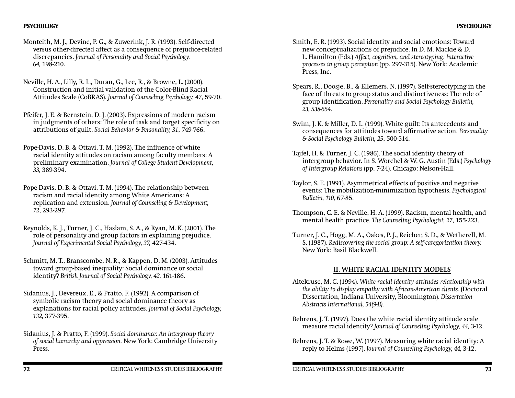- Monteith, M. J., Devine, P. G., & Zuwerink, J. R. (1993). Self-directed versus other-directed affect as a consequence of prejudice-related discrepancies. *Journal of Personality and Social Psychology, 64,* 198-210.
- Neville, H. A., Lilly, R. L., Duran, G., Lee, R., & Browne, L. (2000). Construction and initial validation of the Color-Blind Racial Attitudes Scale (CoBRAS). *Journal of Counseling Psychology, 47*, 59-70.
- Pfeifer, J. E. & Bernstein, D. J. (2003). Expressions of modern racism in judgments of others: The role of task and target specificity on attributions of guilt. *Social Behavior & Personality, 31*, 749-766.
- Pope-Davis, D. B. & Ottavi, T. M. (1992). The influence of white racial identity attitudes on racism among faculty members: A preliminary examination. *Journal of College Student Development, 33,* 389-394.
- Pope-Davis, D. B. & Ottavi, T. M. (1994). The relationship between racism and racial identity among White Americans: A replication and extension. *Journal of Counseling & Development, 72*, 293-297.
- Reynolds, K. J., Turner, J. C., Haslam, S. A., & Ryan, M. K. (2001). The role of personality and group factors in explaining prejudice. *Journal of Experimental Social Psychology, 37,* 427-434.
- Schmitt, M. T., Branscombe, N. R., & Kappen, D. M. (2003). Attitudes toward group-based inequality: Social dominance or social identity? *British Journal of Social Psychology, 42,* 161-186.
- Sidanius, J., Devereux, E., & Pratto, F. (1992). A comparison of symbolic racism theory and social dominance theory as explanations for racial policy attitudes. *Journal of Social Psychology, 132,* 377-395.
- Sidanius, J. & Pratto, F. (1999). *Social dominance: An intergroup theory of social hierarchy and oppression.* New York: Cambridge University Press.
- Smith, E. R. (1993). Social identity and social emotions: Toward new conceptualizations of prejudice. In D. M. Mackie & D. L. Hamilton (Eds.) *Affect, cognition, and stereotyping: Interactive processes in group perception* (pp. 297-315). New York: Academic Press, Inc.
- Spears, R., Doosje, B., & Ellemers, N. (1997). Self-stereotyping in the face of threats to group status and distinctiveness: The role of group identification. Personality and Social Psychology Bulletin, *23, 538-554*.
- Swim, J. K. & Miller, D. L. (1999). White guilt: Its antecedents and consequences for attitudes toward affirmative action. *Personality & Social Psychology Bulletin, 25*, 500-514.
- Tajfel, H. & Turner, J. C. (1986). The social identity theory of intergroup behavior. In S. Worchel & W. G. Austin (Eds.) *Psychology of Intergroup Relations* (pp. 7-24). Chicago: Nelson-Hall.
- Taylor, S. E. (1991). Asymmetrical effects of positive and negative events: The mobilization-minimization hypothesis. *Psychological Bulletin, 110,* 67-85.
- Thompson, C. E. & Neville, H. A. (1999). Racism, mental health, and mental health practice. *The Counseling Psychologist, 27*, 155-223.
- Turner, J. C., Hogg, M. A., Oakes, P. J., Reicher, S. D., & Wetherell, M. S. (1987). *Rediscovering the social group: A self-categorization theory.* New York: Basil Blackwell.

## **II. WHITE RACIAL IDENTITY MODELS**

- Altekruse, M. C. (1994). *White racial identity attitudes relationship with the ability to display empathy with African-American clients.* (Doctoral Dissertation, Indiana University, Bloomington). *Dissertation Abstracts International, 54(9-B).*
- Behrens, J. T. (1997). Does the white racial identity attitude scale measure racial identity? *Journal of Counseling Psychology, 44,* 3-12.
- Behrens, J. T. & Rowe, W. (1997). Measuring white racial identity: A reply to Helms (1997). *Journal of Counseling Psychology, 44,* 3-12.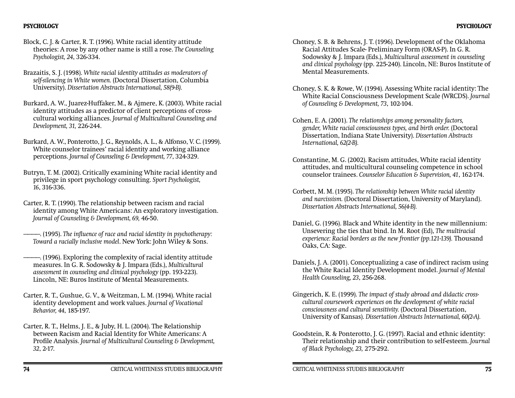## **PSYCHOLOGY**

- Block, C. J. & Carter, R. T. (1996). White racial identity attitude theories: A rose by any other name is still a rose. *The Counseling Psychologist, 24*, 326-334.
- Brazaitis, S. J. (1998). *White racial identity attitudes as moderators of self-silencing in White women.* (Doctoral Dissertation, Columbia University). *Dissertation Abstracts International, 58(9-B).*
- Burkard, A. W., Juarez-Huffaker, M., & Ajmere, K. (2003). White racial identity attitudes as a predictor of client perceptions of crosscultural working alliances. *Journal of Multicultural Counseling and Development, 31,* 226-244.
- Burkard, A. W., Ponterotto, J. G., Reynolds, A. L., & Alfonso, V. C. (1999). White counselor trainees' racial identity and working alliance perceptions. *Journal of Counseling & Development, 77*, 324-329.
- Butryn, T. M. (2002). Critically examining White racial identity and privilege in sport psychology consulting. *Sport Psychologist, 16*, 316-336.
- Carter, R. T. (1990). The relationship between racism and racial identity among White Americans: An exploratory investigation. *Journal of Counseling & Development, 69,* 46-50.
- ————. (1995). *The infl uence of race and racial identity in psychotherapy: Toward a racially inclusive model*. New York: John Wiley & Sons.
- ————. (1996). Exploring the complexity of racial identity attitude measures. In G. R. Sodowsky & J. Impara (Eds.), *Multicultural assessment in counseling and clinical psychology* (pp. 193-223). Lincoln, NE: Buros Institute of Mental Measurements.
- Carter, R. T., Gushue, G. V., & Weitzman, L. M. (1994). White racial identity development and work values. *Journal of Vocational Behavior, 44*, 185-197.
- Carter, R. T., Helms, J. E., & Juby, H. L. (2004). The Relationship between Racism and Racial Identity for White Americans: A Profile Analysis. *Journal of Multicultural Counseling & Development*, *32*, 2-17.
- Choney, S. B. & Behrens, J. T. (1996). Development of the Oklahoma Racial Attitudes Scale- Preliminary Form (ORAS-P). In G. R. Sodowsky & J. Impara (Eds.), *Multicultural assessment in counseling and clinical psychology* (pp. 225-240). Lincoln, NE: Buros Institute of Mental Measurements.
- Choney, S. K. & Rowe, W. (1994). Assessing White racial identity: The White Racial Consciousness Development Scale (WRCDS). *Journal of Counseling & Development, 73*, 102-104.
- Cohen, E. A. (2001). *The relationships among personality factors, gender, White racial consciousness types, and birth order.* (Doctoral Dissertation, Indiana State University). *Dissertation Abstracts International, 62(2-B).*
- Constantine, M. G. (2002). Racism attitudes, White racial identity attitudes, and multicultural counseling competence in school counselor trainees. *Counselor Education & Supervision, 41*, 162-174.
- Corbett, M. M. (1995). *The relationship between White racial identity and narcissism.* (Doctoral Dissertation, University of Maryland). *Dissertation Abstracts International, 56(4-B).*
- Daniel, G. (1996). Black and White identity in the new millennium: Unsevering the ties that bind. In M. Root (Ed), *The multiracial experience: Racial borders as the new frontier (pp.121-139).* Thousand Oaks, CA: Sage.
- Daniels, J. A. (2001). Conceptualizing a case of indirect racism using the White Racial Identity Development model. *Journal of Mental Health Counseling, 23*, 256-268.
- Gingerich, K. E. (1999). *The impact of study abroad and didactic crosscultural coursework experiences on the development of white racial consciousness and cultural sensitivity.* (Doctoral Dissertation, University of Kansas). *Dissertation Abstracts International, 60(2-A).*
- Goodstein, R. & Ponterotto, J. G. (1997). Racial and ethnic identity: Their relationship and their contribution to self-esteem. *Journal of Black Psychology, 23,* 275-292.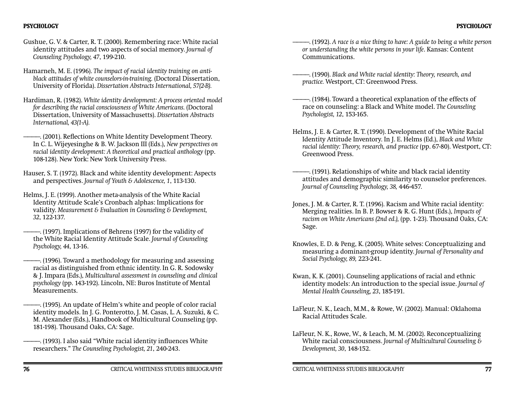Gushue, G. V. & Carter, R. T. (2000). Remembering race: White racial identity attitudes and two aspects of social memory. *Journal of Counseling Psychology, 47*, 199-210.

Hamarneh, M. E. (1996). *The impact of racial identity training on antiblack attitudes of white counselors-in-training.* (Doctoral Dissertation, University of Florida). *Dissertation Abstracts International, 57(2-B).* 

Hardiman, R. (1982). *White identity development: A process oriented model for describing the racial consciousness of White Americans.* (Doctoral Dissertation, University of Massachusetts). *Dissertation Abstracts International, 43(1-A).*

—. (2001). Reflections on White Identity Development Theory. In C. L. Wijeyesinghe & B. W. Jackson III (Eds.), *New perspectives on racial identity development: A theoretical and practical anthology* (pp. 108-128). New York: New York University Press.

- Hauser, S. T. (1972). Black and white identity development: Aspects and perspectives. *Journal of Youth & Adolescence, 1*, 113-130.
- Helms, J. E. (1999). Another meta-analysis of the White Racial Identity Attitude Scale's Cronbach alphas: Implications for validity. *Measurement & Evaluation in Counseling & Development, 32*, 122-137.
- ————. (1997). Implications of Behrens (1997) for the validity of the White Racial Identity Attitude Scale. *Journal of Counseling Psychology, 44*, 13-16.
- $-$ . (1996). Toward a methodology for measuring and assessing racial as distinguished from ethnic identity. In G. R. Sodowsky & J. Impara (Eds.), *Multicultural assessment in counseling and clinical psychology* (pp. 143-192). Lincoln, NE: Buros Institute of Mental Measurements.
- –. (1995). An update of Helm's white and people of color racial identity models. In J. G. Ponterotto, J. M. Casas, L. A. Suzuki, & C. M. Alexander (Eds.), Handbook of Multicultural Counseling (pp. 181-198). Thousand Oaks, CA: Sage.
- –. (1993). I also said "White racial identity influences White researchers." *The Counseling Psychologist, 21*, 240-243.
- ————. (1992). *A race is a nice thing to have: A guide to being a white person or understanding the white persons in your life*. Kansas: Content Communications.
- ————. (1990). *Black and White racial identity: Theory, research, and practice.* Westport, CT: Greenwood Press.
- ————. (1984). Toward a theoretical explanation of the effects of race on counseling: a Black and White model. *The Counseling Psychologist, 12*, 153-165.
- Helms, J. E. & Carter, R. T. (1990). Development of the White Racial Identity Attitude Inventory. In J. E. Helms (Ed.), *Black and White racial identity: Theory, research, and practice* (pp. 67-80). Westport, CT: Greenwood Press.
- ————. (1991). Relationships of white and black racial identity attitudes and demographic similarity to counselor preferences. *Journal of Counseling Psychology, 38,* 446-457.
- Jones, J. M. & Carter, R. T. (1996). Racism and White racial identity: Merging realities. In B. P. Bowser & R. G. Hunt (Eds.), *Impacts of racism on White Americans (2nd ed.),* (pp. 1-23). Thousand Oaks, CA: Sage.
- Knowles, E. D. & Peng, K. (2005). White selves: Conceptualizing and measuring a dominant-group identity. *Journal of Personality and Social Psychology, 89,* 223-241.
- Kwan, K. K. (2001). Counseling applications of racial and ethnic identity models: An introduction to the special issue. *Journal of Mental Health Counseling, 23*, 185-191.
- LaFleur, N. K., Leach, M.M., & Rowe, W. (2002). Manual: Oklahoma Racial Attitudes Scale.
- LaFleur, N. K., Rowe, W., & Leach, M. M. (2002). Reconceptualizing White racial consciousness. *Journal of Multicultural Counseling & Development, 30*, 148-152.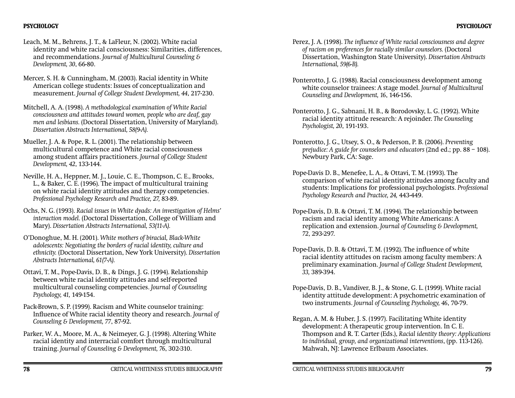Leach, M. M., Behrens, J. T., & LaFleur, N. (2002). White racial identity and white racial consciousness: Similarities, differences, and recommendations. *Journal of Multicultural Counseling & Development, 30*, 66-80.

Mercer, S. H. & Cunningham, M. (2003). Racial identity in White American college students: Issues of conceptualization and measurement. *Journal of College Student Development, 44*, 217-230.

Mitchell, A. A. (1998). *A methodological examination of White Racial consciousness and attitudes toward women, people who are deaf, gay men and lesbians.* (Doctoral Dissertation, University of Maryland). *Dissertation Abstracts International, 58(9-A).* 

Mueller, J. A. & Pope, R. L. (2001). The relationship between multicultural competence and White racial consciousness among student affairs practitioners. *Journal of College Student Development, 42*, 133-144.

Neville, H. A., Heppner, M. J., Louie, C. E., Thompson, C. E., Brooks, L., & Baker, C. E. (1996). The impact of multicultural training on white racial identity attitudes and therapy competencies. *Professional Psychology Research and Practice, 27,* 83-89.

Ochs, N. G. (1993). *Racial issues in White dyads: An investigation of Helms' interaction model.* (Doctoral Dissertation, College of William and Mary). *Dissertation Abstracts International, 53(11-A).* 

O'Donoghue, M. H. (2001). *White mothers of biracial, Black-White adolescents: Negotiating the borders of racial identity, culture and ethnicity.* (Doctoral Dissertation, New York University). *Dissertation Abstracts International, 61(7-A).* 

Ottavi, T. M., Pope-Davis, D. B., & Dings, J. G. (1994). Relationship between white racial identity attitudes and self-reported multicultural counseling competencies. *Journal of Counseling Psychology, 41,* 149-154.

Pack-Brown, S. P. (1999). Racism and White counselor training: Influence of White racial identity theory and research. *Journal* of *Counseling & Development, 77*, 87-92.

Parker, W. A., Moore, M. A., & Neimeyer, G. J. (1998). Altering White racial identity and interracial comfort through multicultural training. *Journal of Counseling & Development, 76*, 302-310.

- Perez, J. A. (1998). *The influence of White racial consciousness and degree of racism on preferences for racially similar counselors.* (Doctoral Dissertation, Washington State University). *Dissertation Abstracts International, 59(6-B).*
- Ponterotto, J. G. (1988). Racial consciousness development among white counselor trainees: A stage model. *Journal of Multicultural Counseling and Development, 16*, 146-156.
- Ponterotto, J. G., Sabnani, H. B., & Borodovsky, L. G. (1992). White racial identity attitude research: A rejoinder. *The Counseling Psychologist, 20*, 191-193.
- Ponterotto, J. G., Utsey, S. O., & Pederson, P. B. (2006). *Preventing prejudice: A guide for counselors and educators* (2nd ed.; pp. 88 – 108). Newbury Park, CA: Sage.
- Pope-Davis D. B., Menefee, L. A., & Ottavi, T. M. (1993). The comparison of white racial identity attitudes among faculty and students: Implications for professional psychologists. *Professional Psychology Research and Practice, 24,* 443-449.
- Pope-Davis, D. B. & Ottavi, T. M. (1994). The relationship between racism and racial identity among White Americans: A replication and extension. *Journal of Counseling & Development, 72*, 293-297.
- Pope-Davis, D. B. & Ottavi, T. M. (1992). The influence of white racial identity attitudes on racism among faculty members: A preliminary examination. *Journal of College Student Development, 33,* 389-394.
- Pope-Davis, D. B., Vandiver, B. J., & Stone, G. L. (1999). White racial identity attitude development: A psychometric examination of two instruments. *Journal of Counseling Psychology, 46*, 70-79.
- Regan, A. M. & Huber, J. S. (1997). Facilitating White identity development: A therapeutic group intervention. In C. E. Thompson and R. T. Carter (Eds.), *Racial identity theory: Applications to individual, group, and organizational interventions*, (pp. 113-126). Mahwah, NJ: Lawrence Erlbaum Associates.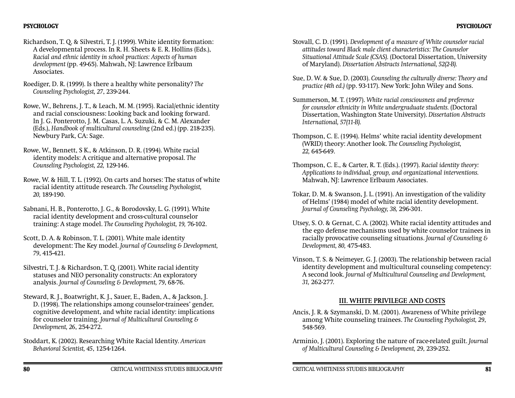- Richardson, T. Q. & Silvestri, T. J. (1999). White identity formation: A developmental process. In R. H. Sheets & E. R. Hollins (Eds.), *Racial and ethnic identity in school practices: Aspects of human development* (pp. 49-65). Mahwah, NJ: Lawrence Erlbaum Associates.
- Roediger, D. R. (1999). Is there a healthy white personality? *The Counseling Psychologist, 27*, 239-244.
- Rowe, W., Behrens, J. T., & Leach, M. M. (1995). Racial/ethnic identity and racial consciousness: Looking back and looking forward. In J. G. Ponterotto, J. M. Casas, L. A. Suzuki, & C. M. Alexander (Eds.), *Handbook of multicultural counseling* (2nd ed.) (pp. 218-235). Newbury Park, CA: Sage.
- Rowe, W., Bennett, S K., & Atkinson, D. R. (1994). White racial identity models: A critique and alternative proposal. *The Counseling Psychologist, 22,* 129-146.
- Rowe, W. & Hill, T. L. (1992). On carts and horses: The status of white racial identity attitude research. *The Counseling Psychologist, 20,* 189-190.
- Sabnani, H. B., Ponterotto, J. G., & Borodovsky, L. G. (1991). White racial identity development and cross-cultural counselor training: A stage model. *The Counseling Psychologist, 19,* 76-102.
- Scott, D. A. & Robinson, T. L. (2001). White male identity development: The Key model. *Journal of Counseling & Development, 79*, 415-421.
- Silvestri, T. J. & Richardson, T. Q. (2001). White racial identity statuses and NEO personality constructs: An exploratory analysis. *Journal of Counseling & Development, 79*, 68-76.
- Steward, R. J., Boatwright, K. J., Sauer, E., Baden, A., & Jackson, J. D. (1998). The relationships among counselor-trainees' gender, cognitive development, and white racial identity: implications for counselor training. *Journal of Multicultural Counseling & Development, 26*, 254-272.
- Stoddart, K. (2002). Researching White Racial Identity. *American Behavioral Scientist, 45*, 1254-1264.
- Stovall, C. D. (1991). *Development of a measure of White counselor racial attitudes toward Black male client characteristics: The Counselor Situational Attitude Scale (CSAS).* (Doctoral Dissertation, University of Maryland). *Dissertation Abstracts International, 52(2-B).*
- Sue, D. W. & Sue, D. (2003). *Counseling the culturally diverse: Theory and practice (4th ed.)* (pp. 93-117). New York: John Wiley and Sons.
- Summerson, M. T. (1997). *White racial consciousness and preference for counselor ethnicity in White undergraduate students.* (Doctoral Dissertation, Washington State University). *Dissertation Abstracts International, 57(11-B).*
- Thompson, C. E. (1994). Helms' white racial identity development (WRID) theory: Another look. *The Counseling Psychologist, 22,* 645-649.
- Thompson, C. E., & Carter, R. T. (Eds.). (1997). *Racial identity theory: Applications to individual, group, and organizational interventions.* Mahwah, NJ: Lawrence Erlbaum Associates.
- Tokar, D. M. & Swanson, J. L. (1991). An investigation of the validity of Helms' (1984) model of white racial identity development. *Journal of Counseling Psychology, 38,* 296-301.
- Utsey, S. O. & Gernat, C. A. (2002). White racial identity attitudes and the ego defense mechanisms used by white counselor trainees in racially provocative counseling situations. *Journal of Counseling & Development, 80,* 475-483.
- Vinson, T. S. & Neimeyer, G. J. (2003). The relationship between racial identity development and multicultural counseling competency: A second look. *Journal of Multicultural Counseling and Development, 31,* 262-277.

# **III. WHITE PRIVILEGE AND COSTS**

- Ancis, J. R. & Szymanski, D. M. (2001). Awareness of White privilege among White counseling trainees. *The Counseling Psychologist, 29*, 548-569.
- Arminio, J. (2001). Exploring the nature of race-related guilt. *Journal of Multicultural Counseling & Development, 29*, 239-252.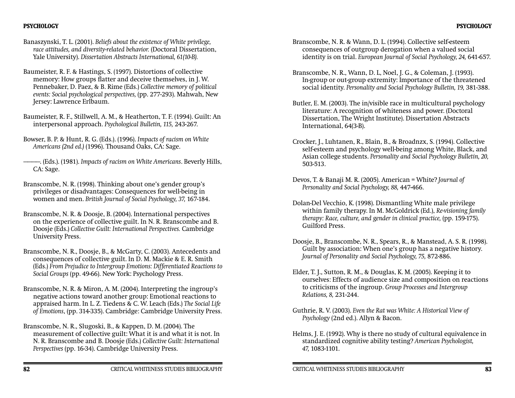### **PSYCHOLOGY**

- Banaszynski, T. L. (2001). *Beliefs about the existence of White privilege, race attitudes, and diversity-related behavior.* (Doctoral Dissertation, Yale University). *Dissertation Abstracts International, 61(10-B).*
- Baumeister, R. F. & Hastings, S. (1997). Distortions of collective memory: How groups flatter and deceive themselves, in I. W. Pennebaker, D. Paez, & B. Rime (Eds.) *Collective memory of political events: Social psychological perspectives,* (pp. 277-293). Mahwah, New Jersey: Lawrence Erlbaum.
- Baumeister, R. F., Stillwell, A. M., & Heatherton, T. F. (1994). Guilt: An interpersonal approach. *Psychological Bulletin, 115,* 243-267.
- Bowser, B. P. & Hunt, R. G. (Eds.). (1996). *Impacts of racism on White Americans (2nd ed.)* (1996). Thousand Oaks, CA: Sage.
- ————. (Eds.). (1981). *Impacts of racism on White Americans*. Beverly Hills, CA: Sage.
- Branscombe, N. R. (1998). Thinking about one's gender group's privileges or disadvantages: Consequences for well-being in women and men. *British Journal of Social Psychology, 37,* 167-184.
- Branscombe, N. R. & Doosje, B. (2004). International perspectives on the experience of collective guilt. In N. R. Branscombe and B. Doosje (Eds.) *Collective Guilt: International Perspectives.* Cambridge University Press.
- Branscombe, N. R., Doosje, B., & McGarty, C. (2003). Antecedents and consequences of collective guilt. In D. M. Mackie & E. R. Smith (Eds.) *From Prejudice to Intergroup Emotions: Differentiated Reactions to Social Groups* (pp. 49-66). New York: Psychology Press.
- Branscombe, N. R. & Miron, A. M. (2004). Interpreting the ingroup's negative actions toward another group: Emotional reactions to appraised harm. In L. Z. Tiedens & C. W. Leach (Eds.) *The Social Life of Emotions*, (pp. 314-335). Cambridge: Cambridge University Press.
- Branscombe, N. R., Slugoski, B., & Kappen, D. M. (2004). The measurement of collective guilt: What it is and what it is not. In N. R. Branscombe and B. Doosje (Eds.) *Collective Guilt: International Perspectives* (pp. 16-34). Cambridge University Press.
- Branscombe, N. R. & Wann, D. L. (1994). Collective self-esteem consequences of outgroup derogation when a valued social identity is on trial. *European Journal of Social Psychology, 24,* 641-657.
- Branscombe, N. R., Wann, D. L, Noel, J. G., & Coleman, J. (1993). In-group or out-group extremity: Importance of the threatened social identity. *Personality and Social Psychology Bulletin, 19,* 381-388.
- Butler, E. M. (2003). The in/visible race in multicultural psychology literature: A recognition of whiteness and power. (Doctoral Dissertation, The Wright Institute). Dissertation Abstracts International, 64(3-B).
- Crocker, J., Luhtanen, R., Blain, B., & Broadnzx, S. (1994). Collective self-esteem and psychology well-being among White, Black, and Asian college students. *Personality and Social Psychology Bulletin, 20,*  503-513.
- Devos, T. & Banaji M. R. (2005). American = White? *Journal of Personality and Social Psychology, 88,* 447-466.
- Dolan-Del Vecchio, K. (1998). Dismantling White male privilege within family therapy. In M. McGoldrick (Ed.), *Re-visioning family therapy: Race, culture, and gender in clinical practice,* (pp. 159-175). Guilford Press.
- Doosje, B., Branscombe, N. R., Spears, R., & Manstead, A. S. R. (1998). Guilt by association: When one's group has a negative history. *Journal of Personality and Social Psychology, 75,* 872-886.
- Elder, T. J., Sutton, R. M., & Douglas, K. M. (2005). Keeping it to ourselves: Effects of audience size and composition on reactions to criticisms of the ingroup. *Group Processes and Intergroup Relations, 8,* 231-244.
- Guthrie, R. V. (2003). *Even the Rat was White: A Historical View of Psychology* (2nd ed.). Allyn & Bacon.
- Helms, J. E. (1992). Why is there no study of cultural equivalence in standardized cognitive ability testing? *American Psychologist, 47,* 1083-1101.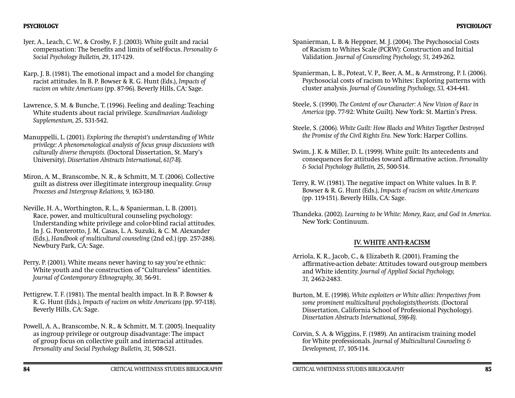## **PSYCHOLOGY**

- Iyer, A., Leach, C. W., & Crosby, F. J. (2003). White guilt and racial compensation: The benefits and limits of self-focus. *Personality & Social Psychology Bulletin, 29*, 117-129.
- Karp, J. B. (1981). The emotional impact and a model for changing racist attitudes. In B. P. Bowser & R. G. Hunt (Eds.), *Impacts of racism on white Americans* (pp. 87-96). Beverly Hills, CA: Sage.
- Lawrence, S. M. & Bunche, T. (1996). Feeling and dealing: Teaching White students about racial privilege. *Scandinavian Audiology Supplementum, 25*, 531-542.
- Manuppelli, L. (2001). *Exploring the therapist's understanding of White privilege: A phenomenological analysis of focus group discussions with culturally diverse therapists.* (Doctoral Dissertation, St. Mary's University). *Dissertation Abstracts International, 61(7-B).*
- Miron, A. M., Branscombe, N. R., & Schmitt, M. T. (2006). Collective guilt as distress over illegitimate intergroup inequality. *Group Processes and Intergroup Relations, 9,* 163-180.
- Neville, H. A., Worthington, R. L., & Spanierman, L. B. (2001). Race, power, and multicultural counseling psychology: Understanding white privilege and color-blind racial attitudes. In J. G. Ponterotto, J. M. Casas, L. A. Suzuki, & C. M. Alexander (Eds.), *Handbook of multicultural counseling* (2nd ed.) (pp. 257-288). Newbury Park, CA: Sage.
- Perry, P. (2001). White means never having to say you're ethnic: White youth and the construction of "Cultureless" identities. *Journal of Contemporary Ethnography, 30,* 56-91.
- Pettigrew, T. F. (1981). The mental health impact. In B. P. Bowser & R. G. Hunt (Eds.), *Impacts of racism on white Americans* (pp. 97-118). Beverly Hills, CA: Sage.
- Powell, A. A., Branscombe, N. R., & Schmitt, M. T. (2005). Inequality as ingroup privilege or outgroup disadvantage: The impact of group focus on collective guilt and interracial attitudes. *Personality and Social Psychology Bulletin, 31,* 508-521.
- Spanierman, L. B. & Heppner, M. J. (2004). The Psychosocial Costs of Racism to Whites Scale (PCRW): Construction and Initial Validation. *Journal of Counseling Psychology, 51,* 249-262*.*
- Spanierman, L. B., Poteat, V. P., Beer, A. M., & Armstrong, P. I. (2006). Psychosocial costs of racism to Whites: Exploring patterns with cluster analysis. *Journal of Counseling Psychology, 53,* 434-441.
- Steele, S. (1990). *The Content of our Character: A New Vision of Race in America* (pp. 77-92: White Guilt)*.* New York: St. Martin's Press.
- Steele, S. (2006). *White Guilt: How Blacks and Whites Together Destroyed the Promise of the Civil Rights Era.* New York: Harper Collins.
- Swim, J. K. & Miller, D. L. (1999). White guilt: Its antecedents and consequences for attitudes toward affirmative action. *Personality & Social Psychology Bulletin, 25*, 500-514.
- Terry, R. W. (1981). The negative impact on White values. In B. P. Bowser & R. G. Hunt (Eds.), *Impacts of racism on white Americans* (pp. 119-151). Beverly Hills, CA: Sage.
- Thandeka. (2002). *Learning to be White: Money, Race, and God in America*. New York: Continuum.

## **IV. WHITE ANTI-RACISM**

- Arriola, K. R., Jacob, C., & Elizabeth R. (2001). Framing the affirmative-action debate: Attitudes toward out-group members and White identity. *Journal of Applied Social Psychology, 31,* 2462-2483.
- Burton, M. E. (1998). *White exploiters or White allies: Perspectives from some prominent multicultural psychologists/theorists.* (Doctoral Dissertation, California School of Professional Psychology). *Dissertation Abstracts International, 59(6-B).*
- Corvin, S. A. & Wiggins, F. (1989). An antiracism training model for White professionals. *Journal of Multicultural Counseling & Development, 17*, 105-114.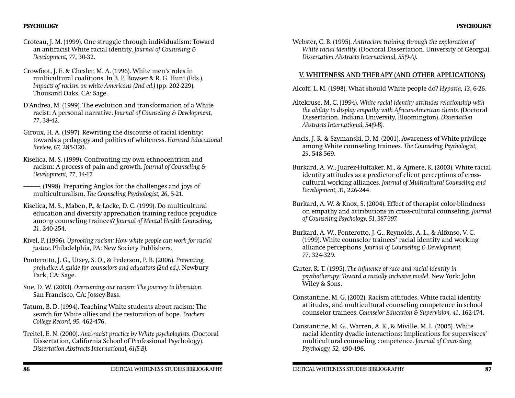- Croteau, J. M. (1999). One struggle through individualism: Toward an antiracist White racial identity. *Journal of Counseling & Development, 77*, 30-32.
- Crowfoot, J. E. & Chesler, M. A. (1996). White men's roles in multicultural coalitions. In B. P. Bowser & R. G. Hunt (Eds.), *Impacts of racism on white Americans (2nd ed.)* (pp. 202-229). Thousand Oaks, CA: Sage.
- D'Andrea, M. (1999). The evolution and transformation of a White racist: A personal narrative. *Journal of Counseling & Development, 77*, 38-42.
- Giroux, H. A. (1997). Rewriting the discourse of racial identity: towards a pedagogy and politics of whiteness. *Harvard Educational Review, 67,* 285-320.
- Kiselica, M. S. (1999). Confronting my own ethnocentrism and racism: A process of pain and growth. *Journal of Counseling & Development, 77*, 14-17.
- ————. (1998). Preparing Anglos for the challenges and joys of multiculturalism. *The Counseling Psychologist, 26*, 5-21.
- Kiselica, M. S., Maben, P., & Locke, D. C. (1999). Do multicultural education and diversity appreciation training reduce prejudice among counseling trainees? *Journal of Mental Health Counseling, 21*, 240-254.
- Kivel, P. (1996). *Uprooting racism: How white people can work for racial justice*. Philadelphia, PA: New Society Publishers.
- Ponterotto, J. G., Utsey, S. O., & Pederson, P. B. (2006). *Preventing prejudice: A guide for counselors and educators (2nd ed.)*. Newbury Park, CA: Sage.
- Sue, D. W. (2003). *Overcoming our racism: The journey to liberation*. San Francisco, CA: Jossey-Bass.
- Tatum, B. D. (1994). Teaching White students about racism: The search for White allies and the restoration of hope. *Teachers College Record, 95*, 462-476.
- Treitel, E. N. (2000). *Anti-racist practice by White psychologists.* (Doctoral Dissertation, California School of Professional Psychology). *Dissertation Abstracts International, 61(5-B).*

Webster, C. B. (1995). *Antiracism training through the exploration of White racial identity.* (Doctoral Dissertation, University of Georgia). *Dissertation Abstracts International, 55(9-A).* 

## **V. WHITENESS AND THERAPY (AND OTHER APPLICATIONS)**

Alcoff, L. M. (1998). What should White people do? *Hypatia, 13*, 6-26.

- Altekruse, M. C. (1994). *White racial identity attitudes relationship with the ability to display empathy with African-American clients.* (Doctoral Dissertation, Indiana University, Bloomington). *Dissertation Abstracts International, 54(9-B).*
- Ancis, J. R. & Szymanski, D. M. (2001). Awareness of White privilege among White counseling trainees. *The Counseling Psychologist, 29*, 548-569.
- Burkard, A. W., Juarez-Huffaker, M., & Ajmere, K. (2003). White racial identity attitudes as a predictor of client perceptions of crosscultural working alliances. *Journal of Multicultural Counseling and Development, 31,* 226-244.
- Burkard, A. W. & Knox, S. (2004). Effect of therapist color-blindness on empathy and attributions in cross-cultural counseling. *Journal of Counseling Psychology, 51, 387-397.*
- Burkard, A. W., Ponterotto, J. G., Reynolds, A. L., & Alfonso, V. C. (1999). White counselor trainees' racial identity and working alliance perceptions. *Journal of Counseling & Development, 77*, 324-329.
- Carter, R. T. (1995). *The infl uence of race and racial identity in psychotherapy: Toward a racially inclusive model*. New York: John Wiley & Sons.
- Constantine, M. G. (2002). Racism attitudes, White racial identity attitudes, and multicultural counseling competence in school counselor trainees. *Counselor Education & Supervision, 41*, 162-174.
- Constantine, M. G., Warren, A. K., & Miville, M. L. (2005). White racial identity dyadic interactions: Implications for supervisees' multicultural counseling competence. *Journal of Counseling Psychology, 52,* 490-496.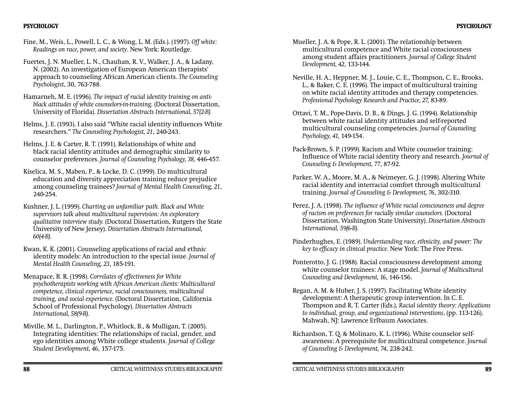## **PSYCHOLOGY**

- Fine, M., Weis, L., Powell, L. C., & Wong, L. M. (Eds.). (1997). *Off white: Readings on race, power, and society*. New York: Routledge.
- Fuertes, J. N. Mueller, L. N., Chauhan, R. V., Walker, J. A., & Ladany, N. (2002). An investigation of European American therapists' approach to counseling African American clients. *The Counseling Psychologist*, 30, 763-788.
- Hamarneh, M. E. (1996). *The impact of racial identity training on antiblack attitudes of white counselors-in-training.* (Doctoral Dissertation, University of Florida). *Dissertation Abstracts International, 57(2-B).*
- Helms, J. E. (1993). I also said "White racial identity influences White researchers." *The Counseling Psychologist, 21*, 240-243.
- Helms, J. E. & Carter, R. T. (1991). Relationships of white and black racial identity attitudes and demographic similarity to counselor preferences. *Journal of Counseling Psychology, 38,* 446-457.
- Kiselica, M. S., Maben, P., & Locke, D. C. (1999). Do multicultural education and diversity appreciation training reduce prejudice among counseling trainees? *Journal of Mental Health Counseling, 21*, 240-254.
- Kushner, J. L. (1999). *Charting an unfamiliar path. Black and White supervisors talk about multicultural supervision: An exploratory qualitative interview study.* (Doctoral Dissertation, Rutgers the State University of New Jersey). *Dissertation Abstracts International, 60(4-B).*
- Kwan, K. K. (2001). Counseling applications of racial and ethnic identity models: An introduction to the special issue. *Journal of Mental Health Counseling, 23*, 185-191.
- Menapace, B. R. (1998). *Correlates of effectiveness for White psychotherapists working with African American clients: Multicultural competence, clinical experience, racial consciousness, multicultural training, and social experience.* (Doctoral Dissertation, California School of Professional Psychology). *Dissertation Abstracts International, 58(9-B).*
- Miville, M. L., Darlington, P., Whitlock, B., & Mulligan, T. (2005). Integrating identities: The relationships of racial, gender, and ego identities among White college students. *Journal of College Student Development, 46*, 157-175.
- Mueller, J. A. & Pope, R. L. (2001). The relationship between multicultural competence and White racial consciousness among student affairs practitioners. *Journal of College Student Development, 42*, 133-144.
- Neville, H. A., Heppner, M. J., Louie, C. E., Thompson, C. E., Brooks, L., & Baker, C. E. (1996). The impact of multicultural training on white racial identity attitudes and therapy competencies. *Professional Psychology Research and Practice, 27,* 83-89.
- Ottavi, T. M., Pope-Davis, D. B., & Dings, J. G. (1994). Relationship between white racial identity attitudes and self-reported multicultural counseling competencies. *Journal of Counseling Psychology, 41,* 149-154.
- Pack-Brown, S. P. (1999). Racism and White counselor training: Influence of White racial identity theory and research. *Journal of Counseling & Development, 77*, 87-92.
- Parker, W. A., Moore, M. A., & Neimeyer, G. J. (1998). Altering White racial identity and interracial comfort through multicultural training. *Journal of Counseling & Development, 76*, 302-310.
- Perez, J. A. (1998). *The influence of White racial consciousness and degree of racism on preferences for racially similar counselors.* (Doctoral Dissertation, Washington State University). *Dissertation Abstracts International, 59(6-B).*
- Pinderhughes, E. (1989). *Understanding race, ethnicity, and power: The key to efficacy in clinical practice.* New York: The Free Press.
- Ponterotto, J. G. (1988). Racial consciousness development among white counselor trainees: A stage model. *Journal of Multicultural Counseling and Development, 16*, 146-156.
- Regan, A. M. & Huber, J. S. (1997). Facilitating White identity development: A therapeutic group intervention. In C. E. Thompson and R. T. Carter (Eds.), *Racial identity theory: Applications to individual, group, and organizational interventions*, (pp. 113-126). Mahwah, NJ: Lawrence Erlbaum Associates.
- Richardson, T. Q. & Molinaro, K. L. (1996). White counselor selfawareness: A prerequisite for multicultural competence. *Journal of Counseling & Development, 74*, 238-242.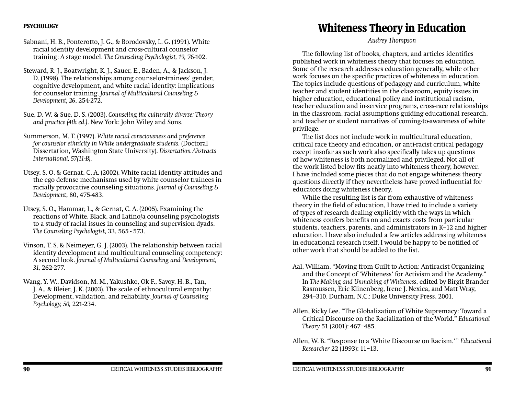- Sabnani, H. B., Ponterotto, J. G., & Borodovsky, L. G. (1991). White racial identity development and cross-cultural counselor training: A stage model. *The Counseling Psychologist, 19,* 76-102.
- Steward, R. J., Boatwright, K. J., Sauer, E., Baden, A., & Jackson, J. D. (1998). The relationships among counselor-trainees' gender, cognitive development, and white racial identity: implications for counselor training. *Journal of Multicultural Counseling & Development, 26*, 254-272.
- Sue, D. W. & Sue, D. S. (2003). *Counseling the culturally diverse: Theory and practice (4th ed.)*. New York: John Wiley and Sons.
- Summerson, M. T. (1997). *White racial consciousness and preference for counselor ethnicity in White undergraduate students.* (Doctoral Dissertation, Washington State University). *Dissertation Abstracts International, 57(11-B).*
- Utsey, S. O. & Gernat, C. A. (2002). White racial identity attitudes and the ego defense mechanisms used by white counselor trainees in racially provocative counseling situations. *Journal of Counseling & Development*, 80, 475-483.
- Utsey, S. O., Hammar, L., & Gernat, C. A. (2005). Examining the reactions of White, Black, and Latino/a counseling psychologists to a study of racial issues in counseling and supervision dyads. *The Counseling Psychologist*, 33, 565 - 573.
- Vinson, T. S. & Neimeyer, G. J. (2003). The relationship between racial identity development and multicultural counseling competency: A second look. *Journal of Multicultural Counseling and Development, 31,* 262-277.
- Wang, Y. W., Davidson, M. M., Yakushko, Ok F., Savoy, H. B., Tan, J. A., & Bleier, J. K. (2003). The scale of ethnocultural empathy: Development, validation, and reliability. *Journal of Counseling Psychology, 50,* 221-234.

# **Whiteness Theory in Education**

*Audrey Thompson*

The following list of books, chapters, and articles identifies published work in whiteness theory that focuses on education. Some of the research addresses education generally, while other work focuses on the specific practices of whiteness in education. The topics include questions of pedagogy and curriculum, white teacher and student identities in the classroom, equity issues in higher education, educational policy and institutional racism, teacher education and in-service programs, cross-race relationships in the classroom, racial assumptions guiding educational research, and teacher or student narratives of coming-to-awareness of white privilege.

The list does not include work in multicultural education, critical race theory and education, or anti-racist critical pedagogy except insofar as such work also specifically takes up questions of how whiteness is both normalized and privileged. Not all of the work listed below fits neatly into whiteness theory, however. I have included some pieces that do not engage whiteness theory questions directly if they nevertheless have proved influential for educators doing whiteness theory.

While the resulting list is far from exhaustive of whiteness theory in the field of education, I have tried to include a variety of types of research dealing explicitly with the ways in which whiteness confers benefits on and exacts costs from particular students, teachers, parents, and administrators in K–12 and higher education. I have also included a few articles addressing whiteness in educational research itself. I would be happy to be notified of other work that should be added to the list.

- Aal, William. "Moving from Guilt to Action: Antiracist Organizing and the Concept of 'Whiteness' for Activism and the Academy." In *The Making and Unmaking of Whiteness*, edited by Birgit Brander Rasmussen, Eric Klinenberg, Irene J. Nexica, and Matt Wray, 294–310. Durham, N.C.: Duke University Press, 2001.
- Allen, Ricky Lee. "The Globalization of White Supremacy: Toward a Critical Discourse on the Racialization of the World." *Educational Theory* 51 (2001): 467–485.
- Allen, W. B. "Response to a 'White Discourse on Racism.' " *Educational Researcher* 22 (1993): 11–13.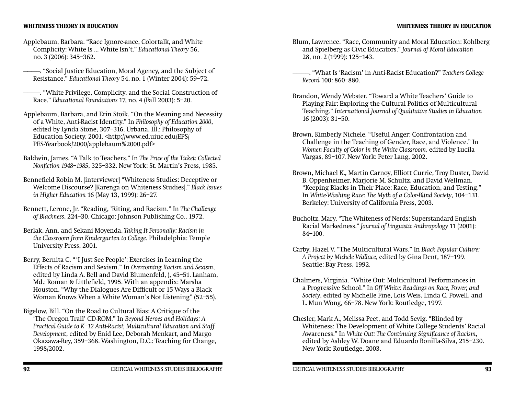- Applebaum, Barbara. "Race Ignore-ance, Colortalk, and White Complicity: White Is … White Isn't." *Educational Theory* 56, no. 3 (2006): 345–362.
	- ————. "Social Justice Education, Moral Agency, and the Subject of Resistance." *Educational Theory* 54, no. 1 (Winter 2004): 59–72.
- ————. "White Privilege, Complicity, and the Social Construction of Race." *Educational Foundations* 17, no. 4 (Fall 2003): 5–20.
- Applebaum, Barbara, and Erin Stoik. "On the Meaning and Necessity of a White, Anti-Racist Identity." In *Philosophy of Education 2000*, edited by Lynda Stone, 307–316. Urbana, Ill.: Philosophy of Education Society, 2001. <http://www.ed.uiuc.edu/EPS/ PES-Yearbook/2000/applebaum%2000.pdf>
- Baldwin, James. "A Talk to Teachers." In *The Price of the Ticket: Collected Nonfi ction 1948–1985*, 325–332. New York: St. Martin's Press, 1985.
- Bennefield Robin M. [interviewer] "Whiteness Studies: Deceptive or Welcome Discourse? [Karenga on Whiteness Studies]." *Black Issues in Higher Education* 16 (May 13, 1999): 26–27.
- Bennett, Lerone, Jr. "Reading, 'Riting, and Racism." In *The Challenge of Blackness*, 224–30. Chicago: Johnson Publishing Co., 1972.
- Berlak, Ann, and Sekani Moyenda. *Taking It Personally: Racism in the Classroom from Kindergarten to College*. Philadelphia: Temple University Press, 2001.
- Berry, Bernita C. " 'I Just See People': Exercises in Learning the Effects of Racism and Sexism." In *Overcoming Racism and Sexism*, edited by Linda A. Bell and David Blumenfeld, ), 45–51. Lanham, Md.: Roman & Littlefield, 1995. With an appendix: Marsha Houston, "Why the Dialogues Are Difficult or 15 Ways a Black Woman Knows When a White Woman's Not Listening" (52–55).
- Bigelow, Bill. "On the Road to Cultural Bias: A Critique of the 'The Oregon Trail' CD-ROM." In *Beyond Heroes and Holidays: A Practical Guide to K–12 Anti-Racist, Multicultural Education and Staff Development*, edited by Enid Lee, Deborah Menkart, and Margo Okazawa-Rey, 359–368. Washington, D.C.: Teaching for Change, 1998/2002.
- Blum, Lawrence. "Race, Community and Moral Education: Kohlberg and Spielberg as Civic Educators." *Journal of Moral Education* 28, no. 2 (1999): 125–143.
- ————. "What Is 'Racism' in Anti-Racist Education?" *Teachers College Record* 100: 860–880.
- Brandon, Wendy Webster. "Toward a White Teachers' Guide to Playing Fair: Exploring the Cultural Politics of Multicultural Teaching." *International Journal of Qualitative Studies in Education* 16 (2003): 31–50.
- Brown, Kimberly Nichele. "Useful Anger: Confrontation and Challenge in the Teaching of Gender, Race, and Violence." In *Women Faculty of Color in the White Classroom*, edited by Lucila Vargas, 89–107. New York: Peter Lang, 2002.
- Brown, Michael K., Martin Carnoy, Elliott Currie, Troy Duster, David B. Oppenheimer, Marjorie M. Schultz, and David Wellman. "Keeping Blacks in Their Place: Race, Education, and Testing." In *White-Washing Race: The Myth of a Color-Blind Society*, 104–131. Berkeley: University of California Press, 2003.
- Bucholtz, Mary. "The Whiteness of Nerds: Superstandard English Racial Markedness." *Journal of Linguistic Anthropology* 11 (2001): 84–100.
- Carby, Hazel V. "The Multicultural Wars." In *Black Popular Culture: A Project by Michele Wallace*, edited by Gina Dent, 187–199. Seattle: Bay Press, 1992.
- Chalmers, Virginia. "White Out: Multicultural Performances in a Progressive School." In *Off White: Readings on Race, Power, and Society*, edited by Michelle Fine, Lois Weis, Linda C. Powell, and L. Mun Wong, 66–78. New York: Routledge, 1997.
- Chesler, Mark A., Melissa Peet, and Todd Sevig. "Blinded by Whiteness: The Development of White College Students' Racial Awareness." In *White Out: The Continuing Significance of Racism*, edited by Ashley W. Doane and Eduardo Bonilla-Silva, 215–230. New York: Routledge, 2003.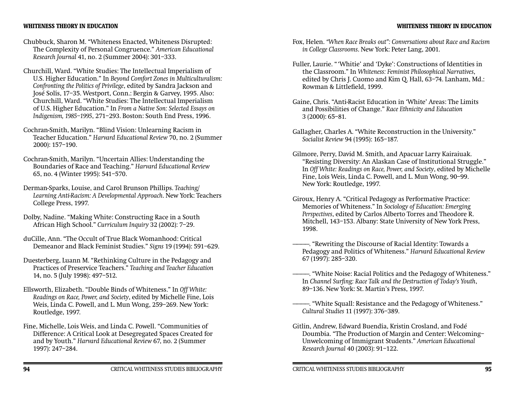- Chubbuck, Sharon M. "Whiteness Enacted, Whiteness Disrupted: The Complexity of Personal Congruence." *American Educational Research Journal* 41, no. 2 (Summer 2004): 301–333.
- Churchill, Ward. "White Studies: The Intellectual Imperialism of U.S. Higher Education." In *Beyond Comfort Zones in Multiculturalism: Confronting the Politics of Privilege*, edited by Sandra Jackson and José Solís, 17–35. Westport, Conn.: Bergin & Garvey, 1995. Also: Churchill, Ward. "White Studies: The Intellectual Imperialism of U.S. Higher Education." In *From a Native Son: Selected Essays on Indigenism, 1985–1995*, 271–293. Boston: South End Press, 1996.
- Cochran-Smith, Marilyn. "Blind Vision: Unlearning Racism in Teacher Education." *Harvard Educational Review* 70, no. 2 (Summer 2000): 157–190.
- Cochran-Smith, Marilyn. "Uncertain Allies: Understanding the Boundaries of Race and Teaching." *Harvard Educational Review* 65, no. 4 (Winter 1995): 541–570.
- Derman-Sparks, Louise, and Carol Brunson Phillips. *Teaching/ Learning Anti-Racism: A Developmental Approach*. New York: Teachers College Press, 1997.
- Dolby, Nadine. "Making White: Constructing Race in a South African High School." *Curriculum Inquiry* 32 (2002): 7–29.
- duCille, Ann. "The Occult of True Black Womanhood: Critical Demeanor and Black Feminist Studies." *Signs* 19 (1994): 591–629.
- Duesterberg, Luann M. "Rethinking Culture in the Pedagogy and Practices of Preservice Teachers." *Teaching and Teacher Education* 14, no. 5 (July 1998): 497–512.
- Ellsworth, Elizabeth. "Double Binds of Whiteness." In *Off White: Readings on Race, Power, and Society*, edited by Michelle Fine, Lois Weis, Linda C. Powell, and L. Mun Wong, 259–269. New York: Routledge, 1997.
- Fine, Michelle, Lois Weis, and Linda C. Powell. "Communities of Difference: A Critical Look at Desegregated Spaces Created for and by Youth." *Harvard Educational Review* 67, no. 2 (Summer 1997): 247–284.
- Fox, Helen. *"When Race Breaks out": Conversations about Race and Racism in College Classrooms*. New York: Peter Lang, 2001.
- Fuller, Laurie. " 'Whitie' and 'Dyke': Constructions of Identities in the Classroom." In *Whiteness: Feminist Philosophical Narratives*, edited by Chris J. Cuomo and Kim Q. Hall, 63-74. Lanham, Md.: Rowman & Littlefield, 1999.
- Gaine, Chris. "Anti-Racist Education in 'White' Areas: The Limits and Possibilities of Change." *Race Ethnicity and Education* 3 (2000): 65–81.
- Gallagher, Charles A. "White Reconstruction in the University." *Socialist Review* 94 (1995): 165–187.
- Gilmore, Perry, David M. Smith, and Apacuar Larry Kairaiuak. "Resisting Diversity: An Alaskan Case of Institutional Struggle." In *Off White: Readings on Race, Power, and Society*, edited by Michelle Fine, Lois Weis, Linda C. Powell, and L. Mun Wong, 90–99. New York: Routledge, 1997.
- Giroux, Henry A. "Critical Pedagogy as Performative Practice: Memories of Whiteness." In *Sociology of Education: Emerging Perspectives*, edited by Carlos Alberto Torres and Theodore R. Mitchell, 143–153. Albany: State University of New York Press, 1998.
	- ————. "Rewriting the Discourse of Racial Identity: Towards a Pedagogy and Politics of Whiteness." *Harvard Educational Review* 67 (1997): 285–320.
	- ————. "White Noise: Racial Politics and the Pedagogy of Whiteness." In *Channel Surfing: Race Talk and the Destruction of Today's Youth*, 89–136. New York: St. Martin's Press, 1997.
	- ————. "White Squall: Resistance and the Pedagogy of Whiteness." *Cultural Studies* 11 (1997): 376–389.
- Gitlin, Andrew, Edward Buendía, Kristin Crosland, and Fodé Doumbia. "The Production of Margin and Center: Welcoming– Unwelcoming of Immigrant Students." *American Educational Research Journal* 40 (2003): 91–122.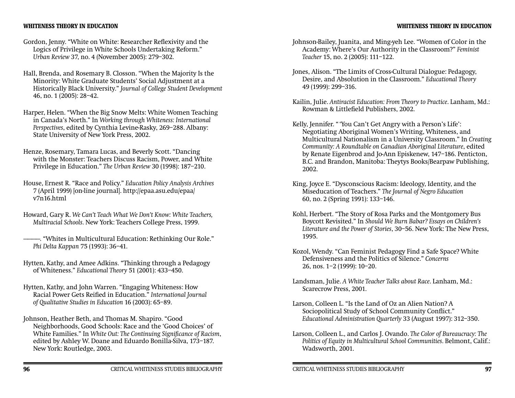- Gordon, Jenny. "White on White: Researcher Reflexivity and the Logics of Privilege in White Schools Undertaking Reform." *Urban Review* 37, no. 4 (November 2005): 279–302.
- Hall, Brenda, and Rosemary B. Closson. "When the Majority Is the Minority: White Graduate Students' Social Adjustment at a Historically Black University." *Journal of College Student Development* 46, no. 1 (2005): 28–42.
- Harper, Helen. "When the Big Snow Melts: White Women Teaching in Canada's North." In *Working through Whiteness: International Perspectives*, edited by Cynthia Levine-Rasky, 269–288. Albany: State University of New York Press, 2002.
- Henze, Rosemary, Tamara Lucas, and Beverly Scott. "Dancing with the Monster: Teachers Discuss Racism, Power, and White Privilege in Education." *The Urban Review* 30 (1998): 187–210.
- House, Ernest R. "Race and Policy." *Education Policy Analysis Archives* 7 (April 1999) [on-line journal]. http://epaa.asu.edu/epaa/ v7n16.html
- Howard, Gary R. *We Can't Teach What We Don't Know: White Teachers, Multiracial Schools*. New York: Teachers College Press, 1999.
	- ————. "Whites in Multicultural Education: Rethinking Our Role." *Phi Delta Kappan* 75 (1993): 36–41.
- Hytten, Kathy, and Amee Adkins. "Thinking through a Pedagogy of Whiteness." *Educational Theory* 51 (2001): 433–450.
- Hytten, Kathy, and John Warren. "Engaging Whiteness: How Racial Power Gets Reified in Education." *International Journal of Qualitative Studies in Education* 16 (2003): 65–89.
- Johnson, Heather Beth, and Thomas M. Shapiro. "Good Neighborhoods, Good Schools: Race and the 'Good Choices' of White Families." In *White Out: The Continuing Significance of Racism*, edited by Ashley W. Doane and Eduardo Bonilla-Silva, 173–187. New York: Routledge, 2003.
- Johnson-Bailey, Juanita, and Ming-yeh Lee. "Women of Color in the Academy: Where's Our Authority in the Classroom?" *Feminist Teacher* 15, no. 2 (2005): 111–122.
- Jones, Alison. "The Limits of Cross-Cultural Dialogue: Pedagogy, Desire, and Absolution in the Classroom." *Educational Theory* 49 (1999): 299–316.
- Kailin, Julie. *Antiracist Education: From Theory to Practice*. Lanham, Md.: Rowman & Littlefield Publishers, 2002.
- Kelly, Jennifer. " 'You Can't Get Angry with a Person's Life': Negotiating Aboriginal Women's Writing, Whiteness, and Multicultural Nationalism in a University Classroom." In *Creating Community: A Roundtable on Canadian Aboriginal Literature*, edited by Renate Eigenbrod and Jo-Ann Episkenew, 147–186. Penticton, B.C. and Brandon, Manitoba: Theytys Books/Bearpaw Publishing, 2002.
- King, Joyce E. "Dysconscious Racism: Ideology, Identity, and the Miseducation of Teachers." *The Journal of Negro Education* 60, no. 2 (Spring 1991): 133–146.
- Kohl, Herbert. "The Story of Rosa Parks and the Montgomery Bus Boycott Revisited." In *Should We Burn Babar? Essays on Children's Literature and the Power of Stories*, 30–56. New York: The New Press, 1995.
- Kozol, Wendy. "Can Feminist Pedagogy Find a Safe Space? White Defensiveness and the Politics of Silence." *Concerns*26, nos. 1–2 (1999): 10–20.
- Landsman, Julie. *A White Teacher Talks about Race*. Lanham, Md.: Scarecrow Press, 2001.
- Larson, Colleen L. "Is the Land of Oz an Alien Nation? A Sociopolitical Study of School Community Conflict." *Educational Administration Quarterly* 33 (August 1997): 312–350.
- Larson, Colleen L., and Carlos J. Ovando. *The Color of Bureaucracy: The Politics of Equity in Multicultural School Communities*. Belmont, Calif.: Wadsworth, 2001.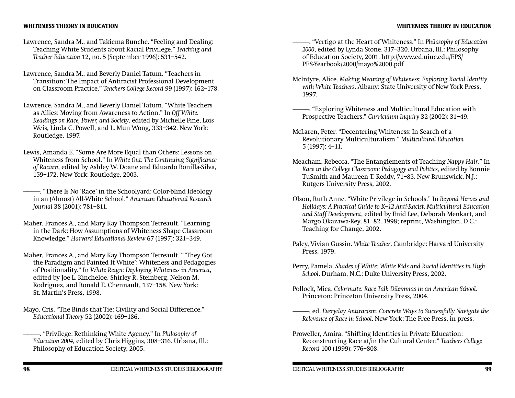- Lawrence, Sandra M., and Takiema Bunche. "Feeling and Dealing: Teaching White Students about Racial Privilege." *Teaching and Teacher Education* 12, no. 5 (September 1996): 531–542.
- Lawrence, Sandra M., and Beverly Daniel Tatum. "Teachers in Transition: The Impact of Antiracist Professional Development on Classroom Practice." *Teachers College Record* 99 (1997): 162–178.
- Lawrence, Sandra M., and Beverly Daniel Tatum. "White Teachers as Allies: Moving from Awareness to Action." In *Off White: Readings on Race, Power, and Society*, edited by Michelle Fine, Lois Weis, Linda C. Powell, and L. Mun Wong, 333–342. New York: Routledge, 1997.
- Lewis, Amanda E. "Some Are More Equal than Others: Lessons on Whiteness from School." In *White Out: The Continuing Significance of Racism*, edited by Ashley W. Doane and Eduardo Bonilla-Silva, 159–172. New York: Routledge, 2003.
- ————. "There Is No 'Race' in the Schoolyard: Color-blind Ideology in an (Almost) All-White School." *American Educational Research Journal* 38 (2001): 781–811.
- Maher, Frances A., and Mary Kay Thompson Tetreault. "Learning in the Dark: How Assumptions of Whiteness Shape Classroom Knowledge." *Harvard Educational Review* 67 (1997): 321–349.
- Maher, Frances A., and Mary Kay Thompson Tetreault. " 'They Got the Paradigm and Painted It White': Whiteness and Pedagogies of Positionality." In *White Reign: Deploying Whiteness in America*, edited by Joe L. Kincheloe, Shirley R. Steinberg, Nelson M. Rodriguez, and Ronald E. Chennault, 137–158. New York: St. Martin's Press, 1998.
- Mayo, Cris. "The Binds that Tie: Civility and Social Difference." *Educational Theory* 52 (2002): 169–186.
- ————. "Privilege: Rethinking White Agency." In *Philosophy of Education 2004*, edited by Chris Higgins, 308–316. Urbana, Ill.: Philosophy of Education Society, 2005.
- ————. "Vertigo at the Heart of Whiteness." In *Philosophy of Education 2000*, edited by Lynda Stone, 317–320. Urbana, Ill.: Philosophy of Education Society, 2001. http://www.ed.uiuc.edu/EPS/ PES-Yearbook/2000/mayo%2000.pdf
- McIntyre, Alice. *Making Meaning of Whiteness: Exploring Racial Identity with White Teachers*. Albany: State University of New York Press, 1997.
	- ————. "Exploring Whiteness and Multicultural Education with Prospective Teachers." *Curriculum Inquiry* 32 (2002): 31–49.
- McLaren, Peter. "Decentering Whiteness: In Search of a Revolutionary Multiculturalism." *Multicultural Education* 5 (1997): 4–11.
- Meacham, Rebecca. "The Entanglements of Teaching *Nappy Hair*." In *Race in the College Classroom: Pedagogy and Politics*, edited by Bonnie TuSmith and Maureen T. Reddy, 71–83. New Brunswick, N.J.: Rutgers University Press, 2002.
- Olson, Ruth Anne. "White Privilege in Schools." In *Beyond Heroes and Holidays: A Practical Guide to K–12 Anti-Racist, Multicultural Education and Staff Development*, edited by Enid Lee, Deborah Menkart, and Margo Okazawa-Rey, 81–82. 1998; reprint, Washington, D.C.: Teaching for Change, 2002.
- Paley, Vivian Gussin. *White Teacher*. Cambridge: Harvard University Press, 1979.
- Perry, Pamela. *Shades of White: White Kids and Racial Identities in High School*. Durham, N.C.: Duke University Press, 2002.
- Pollock, Mica. *Colormute: Race Talk Dilemmas in an American School*. Princeton: Princeton University Press, 2004.
- ————, ed. *Everyday Antiracism: Concrete Ways to Successfully Navigate the Relevance of Race in School*. New York: The Free Press, in press.
- Proweller, Amira. "Shifting Identities in Private Education: Reconstructing Race at/in the Cultural Center." *Teachers College Record* 100 (1999): 776–808.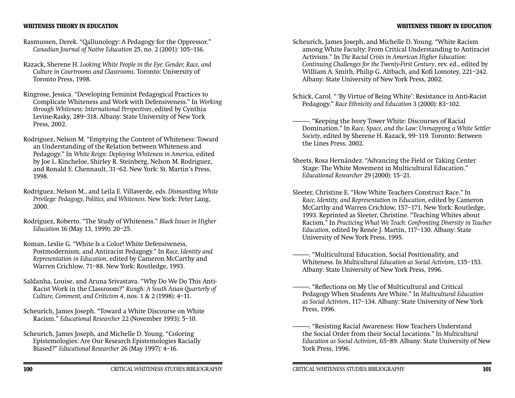- Rasmussen, Derek. "Qallunology: A Pedagogy for the Oppressor." *Canadian Journal of Native Education* 25, no. 2 (2001): 105–116.
- Razack, Sherene H. *Looking White People in the Eye: Gender, Race, and Culture in Courtrooms and Classrooms*. Toronto: University of Toronto Press, 1998.
- Ringrose, Jessica. "Developing Feminist Pedagogical Practices to Complicate Whiteness and Work with Defensiveness." In *Working through Whiteness: International Perspectives*, edited by Cynthia Levine-Rasky, 289–318. Albany: State University of New York Press, 2002.
- Rodriguez, Nelson M. "Emptying the Content of Whiteness: Toward an Understanding of the Relation between Whiteness and Pedagogy." In *White Reign: Deploying Whiteness in America*, edited by Joe L. Kincheloe, Shirley R. Steinberg, Nelson M. Rodriguez, and Ronald E. Chennault, 31–62. New York: St. Martin's Press, 1998.
- Rodriguez, Nelson M., and Leila E. Villaverde, eds. *Dismantling White Privilege: Pedagogy, Politics, and Whiteness*. New York: Peter Lang, 2000.
- Rodriguez, Roberto. "The Study of Whiteness." *Black Issues in Higher Education* 16 (May 13, 1999): 20–25.
- Roman, Leslie G. "White Is a Color! White Defensiveness, Postmodernism, and Antiracist Pedagogy." In *Race, Identity and Representation in Education*, edited by Cameron McCarthy and Warren Crichlow, 71–88. New York: Routledge, 1993.
- Saldanha, Louise, and Aruna Srivastava. "Why Do We Do This Anti-Racist Work in the Classroom?" *Rungh: A South Asian Quarterly of Culture, Comment, and Criticism* 4, nos. 1 & 2 (1998): 4–11.
- Scheurich, James Joseph. "Toward a White Discourse on White Racism." *Educational Researcher* 22 (November 1993): 5–10.
- Scheurich, James Joseph, and Michelle D. Young. "Coloring Epistemologies: Are Our Research Epistemologies Racially Biased?" *Educational Researcher* 26 (May 1997): 4–16.
- Scheurich, James Joseph, and Michelle D. Young. "White Racism among White Faculty: From Critical Understanding to Antiracist Activism." In *The Racial Crisis in American Higher Education: Continuing Challenges for the Twenty-First Century*, rev. ed., edited by William A. Smith, Philip G. Altbach, and Kofi Lomotey, 221–242. Albany: State University of New York Press, 2002.
- Schick, Carol. " 'By Virtue of Being White': Resistance in Anti-Racist Pedagogy." *Race Ethnicity and Education* 3 (2000): 83–102.
- ————. "Keeping the Ivory Tower White: Discourses of Racial Domination." In *Race, Space, and the Law: Unmapping a White Settler Society*, edited by Sherene H. Razack, 99–119. Toronto: Between the Lines Press, 2002.
- Sheets, Rosa Hernández. "Advancing the Field or Taking Center Stage: The White Movement in Multicultural Education." *Educational Researcher* 29 (2000): 15–21.
- Sleeter, Christine E. "How White Teachers Construct Race." In *Race, Identity, and Representation in Education*, edited by Cameron McCarthy and Warren Crichlow, 157–171. New York: Routledge, 1993. Reprinted as Sleeter, Christine. "Teaching Whites about Racism." In *Practicing What We Teach: Confronting Diversity in Teacher Education*, edited by Renée J. Martin, 117–130. Albany: State University of New York Press, 1995.
	- ————. "Multicultural Education, Social Positionality, and Whiteness. In *Multicultural Education as Social Activism*, 135–153. Albany: State University of New York Press, 1996.
- freflections on My Use of Multicultural and Critical Pedagogy When Students Are White." In *Multicultural Education as Social Activism*, 117–134. Albany: State University of New York Press, 1996.
- ————. "Resisting Racial Awareness: How Teachers Understand the Social Order from their Social Locations." In *Multicultural Education as Social Activism*, 65–89. Albany: State University of New York Press, 1996.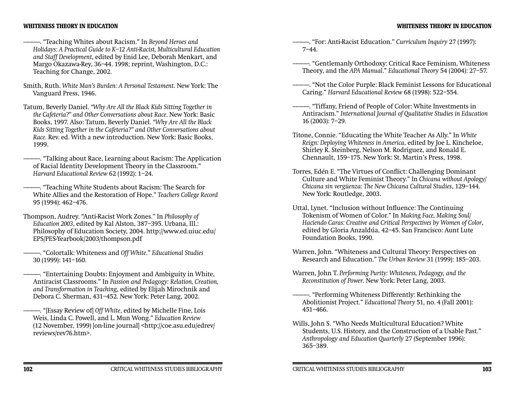#### **WHITENESS THEORY IN EDUCATION**

————. "Teaching Whites about Racism." In *Beyond Heroes and Holidays: A Practical Guide to K–12 Anti-Racist, Multicultural Education and Staff Development*, edited by Enid Lee, Deborah Menkart, and Margo Okazawa-Rey, 36–44. 1998; reprint, Washington, D.C.: Teaching for Change, 2002.

Smith, Ruth. *White Man's Burden: A Personal Testament*. New York: The Vanguard Press, 1946.

Tatum, Beverly Daniel. *"Why Are All the Black Kids Sitting Together in the Cafeteria?" and Other Conversations about Race*. New York: Basic Books, 1997. Also: Tatum, Beverly Daniel. *"Why Are All the Black Kids Sitting Together in the Cafeteria?" and Other Conversations about Race*. Rev. ed. With a new introduction. New York: Basic Books, 1999.

————. "Talking about Race, Learning about Racism: The Application of Racial Identity Development Theory in the Classroom." *Harvard Educational Review* 62 (1992): 1–24.

————. "Teaching White Students about Racism: The Search for White Allies and the Restoration of Hope." *Teachers College Record* 95 (1994): 462–476.

Thompson, Audrey. "Anti-Racist Work Zones." In *Philosophy of Education 2003*, edited by Kal Alston, 387–395. Urbana, Ill.: Philosophy of Education Society, 2004. http://www.ed.uiuc.edu/ EPS/PES-Yearbook/2003/thompson.pdf

————. "Colortalk: Whiteness and *Off White*." *Educational Studies* 30 (1999): 141–160.

- ————. "Entertaining Doubts: Enjoyment and Ambiguity in White, Antiracist Classrooms." In *Passion and Pedagogy: Relation, Creation, and Transformation in Teaching*, edited by Elijah Mirochnik and Debora C. Sherman, 431–452. New York: Peter Lang, 2002.
	- ————. "[Essay Review of] *Off White*, edited by Michelle Fine, Lois Weis, Linda C. Powell, and L. Mun Wong." *Education Review* (12 November, 1999) [on-line journal] <http://coe.asu.edu/edrev/ reviews/rev76.htm>.

————. "For: Anti-Racist Education." *Curriculum Inquiry* 27 (1997):  $7 - 44.$ 

- ————. "Gentlemanly Orthodoxy: Critical Race Feminism, Whiteness Theory, and the *APA Manual*." *Educational Theory* 54 (2004): 27–57.
- ————. "Not the Color Purple: Black Feminist Lessons for Educational Caring." *Harvard Educational Review* 68 (1998): 522–554.
- ————. "Tiffany, Friend of People of Color: White Investments in Antiracism." *International Journal of Qualitative Studies in Education* 16 (2003): 7–29.
- Titone, Connie. "Educating the White Teacher As Ally." In *White Reign: Deploying Whiteness in America*, edited by Joe L. Kincheloe, Shirley R. Steinberg, Nelson M. Rodriguez, and Ronald E. Chennault, 159–175. New York: St. Martin's Press, 1998.
- Torres, Edén E. "The Virtues of Conflict: Challenging Dominant Culture and White Feminist Theory." In *Chicana without Apology/ Chicana sin vergüenza: The New Chicana Cultural Studies*, 129–144. New York: Routledge, 2003.
- Uttal, Lynet. "Inclusion without Influence: The Continuing Tokenism of Women of Color." In *Making Face, Making Soul/ Haciendo Caras: Creative and Critical Perspectives by Women of Color*, edited by Gloria Anzaldúa, 42–45. San Francisco: Aunt Lute Foundation Books, 1990.
- Warren, John. "Whiteness and Cultural Theory: Perspectives on Research and Education." *The Urban Review* 31 (1999): 185–203.
- Warren, John T. *Performing Purity: Whiteness, Pedagogy, and the Reconstitution of Power*. New York: Peter Lang, 2003.
- ————. "Performing Whiteness Differently: Rethinking the Abolitionist Project." *Educational Theory* 51, no. 4 (Fall 2001): 451–466.
- Wills, John S. "Who Needs Multicultural Education? White Students, U.S. History, and the Construction of a Usable Past." *Anthropology and Education Quarterly* 27 (September 1996): 365–389.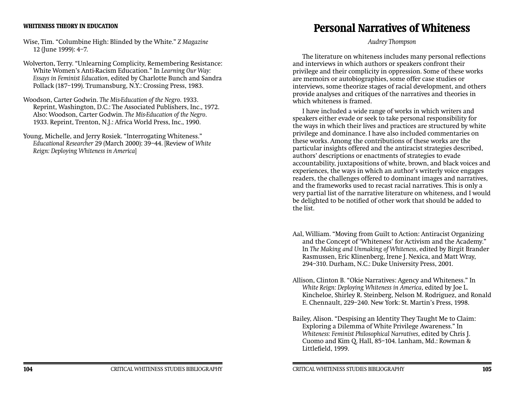- Wise, Tim. "Columbine High: Blinded by the White." *Z Magazine* 12 (June 1999): 4–7.
- Wolverton, Terry. "Unlearning Complicity, Remembering Resistance: White Women's Anti-Racism Education." In *Learning Our Way: Essays in Feminist Education*, edited by Charlotte Bunch and Sandra Pollack (187–199). Trumansburg, N.Y.: Crossing Press, 1983.
- Woodson, Carter Godwin. *The Mis-Education of the Negro*. 1933. Reprint, Washington, D.C.: The Associated Publishers, Inc., 1972. Also: Woodson, Carter Godwin. *The Mis-Education of the Negro*. 1933. Reprint, Trenton, N.J.: Africa World Press, Inc., 1990.
- Young, Michelle, and Jerry Rosiek. "Interrogating Whiteness." *Educational Researcher* 29 (March 2000): 39–44. [Review of *White Reign: Deploying Whiteness in America*]

# **Personal Narratives of Whiteness**

*Audrey Thompson*

The literature on whiteness includes many personal reflections and interviews in which authors or speakers confront their privilege and their complicity in oppression. Some of these works are memoirs or autobiographies, some offer case studies or interviews, some theorize stages of racial development, and others provide analyses and critiques of the narratives and theories in which whiteness is framed.

I have included a wide range of works in which writers and speakers either evade or seek to take personal responsibility for the ways in which their lives and practices are structured by white privilege and dominance. I have also included commentaries on these works. Among the contributions of these works are the particular insights offered and the antiracist strategies described, authors' descriptions or enactments of strategies to evade accountability, juxtapositions of white, brown, and black voices and experiences, the ways in which an author's writerly voice engages readers, the challenges offered to dominant images and narratives, and the frameworks used to recast racial narratives. This is only a very partial list of the narrative literature on whiteness, and I would be delighted to be notified of other work that should be added to the list.

- Aal, William. "Moving from Guilt to Action: Antiracist Organizing and the Concept of 'Whiteness' for Activism and the Academy." In *The Making and Unmaking of Whiteness*, edited by Birgit Brander Rasmussen, Eric Klinenberg, Irene J. Nexica, and Matt Wray, 294–310. Durham, N.C.: Duke University Press, 2001.
- Allison, Clinton B. "Okie Narratives: Agency and Whiteness." In *White Reign: Deploying Whiteness in America*, edited by Joe L. Kincheloe, Shirley R. Steinberg, Nelson M. Rodriguez, and Ronald E. Chennault, 229–240. New York: St. Martin's Press, 1998.
- Bailey, Alison. "Despising an Identity They Taught Me to Claim: Exploring a Dilemma of White Privilege Awareness." In *Whiteness: Feminist Philosophical Narratives*, edited by Chris J. Cuomo and Kim Q. Hall, 85–104. Lanham, Md.: Rowman & Littlefield, 1999.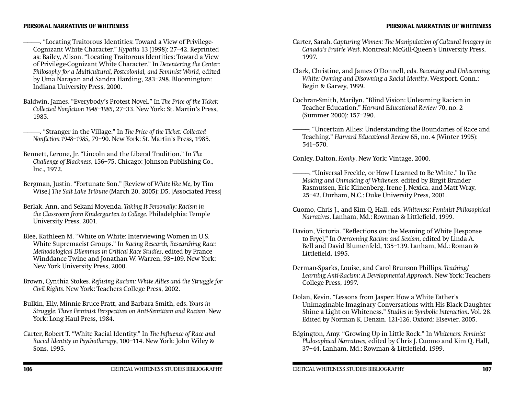————. "Locating Traitorous Identities: Toward a View of Privilege-Cognizant White Character." *Hypatia* 13 (1998): 27–42. Reprinted as: Bailey, Alison. "Locating Traitorous Identities: Toward a View of Privilege-Cognizant White Character." In *Decentering the Center: Philosophy for a Multicultural, Postcolonial, and Feminist World*, edited by Uma Narayan and Sandra Harding, 283–298. Bloomington: Indiana University Press, 2000.

Baldwin, James. "Everybody's Protest Novel." In *The Price of the Ticket: Collected Nonfi ction 1948–1985*, 27–33. New York: St. Martin's Press, 1985.

————. "Stranger in the Village." In *The Price of the Ticket: Collected Nonfi ction 1948–1985*, 79–90. New York: St. Martin's Press, 1985.

- Bennett, Lerone, Jr. "Lincoln and the Liberal Tradition." In *The Challenge of Blackness*, 156–75. Chicago: Johnson Publishing Co., Inc., 1972.
- Bergman, Justin. "Fortunate Son." [Review of *White like Me*, by Tim Wise.] *The Salt Lake Tribune* (March 20, 2005): D5. [Associated Press]
- Berlak, Ann, and Sekani Moyenda. *Taking It Personally: Racism in the Classroom from Kindergarten to College*. Philadelphia: Temple University Press, 2001.
- Blee, Kathleen M. "White on White: Interviewing Women in U.S. White Supremacist Groups." In *Racing Research, Researching Race: Methodological Dilemmas in Critical Race Studies*, edited by France Winddance Twine and Jonathan W. Warren, 93–109. New York: New York University Press, 2000.
- Brown, Cynthia Stokes. *Refusing Racism: White Allies and the Struggle for Civil Rights*. New York: Teachers College Press, 2002.
- Bulkin, Elly, Minnie Bruce Pratt, and Barbara Smith, eds. *Yours in Struggle: Three Feminist Perspectives on Anti-Semitism and Racism*. New York: Long Haul Press, 1984.
- Carter, Robert T. "White Racial Identity." In *The Infl uence of Race and Racial Identity in Psychotherapy*, 100–114. New York: John Wiley & Sons, 1995.
- Carter, Sarah. *Capturing Women: The Manipulation of Cultural Imagery in Canada's Prairie West*. Montreal: McGill-Queen's University Press, 1997.
- Clark, Christine, and James O'Donnell, eds. *Becoming and Unbecoming White: Owning and Disowning a Racial Identity*. Westport, Conn.: Begin & Garvey, 1999.
- Cochran-Smith, Marilyn. "Blind Vision: Unlearning Racism in Teacher Education." *Harvard Educational Review* 70, no. 2 (Summer 2000): 157–290.
- ————. "Uncertain Allies: Understanding the Boundaries of Race and Teaching." *Harvard Educational Review* 65, no. 4 (Winter 1995): 541–570.

Conley, Dalton. *Honky*. New York: Vintage, 2000.

- ————. "Universal Freckle, or How I Learned to Be White." In *The Making and Unmaking of Whiteness*, edited by Birgit Brander Rasmussen, Eric Klinenberg, Irene J. Nexica, and Matt Wray, 25–42. Durham, N.C.: Duke University Press, 2001.
- Cuomo, Chris J., and Kim Q. Hall, eds. *Whiteness: Feminist Philosophical Narratives*, Lanham, Md.: Rowman & Littlefield, 1999.
- Davion, Victoria. "Reflections on the Meaning of White [Response] to Frye]." In *Overcoming Racism and Sexism*, edited by Linda A. Bell and David Blumenfeld, 135–139. Lanham, Md.: Roman & Littlefield, 1995.
- Derman-Sparks, Louise, and Carol Brunson Phillips. *Teaching/ Learning Anti-Racism: A Developmental Approach*. New York: Teachers College Press, 1997.
- Dolan, Kevin. "Lessons from Jasper: How a White Father's Unimaginable Imaginary Conversations with His Black Daughter Shine a Light on Whiteness." *Studies in Symbolic Interaction*. Vol. 28. Edited by Norman K. Denzin. 121-126. Oxford: Elsevier, 2005.
- Edgington, Amy. "Growing Up in Little Rock." In *Whiteness: Feminist Philosophical Narratives*, edited by Chris J. Cuomo and Kim Q. Hall, 37-44. Lanham, Md.: Rowman & Littlefield, 1999.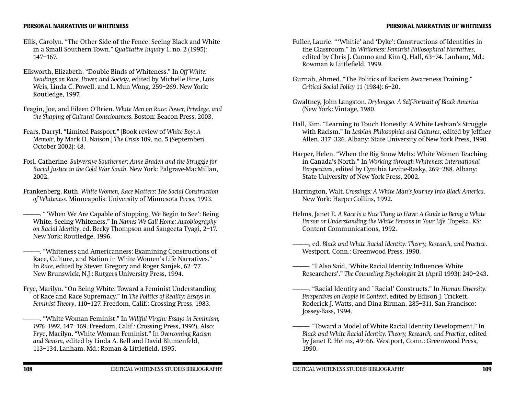#### **PERSONAL NARRATIVES OF WHITENESS**

- Ellis, Carolyn. "The Other Side of the Fence: Seeing Black and White in a Small Southern Town." *Qualitative Inquiry* 1, no. 2 (1995): 147–167.
- Ellsworth, Elizabeth. "Double Binds of Whiteness." In *Off White: Readings on Race, Power, and Society*, edited by Michelle Fine, Lois Weis, Linda C. Powell, and L. Mun Wong, 259–269. New York: Routledge, 1997.
- Feagin, Joe, and Eileen O'Brien. *White Men on Race: Power, Privilege, and the Shaping of Cultural Consciousness*. Boston: Beacon Press, 2003.
- Fears, Darryl. "Limited Passport." [Book review of *White Boy: A Memoir*, by Mark D. Naison.] *The Crisis* 109, no. 5 (September/ October 2002): 48.
- Fosl, Catherine. *Subversive Southerner: Anne Braden and the Struggle for Racial Justice in the Cold War South*. New York: Palgrave-MacMillan, 2002.
- Frankenberg, Ruth. *White Women, Race Matters: The Social Construction of Whiteness*. Minneapolis: University of Minnesota Press, 1993.
- ————. " 'When We Are Capable of Stopping, We Begin to See': Being White, Seeing Whiteness." In *Names We Call Home: Autobiography on Racial Identity*, ed. Becky Thompson and Sangeeta Tyagi, 2–17. New York: Routledge, 1996.
- ————. "Whiteness and Americanness: Examining Constructions of Race, Culture, and Nation in White Women's Life Narratives." In *Race*, edited by Steven Gregory and Roger Sanjek, 62–77. New Brunswick, N.J.: Rutgers University Press, 1994.
- Frye, Marilyn. "On Being White: Toward a Feminist Understanding of Race and Race Supremacy." In *The Politics of Reality: Essays in Feminist Theory*, 110–127. Freedom, Calif.: Crossing Press, 1983.
- ————. "White Woman Feminist." In *Willful Virgin: Essays in Feminism, 1976–1992*, 147–169. Freedom, Calif.: Crossing Press, 1992), Also: Frye, Marilyn. "White Woman Feminist." In *Overcoming Racism and Sexism*, edited by Linda A. Bell and David Blumenfeld, 113-134. Lanham, Md.: Roman & Littlefield, 1995.
- Fuller, Laurie. " 'Whitie' and 'Dyke': Constructions of Identities in the Classroom." In *Whiteness: Feminist Philosophical Narratives*, edited by Chris J. Cuomo and Kim Q. Hall, 63–74. Lanham, Md.: Rowman & Littlefield, 1999.
- Gurnah, Ahmed. "The Politics of Racism Awareness Training." *Critical Social Policy* 11 (1984): 6–20.
- Gwaltney, John Langston. *Drylongso: A Self-Portrait of Black America* (New York: Vintage, 1980.
- Hall, Kim. "Learning to Touch Honestly: A White Lesbian's Struggle with Racism." In *Lesbian Philosophies and Cultures*, edited by Jeffner Allen, 317–326. Albany: State University of New York Press, 1990.
- Harper, Helen. "When the Big Snow Melts: White Women Teaching in Canada's North." In *Working through Whiteness: International Perspectives*, edited by Cynthia Levine-Rasky, 269–288. Albany: State University of New York Press, 2002.
- Harrington, Walt. *Crossings: A White Man's Journey into Black America*. New York: HarperCollins, 1992.
- Helms, Janet E. *A Race Is a Nice Thing to Have: A Guide to Being a White Person or Understanding the White Persons in Your Life*. Topeka, KS: Content Communications, 1992.
- ————, ed. *Black and White Racial Identity: Theory, Research, and Practice*. Westport, Conn.: Greenwood Press, 1990.
- "I Also Said, 'White Racial Identity Influences White Researchers'." *The Counseling Psychologist* 21 (April 1993): 240–243.
- ————. "Racial Identity and `Racial' Constructs." In *Human Diversity: Perspectives on People in Context*, edited by Edison J. Trickett, Roderick J. Watts, and Dina Birman, 285–311. San Francisco: Jossey-Bass, 1994.
	- ————. "Toward a Model of White Racial Identity Development." In *Black and White Racial Identity: Theory, Research, and Practice*, edited by Janet E. Helms, 49–66. Westport, Conn.: Greenwood Press, 1990.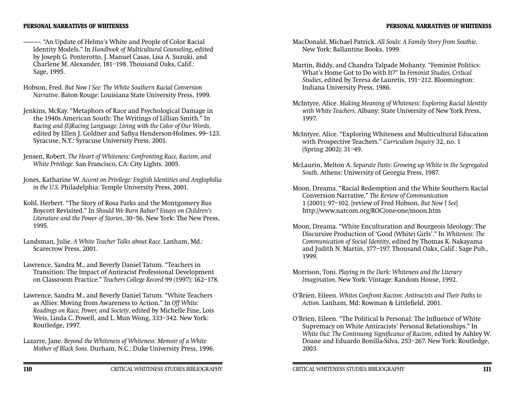————. "An Update of Helms's White and People of Color Racial Identity Models." In *Handbook of Multicultural Counseling*, edited by Joseph G. Ponterotto, J. Manuel Casas, Lisa A. Suzuki, and Charlene M. Alexander, 181–198. Thousand Oaks, Calif.: Sage, 1995.

Hobson, Fred. *But Now I See: The White Southern Racial Conversion Narrative*. Baton Rouge: Louisiana State University Press, 1999.

Jenkins, McKay. "Metaphors of Race and Psychological Damage in the 1940s American South: The Writings of Lillian Smith." In *Racing and (E)Racing Language: Living with the Color of Our Words*, edited by Ellen J. Goldner and Safiya Henderson-Holmes, 99-123. Syracuse, N.Y.: Syracuse University Press, 2001.

Jensen, Robert. *The Heart of Whiteness: Confronting Race, Racism, and White Privilege*. San Francisco, CA: City Lights. 2005.

Jones, Katharine W. *Accent on Privilege: English Identities and Anglophilia in the U.S.* Philadelphia: Temple University Press, 2001.

Kohl, Herbert. "The Story of Rosa Parks and the Montgomery Bus Boycott Revisited." In *Should We Burn Babar? Essays on Children's Literature and the Power of Stories*, 30–56. New York: The New Press, 1995.

Landsman, Julie. *A White Teacher Talks about Race*. Lanham, Md.: Scarecrow Press, 2001.

Lawrence, Sandra M., and Beverly Daniel Tatum. "Teachers in Transition: The Impact of Antiracist Professional Development on Classroom Practice." *Teachers College Record* 99 (1997): 162–178.

Lawrence, Sandra M., and Beverly Daniel Tatum. "White Teachers as Allies: Moving from Awareness to Action." In *Off White: Readings on Race, Power, and Society*, edited by Michelle Fine, Lois Weis, Linda C. Powell, and L. Mun Wong, 333–342. New York: Routledge, 1997.

Lazarre, Jane. *Beyond the Whiteness of Whiteness: Memoir of a White Mother of Black Sons*. Durham, N.C.: Duke University Press, 1996. MacDonald, Michael Patrick. *All Souls: A Family Story from Southie*. New York: Ballantine Books, 1999.

- Martin, Biddy, and Chandra Talpade Mohanty. "Feminist Politics: What's Home Got to Do with It?" In *Feminist Studies, Critical Studies*, edited by Teresa de Lauretis, 191–212. Bloomington: Indiana University Press, 1986.
- McIntyre, Alice. *Making Meaning of Whiteness: Exploring Racial Identity with White Teachers*. Albany: State University of New York Press, 1997.
- McIntyre, Alice. "Exploring Whiteness and Multicultural Education with Prospective Teachers." *Curriculum Inquiry* 32, no. 1 (Spring 2002): 31–49.
- McLaurin, Melton A. *Separate Pasts: Growing up White in the Segregated South*. Athens: University of Georgia Press, 1987.

Moon, Dreama. "Racial Redemption and the White Southern Racial Conversion Narrative." *The Review of Communication* 1 (2001): 97–102. [review of Fred Hobson, *But Now I See*] http://www.natcom.org/ROC/one-one/moon.htm

Moon, Dreama. "White Enculturation and Bourgeois Ideology: The Discursive Production of 'Good (White) Girls'." In *Whiteness: The Communication of Social Identity*, edited by Thomas K. Nakayama and Judith N. Martin, 177–197. Thousand Oaks, Calif.: Sage Pub., 1999.

Morrison, Toni. *Playing in the Dark: Whiteness and the Literary Imagination*. New York: Vintage: Random House, 1992.

- O'Brien, Eileen. *Whites Confront Racism: Antiracists and Their Paths to Action*, Lanham, Md: Rowman & Littlefield, 2001.
- O'Brien, Eileen. "The Political Is Personal: The Influence of White Supremacy on White Antiracists' Personal Relationships." In *White Out: The Continuing Significance of Racism, edited by Ashley W.* Doane and Eduardo Bonilla-Silva, 253–267. New York: Routledge, 2003.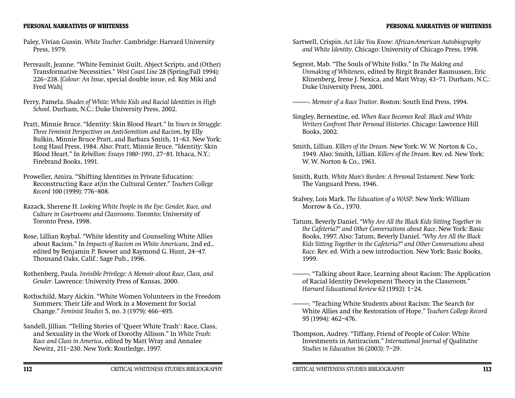- Paley, Vivian Gussin. *White Teacher*. Cambridge: Harvard University Press, 1979.
- Perreault, Jeanne. "White Feminist Guilt, Abject Scripts, and (Other) Transformative Necessities." *West Coast Line* 28 (Spring/Fall 1994): 226–238. [*Colour: An Issue*, special double issue, ed. Roy Miki and Fred Wah]
- Perry, Pamela. *Shades of White: White Kids and Racial Identities in High School*. Durham, N.C.: Duke University Press, 2002.
- Pratt, Minnie Bruce. "Identity: Skin Blood Heart." In *Yours in Struggle: Three Feminist Perspectives on Anti-Semitism and Racism*, by Elly Bulkin, Minnie Bruce Pratt, and Barbara Smith, 11–63. New York: Long Haul Press, 1984. Also: Pratt, Minnie Bruce. "Identity: Skin Blood Heart." In *Rebellion: Essays 1980–1991*, 27–81. Ithaca, N.Y.: Firebrand Books, 1991.
- Proweller, Amira. "Shifting Identities in Private Education: Reconstructing Race at/in the Cultural Center." *Teachers College Record* 100 (1999): 776–808.
- Razack, Sherene H. *Looking White People in the Eye: Gender, Race, and Culture in Courtrooms and Classrooms*. Toronto: University of Toronto Press, 1998.
- Rose, Lillian Roybal. "White Identity and Counseling White Allies about Racism." In *Impacts of Racism on White Americans*, 2nd ed., edited by Benjamin P. Bowser and Raymond G. Hunt, 24–47. Thousand Oaks, Calif.: Sage Pub., 1996.
- Rothenberg, Paula. *Invisible Privilege: A Memoir about Race, Class, and Gender*. Lawrence: University Press of Kansas, 2000.
- Rothschild, Mary Aickin. "White Women Volunteers in the Freedom Summers: Their Life and Work in a Movement for Social Change." *Feminist Studies* 5, no. 3 (1979): 466–495.
- Sandell, Jillian. "Telling Stories of 'Queer White Trash': Race, Class, and Sexuality in the Work of Dorothy Allison." In *White Trash: Race and Class in America*, edited by Matt Wray and Annalee Newitz, 211–230. New York: Routledge, 1997.
- Sartwell, Crispin. *Act Like You Know: African-American Autobiography and White Identity*. Chicago: University of Chicago Press, 1998.
- Segrest, Mab. "The Souls of White Folks." In *The Making and Unmaking of Whiteness*, edited by Birgit Brander Rasmussen, Eric Klinenberg, Irene J. Nexica, and Matt Wray, 43–71. Durham, N.C.: Duke University Press, 2001.
- ————. *Memoir of a Race Traitor*. Boston: South End Press, 1994.
- Singley, Bernestine, ed. *When Race Becomes Real: Black and White Writers Confront Their Personal Histories*. Chicago: Lawrence Hill Books, 2002.
- Smith, Lillian. *Killers of the Dream*. New York: W. W. Norton & Co., 1949. Also: Smith, Lillian. *Killers of the Dream*. Rev. ed. New York: W. W. Norton & Co., 1961.
- Smith, Ruth. *White Man's Burden: A Personal Testament*. New York: The Vanguard Press, 1946.
- Stalvey, Lois Mark. *The Education of a WASP*. New York: William Morrow & Co., 1970.
- Tatum, Beverly Daniel. *"Why Are All the Black Kids Sitting Together in the Cafeteria?" and Other Conversations about Race*. New York: Basic Books, 1997. Also: Tatum, Beverly Daniel. *"Why Are All the Black Kids Sitting Together in the Cafeteria?" and Other Conversations about Race*. Rev. ed. With a new introduction. New York: Basic Books, 1999.
- ————. "Talking about Race, Learning about Racism: The Application of Racial Identity Development Theory in the Classroom." *Harvard Educational Review* 62 (1992): 1–24.
- ————. "Teaching White Students about Racism: The Search for White Allies and the Restoration of Hope." *Teachers College Record* 95 (1994): 462–476.
- Thompson, Audrey. "Tiffany, Friend of People of Color: White Investments in Antiracism." *International Journal of Qualitative Studies in Education* 16 (2003): 7–29.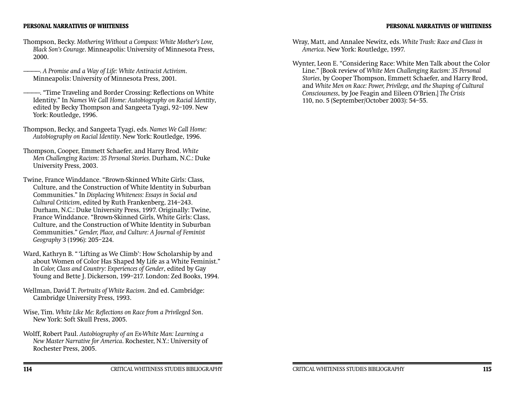Thompson, Becky. *Mothering Without a Compass: White Mother's Love, Black Son's Courage*. Minneapolis: University of Minnesota Press, 2000.

————. *A Promise and a Way of Life: White Antiracist Activism*. Minneapolis: University of Minnesota Press, 2001.

—. "Time Traveling and Border Crossing: Reflections on White Identity." In *Names We Call Home: Autobiography on Racial Identity*, edited by Becky Thompson and Sangeeta Tyagi, 92–109. New York: Routledge, 1996.

Thompson, Becky, and Sangeeta Tyagi, eds. *Names We Call Home: Autobiography on Racial Identity*. New York: Routledge, 1996.

- Thompson, Cooper, Emmett Schaefer, and Harry Brod. *White Men Challenging Racism: 35 Personal Stories*. Durham, N.C.: Duke University Press, 2003.
- Twine, France Winddance. "Brown-Skinned White Girls: Class, Culture, and the Construction of White Identity in Suburban Communities." In *Displacing Whiteness: Essays in Social and Cultural Criticism*, edited by Ruth Frankenberg, 214–243. Durham, N.C.: Duke University Press, 1997. Originally: Twine, France Winddance. "Brown-Skinned Girls, White Girls: Class, Culture, and the Construction of White Identity in Suburban Communities." *Gender, Place, and Culture: A Journal of Feminist Geography* 3 (1996): 205–224.
- Ward, Kathryn B. " 'Lifting as We Climb': How Scholarship by and about Women of Color Has Shaped My Life as a White Feminist." In *Color, Class and Country: Experiences of Gender*, edited by Gay Young and Bette J. Dickerson, 199-217. London: Zed Books, 1994.
- Wellman, David T. *Portraits of White Racism*. 2nd ed. Cambridge: Cambridge University Press, 1993.
- Wise, Tim. White Like Me: Reflections on Race from a Privileged Son. New York: Soft Skull Press, 2005.
- Wolff, Robert Paul. *Autobiography of an Ex-White Man: Learning a New Master Narrative for America*. Rochester, N.Y.: University of Rochester Press, 2005.
- Wray, Matt, and Annalee Newitz, eds. *White Trash: Race and Class in America*. New York: Routledge, 1997.
- Wynter, Leon E. "Considering Race: White Men Talk about the Color Line." [Book review of *White Men Challenging Racism: 35 Personal Stories*, by Cooper Thompson, Emmett Schaefer, and Harry Brod, and *White Men on Race: Power, Privilege, and the Shaping of Cultural Consciousness*, by Joe Feagin and Eileen O'Brien.] *The Crisis* 110, no. 5 (September/October 2003): 54–55.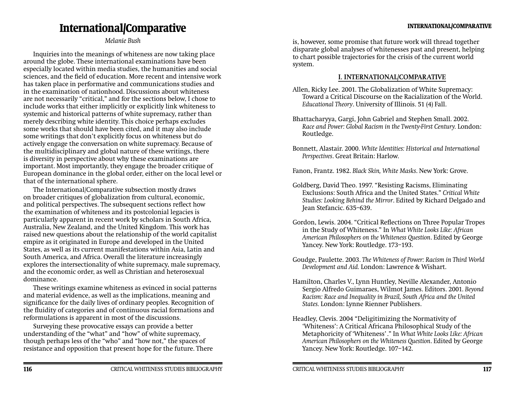# **INTERNATIONAL/COMPARATIVE International/Comparative**

*Melanie Bush*

Inquiries into the meanings of whiteness are now taking place around the globe. These international examinations have been especially located within media studies, the humanities and social sciences, and the field of education. More recent and intensive work has taken place in performative and communications studies and in the examination of nationhood. Discussions about whiteness are not necessarily "critical," and for the sections below, I chose to include works that either implicitly or explicitly link whiteness to systemic and historical patterns of white supremacy, rather than merely describing white identity. This choice perhaps excludes some works that should have been cited, and it may also include some writings that don't explicitly focus on whiteness but do actively engage the conversation on white supremacy. Because of the multidisciplinary and global nature of these writings, there is diversity in perspective about why these examinations are important. Most importantly, they engage the broader critique of European dominance in the global order, either on the local level or that of the international sphere.

The International/Comparative subsection mostly draws on broader critiques of globalization from cultural, economic, and political perspectives. The subsequent sections reflect how the examination of whiteness and its postcolonial legacies is particularly apparent in recent work by scholars in South Africa, Australia, New Zealand, and the United Kingdom. This work has raised new questions about the relationship of the world capitalist empire as it originated in Europe and developed in the United States, as well as its current manifestations within Asia, Latin and South America, and Africa. Overall the literature increasingly explores the intersectionality of white supremacy, male supremacy, and the economic order, as well as Christian and heterosexual dominance.

These writings examine whiteness as evinced in social patterns and material evidence, as well as the implications, meaning and significance for the daily lives of ordinary peoples. Recognition of the fluidity of categories and of continuous racial formations and reformulations is apparent in most of the discussions.

Surveying these provocative essays can provide a better understanding of the "what" and "how" of white supremacy, though perhaps less of the "who" and "how not," the spaces of resistance and opposition that present hope for the future. There is, however, some promise that future work will thread together disparate global analyses of whitenesses past and present, helping to chart possible trajectories for the crisis of the current world system.

## **I. INTERNATIONAL/COMPARATIVE**

- Allen, Ricky Lee. 2001. The Globalization of White Supremacy: Toward a Critical Discourse on the Racialization of the World. *Educational Theory*. University of Illinois. 51 (4) Fall.
- Bhattacharyya, Gargi, John Gabriel and Stephen Small. 2002. *Race and Power: Global Racism in the Twenty-First Century.* London: Routledge.
- Bonnett, Alastair. 2000. *White Identities: Historical and International Perspectives*. Great Britain: Harlow.

Fanon, Frantz. 1982. *Black Skin, White Masks*. New York: Grove.

- Goldberg, David Theo. 1997. "Resisting Racisms, Eliminating Exclusions: South Africa and the United States." *Critical White Studies: Looking Behind the Mirror*. Edited by Richard Delgado and Jean Stefancic. 635–639.
- Gordon, Lewis. 2004. "Critical Reflections on Three Popular Tropes in the Study of Whiteness." In *What White Looks Like: African American Philosophers on the Whiteness Question*. Edited by George Yancey. New York: Routledge. 173–193.
- Goudge, Paulette. 2003. *The Whiteness of Power: Racism in Third World Development and Aid.* London: Lawrence & Wishart.
- Hamilton, Charles V., Lynn Huntley, Neville Alexander, Antonio Sergio Alfredo Guimaraes, Wilmot James. Editors. 2001. *Beyond Racism: Race and Inequality in Brazil, South Africa and the United States.* London: Lynne Rienner Publishers.
- Headley, Clevis. 2004 "Deligitimizing the Normativity of 'Whiteness': A Critical Africana Philosophical Study of the Metaphoricity of 'Whiteness' ." In *What White Looks Like: African American Philosophers on the Whiteness Question*. Edited by George Yancey. New York: Routledge. 107–142.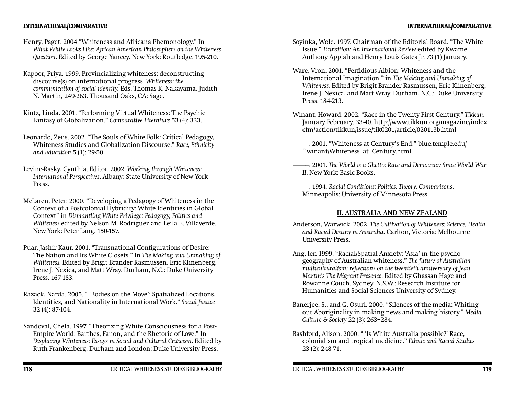### **INTERNATIONAL/COMPARATIVE**

- Henry, Paget. 2004 "Whiteness and Africana Phemonology." In *What White Looks Like: African American Philosophers on the Whiteness Question*. Edited by George Yancey. New York: Routledge. 195-210.
- Kapoor, Priya. 1999. Provincializing whiteness: deconstructing discourse(s) on international progress. *Whiteness: the communication of social identity.* Eds. Thomas K. Nakayama, Judith N. Martin, 249-263. Thousand Oaks, CA: Sage.
- Kintz, Linda. 2001. "Performing Virtual Whiteness: The Psychic Fantasy of Globalization." *Comparative Literature* 53 (4): 333.
- Leonardo, Zeus. 2002. "The Souls of White Folk: Critical Pedagogy, Whiteness Studies and Globalization Discourse." *Race, Ethnicity and Education* 5 (1): 29-50.
- Levine-Rasky, Cynthia. Editor. 2002. *Working through Whiteness: International Perspectives*. Albany: State University of New York Press.
- McLaren, Peter. 2000. "Developing a Pedagogy of Whiteness in the Context of a Postcolonial Hybridity: White Identities in Global Context" in *Dismantling White Privilege: Pedagogy, Politics and Whiteness* edited by Nelson M. Rodriguez and Leila E. Villaverde. New York: Peter Lang. 150-157.
- Puar, Jashir Kaur. 2001. "Transnational Configurations of Desire: The Nation and Its White Closets." In *The Making and Unmaking of Whiteness.* Edited by Brigit Brander Rasmussen, Eric Klinenberg, Irene J. Nexica, and Matt Wray. Durham, N.C.: Duke University Press. 167-183.
- Razack, Narda. 2005. " 'Bodies on the Move': Spatialized Locations, Identities, and Nationality in International Work." *Social Justice* 32 (4): 87-104.
- Sandoval, Chela. 1997. "Theorizing White Consciousness for a Post-Empire World: Barthes, Fanon, and the Rhetoric of Love." In *Displacing Whiteness: Essays in Social and Cultural Criticism*. Edited by Ruth Frankenberg. Durham and London: Duke University Press.
- Soyinka, Wole. 1997. Chairman of the Editorial Board. "The White Issue," *Transition: An International Review* edited by Kwame Anthony Appiah and Henry Louis Gates Jr. 73 (1) January.
- Ware, Vron. 2001. "Perfidious Albion: Whiteness and the International Imagination." in *The Making and Unmaking of Whiteness.* Edited by Brigit Brander Rasmussen, Eric Klinenberg, Irene J. Nexica, and Matt Wray. Durham, N.C.: Duke University Press. 184-213.
- Winant, Howard. 2002. "Race in the Twenty-First Century." *Tikkun*. January February. 33-40. http://www.tikkun.org/magazine/index. cfm/action/tikkun/issue/tik0201/article/020113b.html
- ————. 2001. "Whiteness at Century's End." blue.temple.edu/ ~winant/Whiteness at Century.html.
- ————. 2001. *The World is a Ghetto: Race and Democracy Since World War II*. New York: Basic Books.
- ————. 1994. *Racial Conditions: Politics, Theory, Comparisons*. Minneapolis: University of Minnesota Press.

## **II. AUSTRALIA AND NEW ZEALAND**

- Anderson, Warwick. 2002. *The Cultivation of Whiteness: Science, Health and Racial Destiny in Australia*. Carlton, Victoria: Melbourne University Press.
- Ang, Ien 1999. "Racial/Spatial Anxiety: 'Asia' in the psychogeography of Australian whiteness." *The future of Australian*  multiculturalism: reflections on the twentieth anniversary of Jean *Martin's The Migrant Presence*. Edited by Ghassan Hage and Rowanne Couch. Sydney, N.S.W.: Research Institute for Humanities and Social Sciences University of Sydney.
- Banerjee, S., and G. Osuri. 2000. "Silences of the media: Whiting out Aboriginality in making news and making history." *Media, Culture & Society* 22 (3): 263–284.
- Bashford, Alison. 2000. " 'Is White Australia possible?' Race, colonialism and tropical medicine." *Ethnic and Racial Studies* 23 (2): 248-71.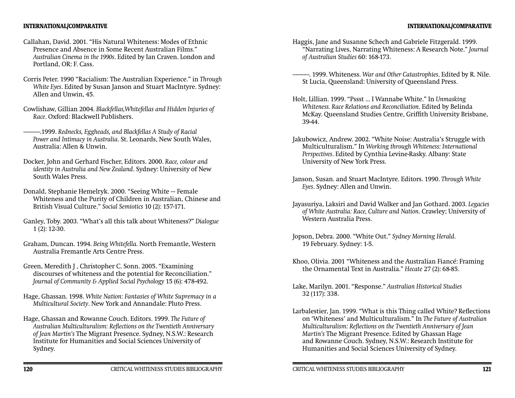- Callahan, David. 2001. "His Natural Whiteness: Modes of Ethnic Presence and Absence in Some Recent Australian Films." *Australian Cinema in the 1990s*. Edited by Ian Craven. London and Portland, OR: F. Cass.
- Corris Peter. 1990 "Racialism: The Australian Experience." in *Through White Eyes*. Edited by Susan Janson and Stuart MacIntyre. Sydney: Allen and Unwin, 45.
- Cowlishaw, Gillian 2004. *Blackfellas,Whitefellas and Hidden Injuries of Race*. Oxford: Blackwell Publishers.

————.1999. *Rednecks, Eggheads, and Blackfellas A Study of Racial Power and Intimacy in Australia*. St. Leonards, New South Wales, Australia: Allen & Unwin.

- Docker, John and Gerhard Fischer, Editors. 2000. *Race, colour and identity in Australia and New Zealand*. Sydney: University of New South Wales Press.
- Donald, Stephanie Hemelryk. 2000. "Seeing White Female Whiteness and the Purity of Children in Australian, Chinese and British Visual Culture." *Social Semiotics* 10 (2): 157-171.
- Ganley, Toby. 2003. "What's all this talk about Whiteness?" *Dialogue* 1 (2): 12-30.
- Graham, Duncan. 1994. *Being Whitefella.* North Fremantle, Western Australia Fremantle Arts Centre Press.

Green, Meredith J , Christopher C. Sonn. 2005. "Examining discourses of whiteness and the potential for Reconciliation." *Journal of Community & Applied Social Psychology* 15 (6): 478-492.

- Hage, Ghassan. 1998. *White Nation: Fantasies of White Supremacy in a Multicultural Society*. New York and Annandale: Pluto Press.
- Hage, Ghassan and Rowanne Couch. Editors. 1999. *The Future of*  Australian Multiculturalism: Reflections on the Twentieth Anniversary *of Jean Martin's* The Migrant Presence. Sydney, N.S.W.: Research Institute for Humanities and Social Sciences University of Sydney.
- Haggis, Jane and Susanne Schech and Gabriele Fitzgerald. 1999. "Narrating Lives, Narrating Whiteness: A Research Note." *Journal of Australian Studies* 60: 168-173.
- ————. 1999. Whiteness. *War and Other Catastrophies*. Edited by R. Nile. St Lucia, Queensland: University of Queensland Press.
- Holt, Lillian. 1999. "Pssst … I Wannabe White." In *Unmasking Whiteness. Race Relations and Reconciliation*. Edited by Belinda McKay. Queensland Studies Centre, Griffith University Brisbane, 39-44.
- Jakubowicz, Andrew. 2002. "White Noise: Australia's Struggle with Multiculturalism." In *Working through Whiteness: International Perspectives*. Edited by Cynthia Levine-Rasky. Albany: State University of New York Press.
- Janson, Susan. and Stuart MacIntyre. Editors. 1990. *Through White Eyes*. Sydney: Allen and Unwin.
- Jayasuriya, Laksiri and David Walker and Jan Gothard. 2003. *Legacies of White Australia: Race, Culture and Nation*. Crawley; University of Western Australia Press.
- Jopson, Debra. 2000. "White Out." *Sydney Morning Herald*. 19 February. Sydney: 1-5.
- Khoo, Olivia. 2001 "Whiteness and the Australian Fiancé: Framing the Ornamental Text in Australia." *Hecate* 27 (2): 68-85.
- Lake, Marilyn. 2001. "Response." *Australian Historical Studies* 32 (117): 338.
- Larbalestier, Jan. 1999. "What is this Thing called White? Reflections on 'Whiteness' and Multiculturalism." In *The Future of Australian Multiculturalism: Reflections on the Twentieth Anniversary of Jean Martin's* The Migrant Presence. Edited by Ghassan Hage and Rowanne Couch. Sydney, N.S.W.: Research Institute for Humanities and Social Sciences University of Sydney.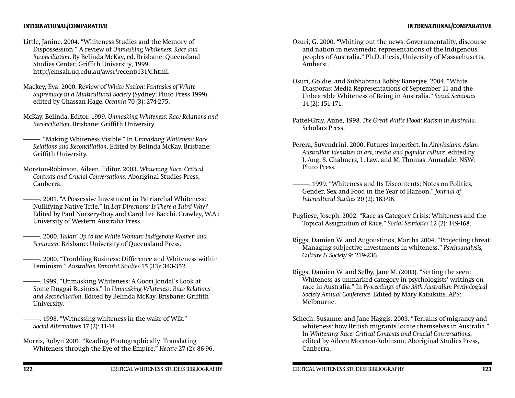## **INTERNATIONAL/COMPARATIVE**

- Little, Janine. 2004. "Whiteness Studies and the Memory of Dispossession." A review of *Unmasking Whiteness: Race and Reconciliation*. By Belinda McKay, ed. Brisbane: Queensland Studies Center, Griffith University, 1999. http://emsah.uq.edu.au/awsr/recent/131/c.html.
- Mackey, Eva. 2000. Review of *White Nation: Fantasies of White Supremacy in a Multicultural Society* (Sydney: Pluto Press 1999), edited by Ghassan Hage. *Oceania* 70 (3): 274-275.
- McKay, Belinda. Editor. 1999. *Unmasking Whiteness: Race Relations and Reconciliation. Brisbane: Griffith University.* 
	- ————. "Making Whiteness Visible." In *Unmasking Whiteness: Race Relations and Reconciliation*. Edited by Belinda McKay. Brisbane: Griffith University.
- Moreton-Robinson, Aileen. Editor. 2003. *Whitening Race: Critical Contexts and Crucial Conversations*. Aboriginal Studies Press, Canberra.
	- ————. 2001. "A Possessive Investment in Patriarchal Whiteness: Nullifying Native Title." In *Left Directions: Is There a Third Way?* Edited by Paul Nursery-Bray and Carol Lee Bacchi. Crawley, W.A.: University of Western Australia Press.
- ————. 2000. *Talkin' Up to the White Woman: Indigenous Women and Feminism*. Brisbane: University of Queensland Press.
- ————. 2000. "Troubling Business: Difference and Whiteness within Feminism." *Australian Feminist Studies* 15 (33): 343-352.
- ————. 1999. "Unmasking Whiteness: A Goori Jondal's Look at Some Duggai Business." In *Unmasking Whiteness: Race Relations*  and Reconciliation. Edited by Belinda McKay. Brisbane: Griffith University.
- ————. 1998. "Witnessing whiteness in the wake of Wik." *Social Alternatives* 17 (2): 11-14.
- Morris, Robyn 2001. "Reading Photographically: Translating Whiteness through the Eye of the Empire." *Hecate* 27 (2): 86-96.
- Osuri, G. 2000. "Whiting out the news: Governmentality, discourse and nation in newsmedia representations of the Indigenous peoples of Australia." Ph.D. thesis, University of Massachusetts, Amherst.
- Osuri, Goldie, and Subhabrata Bobby Banerjee. 2004. "White Diasporas: Media Representations of September 11 and the Unbearable Whiteness of Being in Australia." *Social Semiotics* 14 (2): 151-171.
- Pattel-Gray, Anne, 1998. *The Great White Flood: Racism in Australia*. Scholars Press.
- Perera, Suvendrini. 2000. Futures imperfect. In *Alter/asians: Asian-Australian identities in art, media and popular culture*, edited by I. Ang, S. Chalmers, L. Law, and M. Thomas. Annadale, NSW: Pluto Press.
- —, 1999. "Whiteness and Its Discontents: Notes on Politics, Gender, Sex and Food in the Year of Hanson." *Journal of Intercultural Studies* 20 (2): 183-98.
- Pugliese, Joseph. 2002. "Race as Category Crisis: Whiteness and the Topical Assignation of Race." *Social Semiotics* 12 (2): 149-168.
- Riggs, Damien W. and Augoustinos, Martha 2004. "Projecting threat: Managing subjective investments in whiteness." *Psychoanalysis, Culture & Society* 9: 219-236..
- Riggs, Damien W. and Selby, Jane M. (2003). "Setting the seen: Whiteness as unmarked category in psychologists' writings on race in Australia." In *Proceedings of the 38th Australian Psychological Society Annual Conference*. Edited by Mary Katsikitis. APS: Melbourne.
- Schech, Susanne. and Jane Haggis. 2003. "Terrains of migrancy and whiteness: how British migrants locate themselves in Australia." In *Whitening Race: Critical Contexts and Crucial Conversations*, edited by Aileen Moreton-Robinson, Aboriginal Studies Press, Canberra.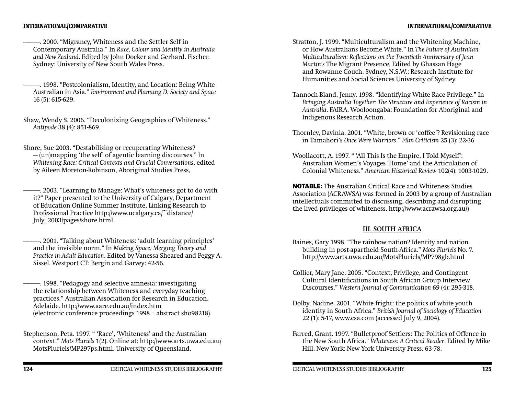#### **INTERNATIONAL/COMPARATIVE**

————. 2000. "Migrancy, Whiteness and the Settler Self in Contemporary Australia." In *Race, Colour and Identity in Australia and New Zealand*. Edited by John Docker and Gerhard. Fischer. Sydney: University of New South Wales Press.

————. 1998. "Postcolonialism, Identity, and Location: Being White Australian in Asia." *Environment and Planning D: Society and Space* 16 (5): 615-629.

Shaw, Wendy S. 2006. "Decolonizing Geographies of Whiteness." *Antipode* 38 (4): 851-869.

Shore, Sue 2003. "Destabilising or recuperating Whiteness? — (un)mapping 'the self' of agentic learning discourses." In *Whitening Race: Critical Contexts and Crucial Conversations*, edited by Aileen Moreton-Robinson, Aboriginal Studies Press,

————. 2003. "Learning to Manage: What's whiteness got to do with it?" Paper presented to the University of Calgary, Department of Education Online Summer Institute, Linking Research to Professional Practice http://www.ucalgary.ca/~distance/ July\_2003/pages/shore.html.

————. 2001. "Talking about Whiteness: 'adult learning principles' and the invisible norm." In *Making Space: Merging Theory and Practice in Adult Education*. Edited by Vanessa Sheared and Peggy A. Sissel. Westport CT: Bergin and Garvey: 42-56.

————. 1998. "Pedagogy and selective amnesia: investigating the relationship between Whiteness and everyday teaching practices." Australian Association for Research in Education. Adelaide. http://www.aare.edu.au/index.htm (electronic conference proceedings 1998 – abstract sho98218).

Stephenson, Peta. 1997. " 'Race', 'Whiteness' and the Australian context." *Mots Pluriels* 1(2). Online at: http://www.arts.uwa.edu.au/ MotsPluriels/MP297ps.html. University of Queensland.

- Stratton, J. 1999. "Multiculturalism and the Whitening Machine, or How Australians Become White." In *The Future of Australian Multiculturalism: Reflections on the Twentieth Anniversary of Jean Martin's* The Migrant Presence*.* Edited by Ghassan Hage and Rowanne Couch. Sydney, N.S.W.: Research Institute for Humanities and Social Sciences University of Sydney.
- Tannoch-Bland, Jenny. 1998. "Identifying White Race Privilege." In *Bringing Australia Together: The Structure and Experience of Racism in Australia*. FAIRA. Wooloongaba: Foundation for Aboriginal and Indigenous Research Action.
- Thornley, Davinia. 2001. "White, brown or 'coffee'? Revisioning race in Tamahori's *Once Were Warriors*." *Film Criticism* 25 (3): 22-36
- Woollacott, A. 1997. " 'All This Is the Empire, I Told Myself': Australian Women's Voyages 'Home' and the Articulation of Colonial Whiteness." *American Historical Review* 102(4): 1003-1029.

**NOTABLE:** The Australian Critical Race and Whiteness Studies Association (ACRAWSA) was formed in 2003 by a group of Australian intellectuals committed to discussing, describing and disrupting the lived privileges of whiteness. http://www.acrawsa.org.au/)

## **III. SOUTH AFRICA**

- Baines, Gary 1998. "The rainbow nation? Identity and nation building in post-apartheid South-Africa." *Mots Pluriels* No. 7. http://www.arts.uwa.edu.au/MotsPluriels/MP798gb.html
- Collier, Mary Jane. 2005. "Context, Privilege, and Contingent Cultural Identifications in South African Group Interview Discourses." *Western Journal of Communication* 69 (4): 295-318.
- Dolby, Nadine. 2001. "White fright: the politics of white youth identity in South Africa." *British Journal of Sociology of Education* 22 (1): 5-17, www.csa.com (accessed July 9, 2004).
- Farred, Grant. 1997. "Bulletproof Settlers: The Politics of Offence in the New South Africa." *Whiteness: A Critical Reader*. Edited by Mike Hill. New York: New York University Press. 63-78.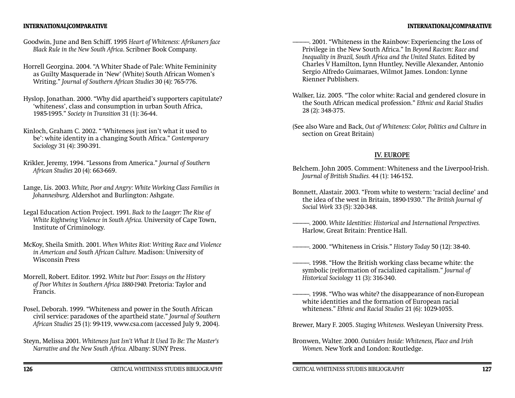- Goodwin, June and Ben Schiff. 1995 *Heart of Whiteness: Afrikaners face Black Rule in the New South Africa*. Scribner Book Company.
- Horrell Georgina. 2004. "A Whiter Shade of Pale: White Femininity as Guilty Masquerade in 'New' (White) South African Women's Writing." *Journal of Southern African Studies* 30 (4): 765-776.
- Hyslop, Jonathan. 2000. "Why did apartheid's supporters capitulate? 'whiteness', class and consumption in urban South Africa, 1985-1995." *Society in Transition* 31 (1): 36-44.
- Kinloch, Graham C. 2002. " 'Whiteness just isn't what it used to be': white identity in a changing South Africa." *Contemporary Sociology* 31 (4): 390-391.
- Krikler, Jeremy, 1994. "Lessons from America." *Journal of Southern African Studies* 20 (4): 663-669.
- Lange, Lis. 2003. *White, Poor and Angry: White Working Class Families in Johannesburg.* Aldershot and Burlington: Ashgate.
- Legal Education Action Project. 1991. *Back to the Laager: The Rise of White Rightwing Violence in South Africa.* University of Cape Town, Institute of Criminology.
- McKoy, Sheila Smith. 2001. *When Whites Riot: Writing Race and Violence in American and South African Culture.* Madison: University of Wisconsin Press
- Morrell, Robert. Editor. 1992. *White but Poor: Essays on the History of Poor Whites in Southern Africa 1880-1940.* Pretoria: Taylor and Francis.
- Posel, Deborah. 1999. "Whiteness and power in the South African civil service: paradoxes of the apartheid state." *Journal of Southern African Studies* 25 (1): 99-119, www.csa.com (accessed July 9, 2004).
- Steyn, Melissa 2001. *Whiteness Just Isn't What It Used To Be: The Master's Narrative and the New South Africa.* Albany: SUNY Press.
- ————. 2001. "Whiteness in the Rainbow: Experiencing the Loss of Privilege in the New South Africa." In *Beyond Racism: Race and Inequality in Brazil, South Africa and the United States.* Edited by Charles V Hamilton, Lynn Huntley, Neville Alexander, Antonio Sergio Alfredo Guimaraes, Wilmot James. London: Lynne Rienner Publishers.
- Walker, Liz. 2005. "The color white: Racial and gendered closure in the South African medical profession." *Ethnic and Racial Studies* 28 (2): 348-375.
- (See also Ware and Back, *Out of Whiteness: Color, Politics and Culture* in section on Great Britain)

# **IV. EUROPE**

- Belchem. John 2005. Comment: Whiteness and the Liverpool-Irish. *Journal of British Studies.* 44 (1): 146-152.
- Bonnett, Alastair. 2003. "From white to western: 'racial decline' and the idea of the west in Britain, 1890-1930." *The British Journal of Social Work* 33 (5): 320-348.
- ————. 2000. *White Identities: Historical and International Perspectives.* Harlow, Great Britain: Prentice Hall.
- ————. 2000. "Whiteness in Crisis." *History Today* 50 (12): 38-40.
- ————. 1998. "How the British working class became white: the symbolic (re)formation of racialized capitalism." *Journal of Historical Sociology* 11 (3): 316-340.
- ————. 1998. "Who was white? the disappearance of non-European white identities and the formation of European racial whiteness." *Ethnic and Racial Studies* 21 (6): 1029-1055.
- Brewer, Mary F. 2005. *Staging Whiteness.* Wesleyan University Press.
- Bronwen, Walter. 2000. *Outsiders Inside: Whiteness, Place and Irish Women.* New York and London: Routledge.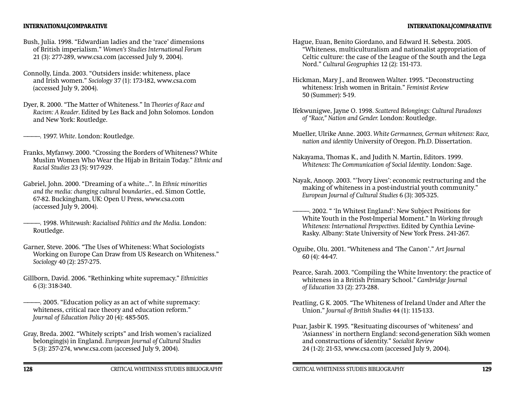#### **INTERNATIONAL/COMPARATIVE**

- Bush, Julia. 1998. "Edwardian ladies and the 'race' dimensions of British imperialism." *Women's Studies International Forum* 21 (3): 277-289, www.csa.com (accessed July 9, 2004).
- Connolly, Linda. 2003. "Outsiders inside: whiteness, place and Irish women." *Sociology* 37 (1): 173-182, www.csa.com (accessed July 9, 2004).
- Dyer, R. 2000. "The Matter of Whiteness." In *Theories of Race and Racism: A Reader*. Edited by Les Back and John Solomos. London and New York: Routledge.
- ————. 1997. *White*. London: Routledge.
- Franks, Myfanwy. 2000. "Crossing the Borders of Whiteness? White Muslim Women Who Wear the Hijab in Britain Today." *Ethnic and Racial Studies* 23 (5): 917-929.
- Gabriel, John. 2000. "Dreaming of a white...". In *Ethnic minorities and the media: changing cultural boundaries.*, ed. Simon Cottle, 67-82. Buckingham, UK: Open U Press, www.csa.com (accessed July 9, 2004).
- ————. 1998. *Whitewash: Racialised Politics and the Media.* London: Routledge.
- Garner, Steve. 2006. "The Uses of Whiteness: What Sociologists Working on Europe Can Draw from US Research on Whiteness." *Sociology* 40 (2): 257-275.
- Gillborn, David. 2006. "Rethinking white supremacy." *Ethnicities* 6 (3): 318-340.
	- ————. 2005. "Education policy as an act of white supremacy: whiteness, critical race theory and education reform." *Journal of Education Policy* 20 (4): 485-505.
- Gray, Breda. 2002. "Whitely scripts" and Irish women's racialized belonging(s) in England. *European Journal of Cultural Studies* 5 (3): 257-274, www.csa.com (accessed July 9, 2004).
- Hague, Euan, Benito Giordano, and Edward H. Sebesta. 2005. "Whiteness, multiculturalism and nationalist appropriation of Celtic culture: the case of the League of the South and the Lega Nord." *Cultural Geographies* 12 (2): 151-173.
- Hickman, Mary J., and Bronwen Walter. 1995. "Deconstructing whiteness: Irish women in Britain." *Feminist Review*50 (Summer): 5-19.
- Ifekwunigwe, Jayne O. 1998. *Scattered Belongings: Cultural Paradoxes of "Race," Nation and Gender.* London: Routledge.
- Mueller, Ulrike Anne. 2003. *White Germanness, German whiteness: Race, nation and identity* University of Oregon. Ph.D. Dissertation.
- Nakayama, Thomas K., and Judith N. Martin, Editors. 1999. *Whiteness: The Communication of Social Identity*. London: Sage.
- Nayak, Anoop. 2003. "'Ivory Lives': economic restructuring and the making of whiteness in a post-industrial youth community." *European Journal of Cultural Studies* 6 (3): 305-325.
- ————. 2002. " 'In Whitest England': New Subject Positions for White Youth in the Post-Imperial Moment." In *Working through Whiteness: International Perspectives*. Edited by Cynthia Levine-Rasky. Albany: State University of New York Press. 241-267.
- Oguibe, Olu. 2001. "Whiteness and 'The Canon'." *Art Journal*  60 (4): 44-47.
- Pearce, Sarah. 2003. "Compiling the White Inventory: the practice of whiteness in a British Primary School." *Cambridge Journal of Education* 33 (2): 273-288.
- Peatling, G K. 2005. "The Whiteness of Ireland Under and After the Union." *Journal of British Studies* 44 (1): 115-133.
- Puar, Jasbir K. 1995. "Resituating discourses of 'whiteness' and 'Asianness' in northern England: second-generation Sikh women and constructions of identity." *Socialist Review* 24 (1-2): 21-53, www.csa.com (accessed July 9, 2004).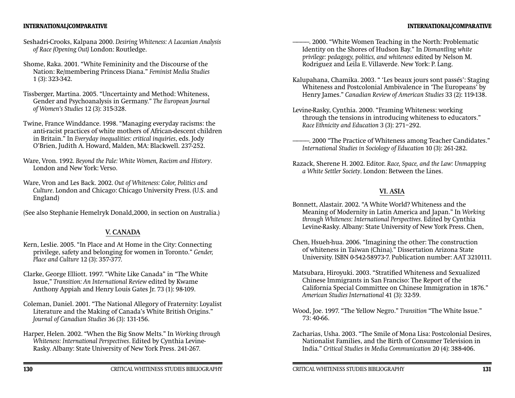### **INTERNATIONAL/COMPARATIVE**

- Seshadri-Crooks, Kalpana 2000. *Desiring Whiteness: A Lacanian Analysis of Race (Opening Out)* London: Routledge.
- Shome, Raka. 2001. "White Femininity and the Discourse of the Nation: Re/membering Princess Diana." *Feminist Media Studies* 1 (3): 323-342.
- Tissberger, Martina. 2005. "Uncertainty and Method: Whiteness, Gender and Psychoanalysis in Germany." *The European Journal of Women's Studies* 12 (3): 315-328.
- Twine, France Winddance. 1998. "Managing everyday racisms: the anti-racist practices of white mothers of African-descent children in Britain." In *Everyday inequalities: critical inquiries*, eds. Jody O'Brien, Judith A. Howard, Malden, MA: Blackwell. 237-252.
- Ware, Vron. 1992. *Beyond the Pale: White Women, Racism and History*. London and New York: Verso.
- Ware, Vron and Les Back. 2002. *Out of Whiteness: Color, Politics and Culture*. London and Chicago: Chicago University Press. (U.S. and England)
- (See also Stephanie Hemelryk Donald,2000, in section on Australia.)

## **V. CANADA**

- Kern, Leslie. 2005. "In Place and At Home in the City: Connecting privilege, safety and belonging for women in Toronto." *Gender, Place and Culture* 12 (3): 357-377.
- Clarke, George Elliott. 1997. "White Like Canada" in "The White Issue," *Transition: An International Review* edited by Kwame Anthony Appiah and Henry Louis Gates Jr. 73 (1): 98-109.
- Coleman, Daniel. 2001. "The National Allegory of Fraternity: Loyalist Literature and the Making of Canada's White British Origins." *Journal of Canadian Studies* 36 (3): 131-156.
- Harper, Helen. 2002. "When the Big Snow Melts." In *Working through Whiteness: International Perspectives*. Edited by Cynthia Levine-Rasky. Albany: State University of New York Press. 241-267.
- ————. 2000. "White Women Teaching in the North: Problematic Identity on the Shores of Hudson Bay." In *Dismantling white privilege: pedagogy, politics, and whiteness* edited by Nelson M. Rodriguez and Leila E. Villaverde. New York: P. Lang.
- Kalupahana, Chamika. 2003. " 'Les beaux jours sont passés': Staging Whiteness and Postcolonial Ambivalence in 'The Europeans' by Henry James." *Canadian Review of American Studies* 33 (2): 119-138.
- Levine-Rasky, Cynthia. 2000. "Framing Whiteness: working through the tensions in introducing whiteness to educators." *Race Ethnicity and Education* 3 (3): 271–292.
- ————. 2000 "The Practice of Whiteness among Teacher Candidates." *International Studies in Sociology of Education* 10 (3): 261-282.
- Razack, Sherene H. 2002. Editor. *Race, Space, and the Law: Unmapping a White Settler Society*. London: Between the Lines.

# **VI. ASIA**

- Bonnett, Alastair. 2002. "A White World? Whiteness and the Meaning of Modernity in Latin America and Japan." In *Working through Whiteness: International Perspectives*. Edited by Cynthia Levine-Rasky. Albany: State University of New York Press. Chen,
- Chen, Hsueh-hua. 2006. "Imagining the other: The construction of whiteness in Taiwan (China)." Dissertation Arizona State University. ISBN 0-542-58973-7. Publication number: AAT 3210111.
- Matsubara, Hiroyuki. 2003. "Stratified Whiteness and Sexualized Chinese Immigrants in San Franciso: The Report of the California Special Committee on Chinese Immigration in 1876." *American Studies International* 41 (3): 32-59.
- Wood, Joe. 1997. "The Yellow Negro." *Transition* "The White Issue." 73: 40-66.
- Zacharias, Usha. 2003. "The Smile of Mona Lisa: Postcolonial Desires, Nationalist Families, and the Birth of Consumer Television in India." *Critical Studies in Media Communication* 20 (4): 388-406.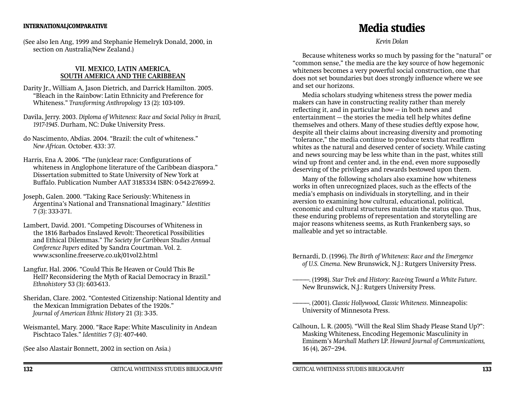(See also Ien Ang, 1999 and Stephanie Hemelryk Donald, 2000, in section on Australia/New Zealand.)

## **VII. MEXICO, LATIN AMERICA, SOUTH AMERICA AND THE CARIBBEAN**

Darity Jr., William A, Jason Dietrich, and Darrick Hamilton. 2005. "Bleach in the Rainbow: Latin Ethnicity and Preference for Whiteness." *Transforming Anthropology* 13 (2): 103-109.

- Davila, Jerry. 2003. *Diploma of Whiteness: Race and Social Policy in Brazil, 1917-1945*. Durham, NC: Duke University Press.
- do Nascimento, Abdias. 2004. "Brazil: the cult of whiteness." *New African.* October. 433: 37.
- Harris, Ena A. 2006. "The (un)clear race: Configurations of whiteness in Anglophone literature of the Caribbean diaspora." Dissertation submitted to State University of New York at Buffalo. Publication Number AAT 3185334 ISBN: 0-542-27699-2.
- Joseph, Galen. 2000. "Taking Race Seriously: Whiteness in Argentina's National and Transnational Imaginary." *Identities* 7 (3): 333-371.
- Lambert, David. 2001. "Competing Discourses of Whiteness in the 1816 Barbados Enslaved Revolt: Theoretical Possibilities and Ethical Dilemmas." *The Society for Caribbean Studies Annual Conference Papers* edited by Sandra Courtman. Vol. 2. www.scsonline.freeserve.co.uk/01vol2.html
- Langfur, Hal. 2006. "Could This Be Heaven or Could This Be Hell? Reconsidering the Myth of Racial Democracy in Brazil." *Ethnohistory* 53 (3): 603-613.
- Sheridan, Clare. 2002. "Contested Citizenship: National Identity and the Mexican Immigration Debates of the 1920s." *Journal of American Ethnic History* 21 (3): 3-35.
- Weismantel, Mary. 2000. "Race Rape: White Masculinity in Andean Pischtaco Tales." *Identities* 7 (3): 407-440.

(See also Alastair Bonnett, 2002 in section on Asia.)

# **Media studies**

*Kevin Dolan*

Because whiteness works so much by passing for the "natural" or "common sense," the media are the key source of how hegemonic whiteness becomes a very powerful social construction, one that does not set boundaries but does strongly influence where we see and set our horizons.

Media scholars studying whiteness stress the power media makers can have in constructing reality rather than merely reflecting it, and in particular how  $-$  in both news and entertainment  $-$  the stories the media tell help whites define themselves and others. Many of these studies deftly expose how, despite all their claims about increasing diversity and promoting "tolerance," the media continue to produce texts that reaffirm whites as the natural and deserved center of society. While casting and news sourcing may be less white than in the past, whites still wind up front and center and, in the end, even more supposedly deserving of the privileges and rewards bestowed upon them.

Many of the following scholars also examine how whiteness works in often unrecognized places, such as the effects of the media's emphasis on individuals in storytelling, and in their aversion to examining how cultural, educational, political, economic and cultural structures maintain the status quo. Thus, these enduring problems of representation and storytelling are major reasons whiteness seems, as Ruth Frankenberg says, so malleable and yet so intractable.

- Bernardi, D. (1996). *The Birth of Whiteness: Race and the Emergence of U.S. Cinema*. New Brunswick, N.J.: Rutgers University Press.
- ————. (1998). *Star Trek and History: Race-ing Toward a White Future*. New Brunswick, N.J.: Rutgers University Press.
- ————. (2001). *Classic Hollywood, Classic Whiteness*. Minneapolis: University of Minnesota Press.
- Calhoun, L. R. (2005). "Will the Real Slim Shady Please Stand Up?": Masking Whiteness, Encoding Hegemonic Masculinity in Eminem's *Marshall Mathers* LP. *Howard Journal of Communications,*  16 (4), 267–294.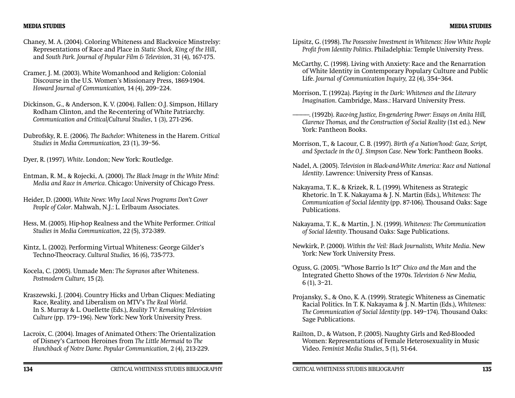#### **MEDIA STUDIES**

- Chaney, M. A. (2004). Coloring Whiteness and Blackvoice Minstrelsy: Representations of Race and Place in *Static Shock, King of the Hill*, and *South Park. Journal of Popular Film & Television*, 31 (4), 167-175.
- Cramer, J. M. (2003). White Womanhood and Religion: Colonial Discourse in the U.S. Women's Missionary Press, 1869-1904. *Howard Journal of Communication,* 14 (4), 209–224.
- Dickinson, G., & Anderson, K. V. (2004). Fallen: O.J. Simpson, Hillary Rodham Clinton, and the Re-centering of White Patriarchy. *Communication and Critical/Cultural Studies*, 1 (3), 271-296.
- Dubrofsky, R. E. (2006). *The Bachelor:* Whiteness in the Harem. *Critical Studies in Media Communication,* 23 (1), 39–56.

Dyer, R. (1997). *White*. London; New York: Routledge.

- Entman, R. M., & Rojecki, A. (2000). *The Black Image in the White Mind: Media and Race in America*. Chicago: University of Chicago Press.
- Heider, D. (2000). *White News: Why Local News Programs Don't Cover People of Color*. Mahwah, N.J.: L. Erlbaum Associates.
- Hess, M. (2005). Hip-hop Realness and the White Performer. *Critical Studies in Media Communication*, 22 (5), 372-389.
- Kintz, L. (2002). Performing Virtual Whiteness: George Gilder's Techno-Theocracy. *Cultural Studies,* 16 (6), 735-773.
- Kocela, C. (2005). Unmade Men: *The Sopranos* after Whiteness. *Postmodern Culture,* 15 (2).
- Kraszewski, J. (2004). Country Hicks and Urban Cliques: Mediating Race, Reality, and Liberalism on MTV's *The Real World*. In S. Murray & L. Ouellette (Eds.), *Reality TV: Remaking Television Culture* (pp. 179–196). New York: New York University Press.
- Lacroix, C. (2004). Images of Animated Others: The Orientalization of Disney's Cartoon Heroines from *The Little Mermaid* to *The Hunchback of Notre Dame. Popular Communication*, 2 (4), 213-229.
- Lipsitz, G. (1998). *The Possessive Investment in Whiteness: How White People*  Profit from Identity Politics. Philadelphia: Temple University Press.
- McCarthy, C. (1998). Living with Anxiety: Race and the Renarration of White Identity in Contemporary Populary Culture and Public Life. *Journal of Communication Inquiry,* 22 (4), 354–364.
- Morrison, T. (1992a). *Playing in the Dark: Whiteness and the Literary Imagination*. Cambridge, Mass.: Harvard University Press.
- ————. (1992b). *Race-ing Justice, En-gendering Power: Essays on Anita Hill, Clarence Thomas, and the Construction of Social Reality* (1st ed.). New York: Pantheon Books.
- Morrison, T., & Lacour, C. B. (1997). *Birth of a Nation'hood: Gaze, Script, and Spectacle in the O.J. Simpson Case*. New York: Pantheon Books.
- Nadel, A. (2005). *Television in Black-and-White America: Race and National Identity*. Lawrence: University Press of Kansas.
- Nakayama, T. K., & Krizek, R. L. (1999). Whiteness as Strategic Rhetoric. In T. K. Nakayama & J. N. Martin (Eds.), *Whiteness: The Communication of Social Identity* (pp. 87-106). Thousand Oaks: Sage Publications.
- Nakayama, T. K., & Martin, J. N. (1999). *Whiteness: The Communication of Social Identity*. Thousand Oaks: Sage Publications.
- Newkirk, P. (2000). *Within the Veil: Black Journalists, White Media*. New York: New York University Press.
- Oguss, G. (2005). "Whose Barrio Is It?" *Chico and the Man* and the Integrated Ghetto Shows of the 1970s. *Television & New Media,*  6 (1), 3–21.
- Projansky, S., & Ono, K. A. (1999). Strategic Whiteness as Cinematic Racial Politics. In T. K. Nakayama & J. N. Martin (Eds.), *Whiteness: The Communication of Social Identity* (pp. 149–174). Thousand Oaks: Sage Publications.
- Railton, D., & Watson, P. (2005). Naughty Girls and Red-Blooded Women: Representations of Female Heterosexuality in Music Video. *Feminist Media Studies*, 5 (1), 51-64.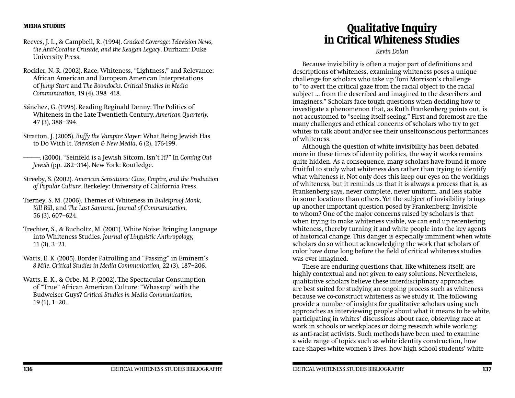#### **MEDIA STUDIES**

- Reeves, J. L., & Campbell, R. (1994). *Cracked Coverage: Television News, the Anti-Cocaine Crusade, and the Reagan Legacy*. Durham: Duke University Press.
- Rockler, N. R. (2002). Race, Whiteness, "Lightness," and Relevance: African American and European American Interpretations of *Jump Start* and *The Boondocks*. *Critical Studies in Media Communication,* 19 (4), 398–418.
- Sánchez, G. (1995). Reading Reginald Denny: The Politics of Whiteness in the Late Twentieth Century. *American Quarterly,*  47 (3), 388–394.
- Stratton, J. (2005). *Buffy the Vampire Slayer*: What Being Jewish Has to Do With It. *Television & New Media*, 6 (2), 176-199.
- ————. (2000). "Seinfeld is a Jewish Sitcom, Isn't It?" In *Coming Out Jewish* (pp. 282–314). New York: Routledge.
- Streeby, S. (2002). *American Sensations: Class, Empire, and the Production of Popular Culture*. Berkeley: University of California Press.
- Tierney, S. M. (2006). Themes of Whiteness in *Bulletproof Monk, Kill Bill*, and *The Last Samurai*. *Journal of Communication,*  56 (3), 607–624.
- Trechter, S., & Bucholtz, M. (2001). White Noise: Bringing Language into Whiteness Studies. *Journal of Linguistic Anthropology,*  11 (3), 3–21.
- Watts, E. K. (2005). Border Patrolling and "Passing" in Eminem's *8 Mile*. *Critical Studies in Media Communication,* 22 (3), 187–206.
- Watts, E. K., & Orbe, M. P. (2002). The Spectacular Consumption of "True" African American Culture: "Whassup" with the Budweiser Guys? *Critical Studies in Media Communication,*  19 (1), 1–20.

# **Qualitative Inquiry in Critical Whiteness Studies**

*Kevin Dolan*

Because invisibility is often a major part of definitions and descriptions of whiteness, examining whiteness poses a unique challenge for scholars who take up Toni Morrison's challenge to "to avert the critical gaze from the racial object to the racial subject … from the described and imagined to the describers and imaginers." Scholars face tough questions when deciding how to investigate a phenomenon that, as Ruth Frankenberg points out, is not accustomed to "seeing itself seeing." First and foremost are the many challenges and ethical concerns of scholars who try to get whites to talk about and/or see their unselfconscious performances of whiteness.

Although the question of white invisibility has been debated more in these times of identity politics, the way it works remains quite hidden. As a consequence, many scholars have found it more fruitful to study what whiteness *does* rather than trying to identify what whiteness *is*. Not only does this keep our eyes on the workings of whiteness, but it reminds us that it is always a process that is, as Frankenberg says, never complete, never uniform, and less stable in some locations than others. Yet the subject of invisibility brings up another important question posed by Frankenberg: Invisible to whom? One of the major concerns raised by scholars is that when trying to make whiteness visible, we can end up recentering whiteness, thereby turning it and white people into the key agents of historical change. This danger is especially imminent when white scholars do so without acknowledging the work that scholars of color have done long before the field of critical whiteness studies was ever imagined.

These are enduring questions that, like whiteness itself, are highly contextual and not given to easy solutions. Nevertheless, qualitative scholars believe these interdisciplinary approaches are best suited for studying an ongoing process such as whiteness because we co-construct whiteness as we study it. The following provide a number of insights for qualitative scholars using such approaches as interviewing people about what it means to be white, participating in whites' discussions about race, observing race at work in schools or workplaces or doing research while working as anti-racist activists. Such methods have been used to examine a wide range of topics such as white identity construction, how race shapes white women's lives, how high school students' white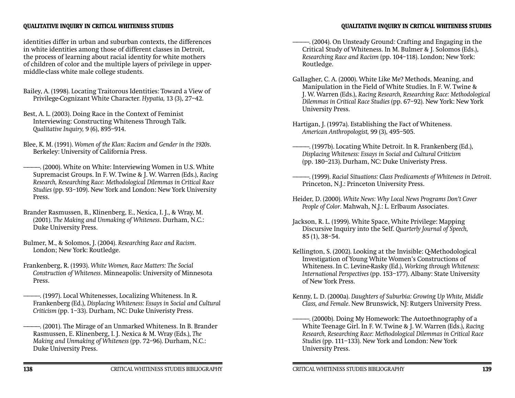## **QUALITATIVE INQUIRY IN CRITICAL WHITENESS STUDIES**

identities differ in urban and suburban contexts, the differences in white identities among those of different classes in Detroit, the process of learning about racial identity for white mothers of children of color and the multiple layers of privilege in uppermiddle-class white male college students.

- Bailey, A. (1998). Locating Traitorous Identities: Toward a View of Privilege-Cognizant White Character. *Hypatia,* 13 (3), 27–42.
- Best, A. L. (2003). Doing Race in the Context of Feminist Interviewing: Constructing Whiteness Through Talk. *Qualitative Inquiry,* 9 (6), 895–914.
- Blee, K. M. (1991). *Women of the Klan: Racism and Gender in the 1920s*. Berkeley: University of California Press.
- ————. (2000). White on White: Interviewing Women in U.S. White Supremacist Groups. In F. W. Twine & J. W. Warren (Eds.), *Racing Research, Researching Race: Methodological Dilemmas in Critical Race Studies* (pp. 93–109). New York and London: New York University Press.
- Brander Rasmussen, B., Klinenberg, E., Nexica, I. J., & Wray, M. (2001). *The Making and Unmaking of Whiteness*. Durham, N.C.: Duke University Press.
- Bulmer, M., & Solomos, J. (2004). *Researching Race and Racism*. London; New York: Routledge.
- Frankenberg, R. (1993). *White Women, Race Matters: The Social Construction of Whiteness*. Minneapolis: University of Minnesota Press.
- ————. (1997). Local Whitenesses, Localizing Whiteness. In R. Frankenberg (Ed.), *Displacing Whiteness: Essays in Social and Cultural Criticism* (pp. 1–33). Durham, NC: Duke Univeristy Press.
- ————. (2001). The Mirage of an Unmarked Whiteness. In B. Brander Rasmussen, E. Klinenberg, I. J. Nexica & M. Wray (Eds.), *The Making and Unmaking of Whiteness* (pp. 72–96). Durham, N.C.: Duke University Press.
- ————. (2004). On Unsteady Ground: Crafting and Engaging in the Critical Study of Whiteness. In M. Bulmer & J. Solomos (Eds.), *Researching Race and Racism* (pp. 104–118). London; New York: Routledge.
- Gallagher, C. A. (2000). White Like Me? Methods, Meaning, and Manipulation in the Field of White Studies. In F. W. Twine & J. W. Warren (Eds.), *Racing Research, Researching Race: Methodological Dilemmas in Critical Race Studies* (pp. 67–92). New York: New York University Press.
- Hartigan, J. (1997a). Establishing the Fact of Whiteness. *American Anthropologist,* 99 (3), 495–505.
- —. (1997b). Locating White Detroit. In R. Frankenberg (Ed.), *Displacing Whiteness: Essays in Social and Cultural Criticism* (pp. 180–213). Durham, NC: Duke Univeristy Press.
- ————. (1999). *Racial Situations: Class Predicaments of Whiteness in Detroit*. Princeton, N.J.: Princeton University Press.
- Heider, D. (2000). *White News: Why Local News Programs Don't Cover People of Color*. Mahwah, N.J.: L. Erlbaum Associates.
- Jackson, R. L. (1999). White Space, White Privilege: Mapping Discursive Inquiry into the Self. *Quarterly Journal of Speech,*  85 (1), 38–54.
- Kellington, S. (2002). Looking at the Invisible: Q-Methodological Investigation of Young White Women's Constructions of Whiteness. In C. Levine-Rasky (Ed.), *Working through Whiteness: International Perspectives* (pp. 153–177). Albany: State University of New York Press.
- Kenny, L. D. (2000a). *Daughters of Suburbia: Growing Up White, Middle Class, and Female*. New Brunswick, NJ: Rutgers University Press.
- ————. (2000b). Doing My Homework: The Autoethnography of a White Teenage Girl. In F. W. Twine & J. W. Warren (Eds.), *Racing Research, Researching Race: Methodological Dilemmas in Critical Race Studies* (pp. 111–133). New York and London: New York University Press.

# **QUALITATIVE INQUIRY IN CRITICAL WHITENESS STUDIES**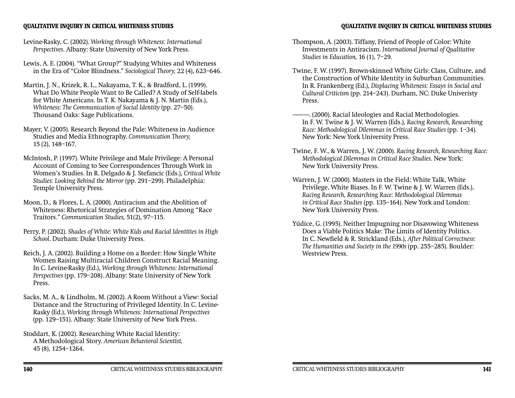#### **QUALITATIVE INQUIRY IN CRITICAL WHITENESS STUDIES**

**QUALITATIVE INQUIRY IN CRITICAL WHITENESS STUDIES**

- Levine-Rasky, C. (2002). *Working through Whiteness: International Perspectives*. Albany: State University of New York Press.
- Lewis, A. E. (2004). "What Group?" Studying Whites and Whiteness in the Era of "Color Blindness." *Sociological Theory,* 22 (4), 623–646.
- Martin, J. N., Krizek, R. L., Nakayama, T. K., & Bradford, L. (1999). What Do White People Want to Be Called? A Study of Self-labels for White Americans. In T. K. Nakayama & J. N. Martin (Eds.), *Whiteness: The Communication of Social Identity* (pp. 27–50). Thousand Oaks: Sage Publications.
- Mayer, V. (2005). Research Beyond the Pale: Whiteness in Audience Studies and Media Ethnography. *Communication Theory,*  15 (2), 148–167.
- McIntosh, P. (1997). White Privilege and Male Privilege: A Personal Account of Coming to See Correspondences Through Work in Women's Studies. In R. Delgado & J. Stefancic (Eds.), *Critical White Studies: Looking Behind the Mirror* (pp. 291–299). Philadelphia: Temple University Press.
- Moon, D., & Flores, L. A. (2000). Antiracism and the Abolition of Whiteness: Rhetorical Strategies of Domination Among "Race Traitors." *Communication Studies,* 51(2), 97–115.
- Perry, P. (2002). *Shades of White: White Kids and Racial Identities in High School*. Durham: Duke University Press.
- Reich, J. A. (2002). Building a Home on a Border: How Single White Women Raising Multiracial Children Construct Racial Meaning. In C. Levine-Rasky (Ed.), *Working through Whiteness: International Perspectives* (pp. 179–208). Albany: State University of New York Press.
- Sacks, M. A., & Lindholm, M. (2002). A Room Without a View: Social Distance and the Structuring of Privileged Identity. In C. Levine-Rasky (Ed.), *Working through Whiteness: International Perspectives* (pp. 129–151). Albany: State University of New York Press.
- Stoddart, K. (2002). Researching White Racial Identity: A Methodological Story. *American Behavioral Scientist,*  45 (8), 1254–1264.
- Thompson, A. (2003). Tiffany, Friend of People of Color: White Investments in Antiracism. *International Journal of Qualitative Studies in Education,* 16 (1), 7–29.
- Twine, F. W. (1997). Brown-skinned White Girls: Class, Culture, and the Construction of White Identity in Suburban Communities. In R. Frankenberg (Ed.), *Displacing Whiteness: Essays in Social and Cultural Criticism* (pp. 214–243). Durham, NC: Duke Univeristy Press.
- ————. (2000). Racial Ideologies and Racial Methodologies. In F. W. Twine & J. W. Warren (Eds.), *Racing Research, Researching Race: Methodological Dilemmas in Critical Race Studies* (pp. 1–34). New York: New York University Press.
- Twine, F. W., & Warren, J. W. (2000). *Racing Research, Researching Race: Methodological Dilemmas in Critical Race Studies*. New York: New York University Press.
- Warren, J. W. (2000). Masters in the Field: White Talk, White Privilege, White Biases. In F. W. Twine & J. W. Warren (Eds.), *Racing Research, Researching Race: Methodological Dilemmas in Critical Race Studies* (pp. 135–164). New York and London: New York University Press.
- Yúdice, G. (1995). Neither Impugning nor Disavowing Whiteness Does a Viable Politics Make: The Limits of Identity Politics. In C. Newfield & R. Strickland (Eds.), *After Political Correctness: The Humanities and Society in the 1990s* (pp. 255–285). Boulder: Westview Press.